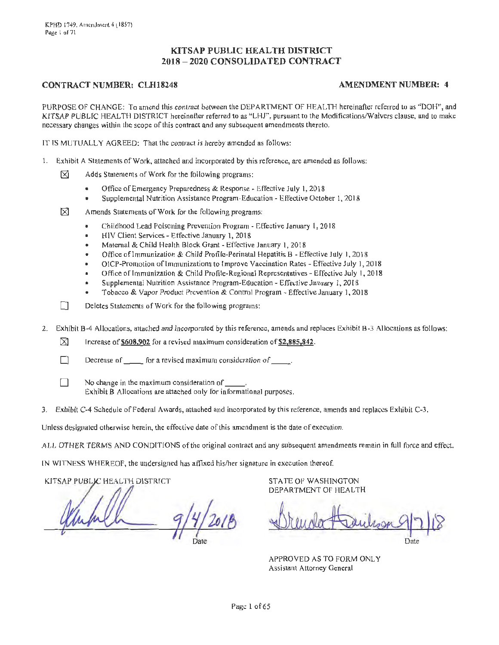# **KITSAP PUBLIC HEALTH DISTRICT 2018 - 2020 CONSOLIDATED CONTRACT**

### **CONTRACT NUMBER: CLH18248 AMENDMENT NUMBER: 4**

PURPOSE OF CHANGE: To amend this contract between the DEPARTMENT OF HEAL TH hereinafter referred to as "DOH", and KITSAP PUBLIC HEALTH DISTRICT hereinafter referred to as "LHJ", pursuant to the Modifications/Waivers clause, and to make necessary changes within the scope of this contract and any subsequent amendments thereto.

IT lS MUTUALLY AGREED: That the contract is hereby amended as follows:

- 1. Exhibit A Statements of Work, attached and incorporated by this reference, are amended as follows:
	- $\boxtimes$  Adds Statements of Work for the following programs:
		- Office of Emergency Preparedness & Response Effective July I, 2018
		- Supplemental Nutrition Assistance Program-Education Effective October l, 2018

 $\boxtimes$  Amends Statements of Work for the following programs:

- Childhood Lead Poisoning Prevention Program Effective January 1, 2018
- HIV Client Services Effective January l, 2018
- Maternal & Child Health Block Grant Effective January I, 2018
- Office oflmmunization & Child Profile-Perinatal Hepatitis B Effective July I, 2018
- OICP-Promotion of Immunizations to Improve Vaccination Rates Effective July 1, 2018
- Office of Immunization & Child Profile-Regional Representatives Effective July 1, 2018
- Supplemental Nutrition Assistance Program-Education Effective January I, 201 8
- Tobacco & Vapor Product Prevention & Control Program Effective January I, 2018

 $\Box$  Deletes Statements of Work for the following programs:

2. Exhibit B-4 Allocations, attached and incorporated by this reference, amends and replaces Exhibit B-3 Allocations as follows:

 $\boxtimes$  Increase of \$608,902 for a revised maximum consideration of \$2,885,842.

- Decrease of  $f$  for a revised maximum consideration of  $f$
- $\Box$  No change in the maximum consideration of Exhibit B Allocations are attached only for informational purposes.
- 3. Exhibit C-4 Schedule of Federal Awards, attached and incorporated by this reference, amends and replaces Exhibit C-3.

Unless designated otherwise herein, the effective date of this amendment is the date of execution.

ALL OTHER TERMS AND CONDITIONS of the original contract and any subsequent amendments remain in full force and effect.

IN WlTNESS WHEREOF, the undersigned has affixed his/her sigriature in execution thereof.

KITSAP PUBLIC HEALTH DISTRICT

STATE OF WASHINGTON DEPARTMENT OF HEALTH

Drender Haubson 9/7/18 Date

APPROVED AS TO FORM ONLY Assistant Attorney General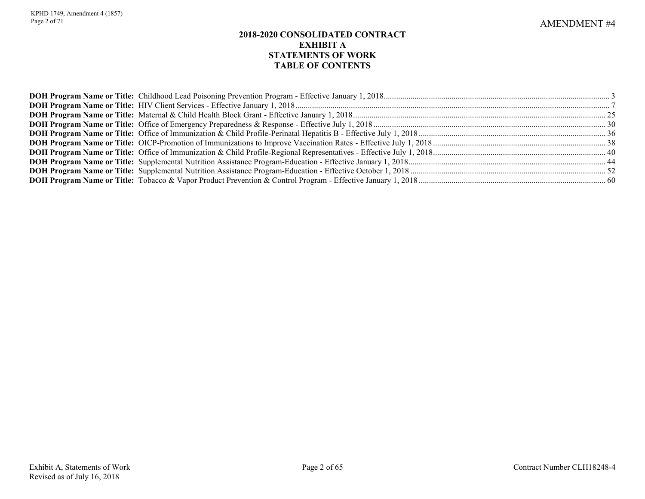# **2018-2020 CONSOLIDATED CONTRACT EXHIBIT A STATEMENTS OF WORK TABLE OF CONTENTS**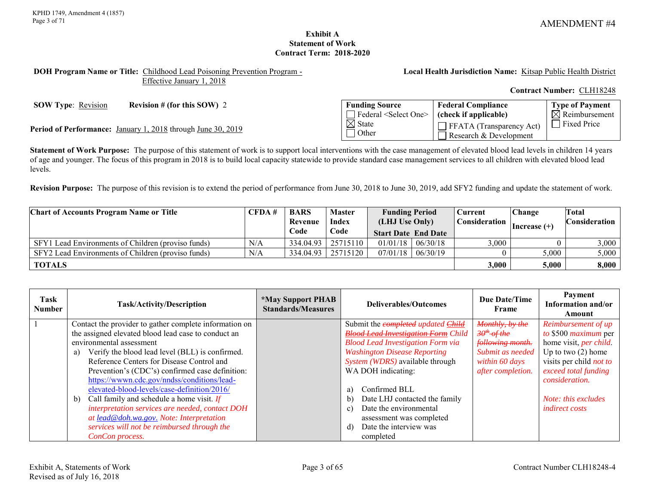**Type of Payment**  $\overline{\boxtimes}$  Reimbursement

## **Exhibit A Statement of Work Contract Term: 2018-2020**

#### <span id="page-2-0"></span>**DOH Program Name or Title:** Childhood Lead Poisoning Prevention Program - Effective January 1, 2018

**Local Health Jurisdiction Name:** Kitsap Public Health District

**Federal Compliance (check if applicable)**

FFATA (Transparency Act) Research & Development

**Contract Number:** CLH18248

**SOW Type**: Revision **Revision # (for this SOW) 2 Funding Source** 

**Period of Performance:** January 1, 2018 through June 30, 2019<br> **Example 2018** State **Price 19** Other **Price 2019** Theorem **Container Container Container in the Container of the Price of Period Price 19 December 2019** 

**Statement of Work Purpose:** The purpose of this statement of work is to support local interventions with the case management of elevated blood lead levels in children 14 years of age and younger. The focus of this program in 2018 is to build local capacity statewide to provide standard case management services to all children with elevated blood lead levels.

Federal <Select One>

 $\overline{\boxtimes}$  State Other

**Revision Purpose:** The purpose of this revision is to extend the period of performance from June 30, 2018 to June 30, 2019, add SFY2 funding and update the statement of work.

| <b>Chart of Accounts Program Name or Title</b>     | CFDA#   | <b>BARS</b> | <b>Master</b> | <b>Funding Period</b>      |              | Current |                | <b>Change</b> |  |  |  | Total |  |  |  |  |  |  |  |  |  |  |  |  |  |  |  |  |  |  |  |  |  |  |  |  |  |  |  |  |  |  |  |  |  |  |  |  |  |  |  |  |  |  |  |  |  |  |  |  |  |  |  |                                    |  |                      |
|----------------------------------------------------|---------|-------------|---------------|----------------------------|--------------|---------|----------------|---------------|--|--|--|-------|--|--|--|--|--|--|--|--|--|--|--|--|--|--|--|--|--|--|--|--|--|--|--|--|--|--|--|--|--|--|--|--|--|--|--|--|--|--|--|--|--|--|--|--|--|--|--|--|--|--|--|------------------------------------|--|----------------------|
|                                                    | Revenue |             |               |                            | <b>Index</b> |         | (LHJ Use Only) |               |  |  |  |       |  |  |  |  |  |  |  |  |  |  |  |  |  |  |  |  |  |  |  |  |  |  |  |  |  |  |  |  |  |  |  |  |  |  |  |  |  |  |  |  |  |  |  |  |  |  |  |  |  |  |  | Consideration  <br>$ Increase (+)$ |  | <b>Consideration</b> |
|                                                    |         | Code        | Code          | <b>Start Date End Date</b> |              |         |                |               |  |  |  |       |  |  |  |  |  |  |  |  |  |  |  |  |  |  |  |  |  |  |  |  |  |  |  |  |  |  |  |  |  |  |  |  |  |  |  |  |  |  |  |  |  |  |  |  |  |  |  |  |  |  |  |                                    |  |                      |
| SFY1 Lead Environments of Children (proviso funds) | N/A     | 334.04.93   | 25715110      | $01/01/18$   06/30/18      |              | 3,000   |                | 3,000         |  |  |  |       |  |  |  |  |  |  |  |  |  |  |  |  |  |  |  |  |  |  |  |  |  |  |  |  |  |  |  |  |  |  |  |  |  |  |  |  |  |  |  |  |  |  |  |  |  |  |  |  |  |  |  |                                    |  |                      |
| SFY2 Lead Environments of Children (proviso funds) | N/A     | 334.04.93   | 25715120      | $07/01/18$ 06/30/19        |              |         | 5.000          | 5,000         |  |  |  |       |  |  |  |  |  |  |  |  |  |  |  |  |  |  |  |  |  |  |  |  |  |  |  |  |  |  |  |  |  |  |  |  |  |  |  |  |  |  |  |  |  |  |  |  |  |  |  |  |  |  |  |                                    |  |                      |
| <b>TOTALS</b>                                      |         |             |               |                            |              | 3,000   | 5,000          | 8,000         |  |  |  |       |  |  |  |  |  |  |  |  |  |  |  |  |  |  |  |  |  |  |  |  |  |  |  |  |  |  |  |  |  |  |  |  |  |  |  |  |  |  |  |  |  |  |  |  |  |  |  |  |  |  |  |                                    |  |                      |

| Task<br><b>Number</b> | <b>Task/Activity/Description</b>                       | <i><b>*May Support PHAB</b></i><br><b>Standards/Measures</b> | Deliverables/Outcomes                         | <b>Due Date/Time</b><br>Frame | Payment<br>Information and/or<br>Amount |
|-----------------------|--------------------------------------------------------|--------------------------------------------------------------|-----------------------------------------------|-------------------------------|-----------------------------------------|
|                       | Contact the provider to gather complete information on |                                                              | Submit the completed updated Child            | Monthly, by the               | Reimbursement of up                     |
|                       | the assigned elevated blood lead case to conduct an    |                                                              | <b>Blood Lead Investigation Form Child</b>    | $30^{th}$ of the              | to \$500 maximum per                    |
|                       | environmental assessment                               |                                                              | <b>Blood Lead Investigation Form via</b>      | following month.              | home visit, per child.                  |
|                       | Verify the blood lead level (BLL) is confirmed.<br>a)  |                                                              | <b>Washington Disease Reporting</b>           | Submit as needed              | Up to two $(2)$ home                    |
|                       | Reference Centers for Disease Control and              |                                                              | System (WDRS) available through               | within 60 days                | visits per child <i>not to</i>          |
|                       | Prevention's (CDC's) confirmed case definition:        |                                                              | WA DOH indicating:                            | after completion.             | exceed total funding                    |
|                       | https://wwwn.cdc.gov/nndss/conditions/lead-            |                                                              |                                               |                               | <i>consideration.</i>                   |
|                       | elevated-blood-levels/case-definition/2016/            |                                                              | Confirmed BLL<br>a)                           |                               |                                         |
|                       | Call family and schedule a home visit. $If$<br>b)      |                                                              | Date LHJ contacted the family<br>$\mathbf{b}$ |                               | Note: this excludes                     |
|                       | interpretation services are needed, contact DOH        |                                                              | Date the environmental<br>$\mathbf{c}$        |                               | <i>indirect costs</i>                   |
|                       | at lead@doh.wa.gov. Note: Interpretation               |                                                              | assessment was completed                      |                               |                                         |
|                       | services will not be reimbursed through the            |                                                              | Date the interview was<br>ď                   |                               |                                         |
|                       | ConCon process.                                        |                                                              | completed                                     |                               |                                         |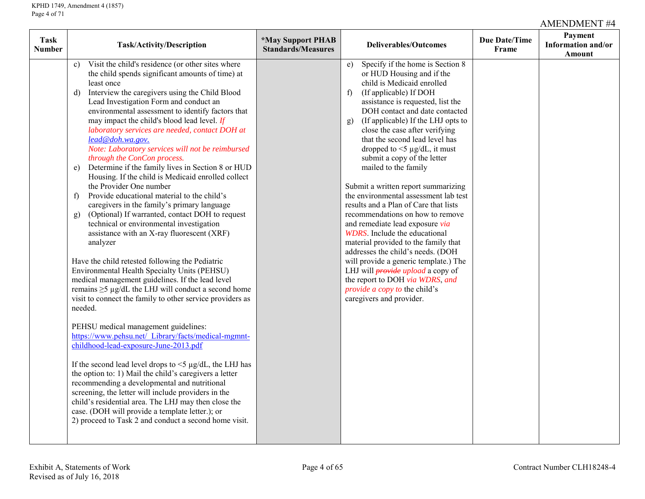| Task<br><b>Number</b> | <b>Task/Activity/Description</b>                                                                                                                                                                                                                                                                                                                                                                                                                                                                                                                                                                                                                                                                                                                                                                                                                                                                                                                                                                                                                                                                                                                                                                                                                                                                                                                                                                                                                                                                                                                                                                                                                                                                                                                 | <i><b>*May Support PHAB</b></i><br><b>Standards/Measures</b> | <b>Deliverables/Outcomes</b>                                                                                                                                                                                                                                                                                                                                                                                                                                                                                                                                                                                                                                                                                                                                                                                                                                                                                                                 | <b>Due Date/Time</b><br>Frame | Payment<br>Information and/or<br>Amount |
|-----------------------|--------------------------------------------------------------------------------------------------------------------------------------------------------------------------------------------------------------------------------------------------------------------------------------------------------------------------------------------------------------------------------------------------------------------------------------------------------------------------------------------------------------------------------------------------------------------------------------------------------------------------------------------------------------------------------------------------------------------------------------------------------------------------------------------------------------------------------------------------------------------------------------------------------------------------------------------------------------------------------------------------------------------------------------------------------------------------------------------------------------------------------------------------------------------------------------------------------------------------------------------------------------------------------------------------------------------------------------------------------------------------------------------------------------------------------------------------------------------------------------------------------------------------------------------------------------------------------------------------------------------------------------------------------------------------------------------------------------------------------------------------|--------------------------------------------------------------|----------------------------------------------------------------------------------------------------------------------------------------------------------------------------------------------------------------------------------------------------------------------------------------------------------------------------------------------------------------------------------------------------------------------------------------------------------------------------------------------------------------------------------------------------------------------------------------------------------------------------------------------------------------------------------------------------------------------------------------------------------------------------------------------------------------------------------------------------------------------------------------------------------------------------------------------|-------------------------------|-----------------------------------------|
|                       | Visit the child's residence (or other sites where<br>c)<br>the child spends significant amounts of time) at<br>least once<br>Interview the caregivers using the Child Blood<br>d)<br>Lead Investigation Form and conduct an<br>environmental assessment to identify factors that<br>may impact the child's blood lead level. If<br>laboratory services are needed, contact DOH at<br>lead@doh.wa.gov.<br>Note: Laboratory services will not be reimbursed<br>through the ConCon process.<br>Determine if the family lives in Section 8 or HUD<br>e)<br>Housing. If the child is Medicaid enrolled collect<br>the Provider One number<br>Provide educational material to the child's<br>f)<br>caregivers in the family's primary language<br>(Optional) If warranted, contact DOH to request<br>g)<br>technical or environmental investigation<br>assistance with an X-ray fluorescent (XRF)<br>analyzer<br>Have the child retested following the Pediatric<br>Environmental Health Specialty Units (PEHSU)<br>medical management guidelines. If the lead level<br>remains $\geq$ 5 µg/dL the LHJ will conduct a second home<br>visit to connect the family to other service providers as<br>needed.<br>PEHSU medical management guidelines:<br>https://www.pehsu.net/ Library/facts/medical-mgmnt-<br>childhood-lead-exposure-June-2013.pdf<br>If the second lead level drops to $\leq$ 1 g/dL, the LHJ has<br>the option to: 1) Mail the child's caregivers a letter<br>recommending a developmental and nutritional<br>screening, the letter will include providers in the<br>child's residential area. The LHJ may then close the<br>case. (DOH will provide a template letter.); or<br>2) proceed to Task 2 and conduct a second home visit. |                                                              | Specify if the home is Section 8<br>e)<br>or HUD Housing and if the<br>child is Medicaid enrolled<br>(If applicable) If DOH<br>f)<br>assistance is requested, list the<br>DOH contact and date contacted<br>(If applicable) If the LHJ opts to<br>g)<br>close the case after verifying<br>that the second lead level has<br>dropped to $\leq$ 1 $\mu$ g/dL, it must<br>submit a copy of the letter<br>mailed to the family<br>Submit a written report summarizing<br>the environmental assessment lab test<br>results and a Plan of Care that lists<br>recommendations on how to remove<br>and remediate lead exposure via<br><b>WDRS</b> . Include the educational<br>material provided to the family that<br>addresses the child's needs. (DOH<br>will provide a generic template.) The<br>LHJ will <i>provide upload</i> a copy of<br>the report to DOH via WDRS, and<br><i>provide a copy to the child's</i><br>caregivers and provider. |                               |                                         |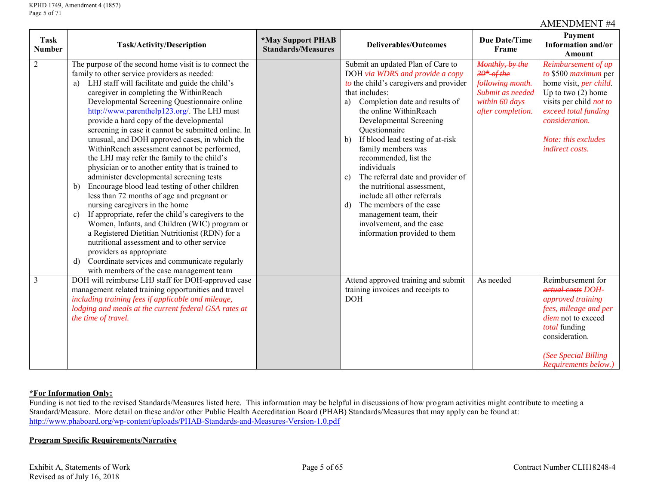| <b>Task</b><br><b>Number</b> | Task/Activity/Description                                                                                                                                                                                                                                                                                                                                                                                                                                                                                                                                                                                                                                                                                                                                                                                                                                                                                                                                                                                                                                                                                                                                   | <i><b>*May Support PHAB</b></i><br><b>Standards/Measures</b> | <b>Deliverables/Outcomes</b>                                                                                                                                                                                                                                                                                                                                                                                                                                                                                                                                                                                | <b>Due Date/Time</b><br>Frame                                                                                    | Payment<br>Information and/or<br>Amount                                                                                                                                                                      |
|------------------------------|-------------------------------------------------------------------------------------------------------------------------------------------------------------------------------------------------------------------------------------------------------------------------------------------------------------------------------------------------------------------------------------------------------------------------------------------------------------------------------------------------------------------------------------------------------------------------------------------------------------------------------------------------------------------------------------------------------------------------------------------------------------------------------------------------------------------------------------------------------------------------------------------------------------------------------------------------------------------------------------------------------------------------------------------------------------------------------------------------------------------------------------------------------------|--------------------------------------------------------------|-------------------------------------------------------------------------------------------------------------------------------------------------------------------------------------------------------------------------------------------------------------------------------------------------------------------------------------------------------------------------------------------------------------------------------------------------------------------------------------------------------------------------------------------------------------------------------------------------------------|------------------------------------------------------------------------------------------------------------------|--------------------------------------------------------------------------------------------------------------------------------------------------------------------------------------------------------------|
| $\sqrt{2}$                   | The purpose of the second home visit is to connect the<br>family to other service providers as needed:<br>a) LHJ staff will facilitate and guide the child's<br>caregiver in completing the WithinReach<br>Developmental Screening Questionnaire online<br>http://www.parenthelp123.org/. The LHJ must<br>provide a hard copy of the developmental<br>screening in case it cannot be submitted online. In<br>unusual, and DOH approved cases, in which the<br>WithinReach assessment cannot be performed,<br>the LHJ may refer the family to the child's<br>physician or to another entity that is trained to<br>administer developmental screening tests<br>Encourage blood lead testing of other children<br>b)<br>less than 72 months of age and pregnant or<br>nursing caregivers in the home<br>If appropriate, refer the child's caregivers to the<br>$\mathbf{c})$<br>Women, Infants, and Children (WIC) program or<br>a Registered Dietitian Nutritionist (RDN) for a<br>nutritional assessment and to other service<br>providers as appropriate<br>Coordinate services and communicate regularly<br>d)<br>with members of the case management team |                                                              | Submit an updated Plan of Care to<br>DOH via WDRS and provide a copy<br>to the child's caregivers and provider<br>that includes:<br>Completion date and results of<br>a)<br>the online WithinReach<br>Developmental Screening<br>Questionnaire<br>If blood lead testing of at-risk<br>$\mathbf{b}$<br>family members was<br>recommended, list the<br>individuals<br>The referral date and provider of<br>c)<br>the nutritional assessment,<br>include all other referrals<br>The members of the case<br>$\mathbf{d}$<br>management team, their<br>involvement, and the case<br>information provided to them | Monthly, by the<br>$30th$ -of-the<br>following month.<br>Submit as needed<br>within 60 days<br>after completion. | Reimbursement of up<br>to \$500 maximum per<br>home visit, per child.<br>Up to two $(2)$ home<br>visits per child not to<br>exceed total funding<br>consideration.<br>Note: this excludes<br>indirect costs. |
| $\overline{3}$               | DOH will reimburse LHJ staff for DOH-approved case<br>management related training opportunities and travel<br>including training fees if applicable and mileage,<br>lodging and meals at the current federal GSA rates at<br>the time of travel.                                                                                                                                                                                                                                                                                                                                                                                                                                                                                                                                                                                                                                                                                                                                                                                                                                                                                                            |                                                              | Attend approved training and submit<br>training invoices and receipts to<br><b>DOH</b>                                                                                                                                                                                                                                                                                                                                                                                                                                                                                                                      | As needed                                                                                                        | Reimbursement for<br>actual costs DOH-<br>approved training<br>fees, mileage and per<br>diem not to exceed<br>total funding<br>consideration.<br>(See Special Billing<br>Requirements below.)                |

# **\*For Information Only:**

Funding is not tied to the revised Standards/Measures listed here. This information may be helpful in discussions of how program activities might contribute to meeting a Standard/Measure. More detail on these and/or other Public Health Accreditation Board (PHAB) Standards/Measures that may apply can be found at: <http://www.phaboard.org/wp-content/uploads/PHAB-Standards-and-Measures-Version-1.0.pdf>

# **Program Specific Requirements/Narrative**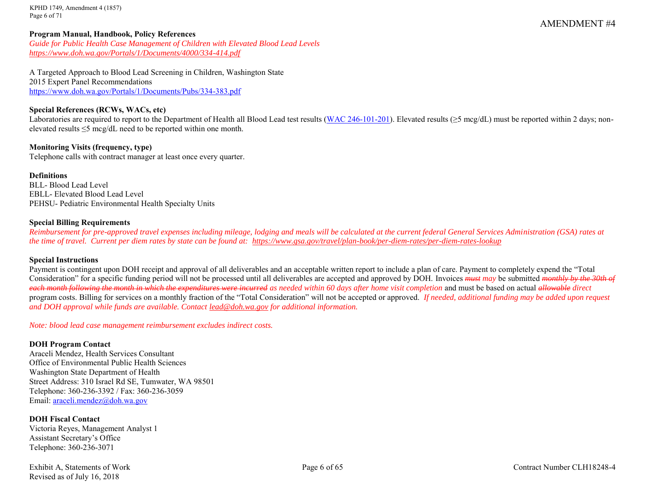KPHD 1749, Amendment 4 (1857) Page 6 of 71

#### **Program Manual, Handbook, Policy References**

*Guide for Public Health Case Management of Children with Elevated Blood Lead Levels <https://www.doh.wa.gov/Portals/1/Documents/4000/334-414.pdf>*

A Targeted Approach to Blood Lead Screening in Children, Washington State 2015 Expert Panel Recommendations <https://www.doh.wa.gov/Portals/1/Documents/Pubs/334-383.pdf>

#### **Special References (RCWs, WACs, etc)**

Laboratories are required to report to the Department of Health all Blood Lead test results [\(WAC 246-101-201\)](http://app.leg.wa.gov/wac/default.aspx?cite=246-101-201). Elevated results ( $\geq$ 5 mcg/dL) must be reported within 2 days; nonelevated results ≤5 mcg/dL need to be reported within one month.

**Monitoring Visits (frequency, type)** Telephone calls with contract manager at least once every quarter.

#### **Definitions**

BLL- Blood Lead Level EBLL- Elevated Blood Lead Level PEHSU- Pediatric Environmental Health Specialty Units

#### **Special Billing Requirements**

*Reimbursement for pre-approved travel expenses including mileage, lodging and meals will be calculated at the current federal General Services Administration (GSA) rates at the time of travel. Current per diem rates by state can be found at: <https://www.gsa.gov/travel/plan-book/per-diem-rates/per-diem-rates-lookup>*

#### **Special Instructions**

Payment is contingent upon DOH receipt and approval of all deliverables and an acceptable written report to include a plan of care. Payment to completely expend the "Total Consideration" for a specific funding period will not be processed until all deliverables are accepted and approved by DOH. Invoices *must may* be submitted *monthly by the 30th of each month following the month in which the expenditures were incurred as needed within 60 days after home visit completion* and must be based on actual *allowable direct* program costs. Billing for services on a monthly fraction of the "Total Consideration" will not be accepted or approved. *If needed, additional funding may be added upon request and DOH approval while funds are available. Contact [lead@doh.wa.gov](mailto:lead@doh.wa.gov) for additional information.* 

*Note: blood lead case management reimbursement excludes indirect costs.*

#### **DOH Program Contact**

Araceli Mendez, Health Services Consultant Office of Environmental Public Health Sciences Washington State Department of Health Street Address: 310 Israel Rd SE, Tumwater, WA 98501 Telephone: 360-236-3392 / Fax: 360-236-3059 Email: [araceli.mendez@doh.wa.gov](mailto:araceli.mendez@doh.wa.gov)

## **DOH Fiscal Contact**

Victoria Reyes, Management Analyst 1 Assistant Secretary's Office Telephone: 360-236-3071

Revised as of July 16, 2018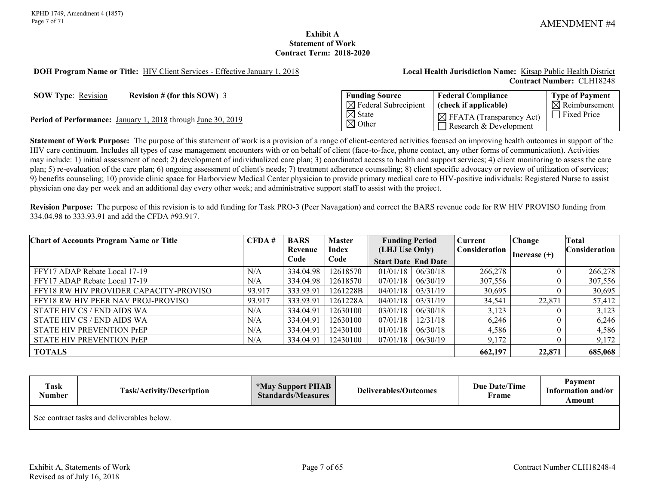### **Exhibit A Statement of Work Contract Term: 2018-2020**

#### <span id="page-6-0"></span>**DOH Program Name or Title:** HIV Client Services - Effective January 1, 2018 **Local Health Jurisdiction Name:** Kitsap Public Health District

# **Contract Number:** CLH18248

**SOW Type:** <u>Revision</u> **Revision # (for this SOW)** 3

Period of Performance: January 1, 2018 through June 30, 2019

| <b>Funding Source</b>                  | <b>Federal Compliance</b>                                      | <b>Type of Payment</b> |
|----------------------------------------|----------------------------------------------------------------|------------------------|
| $\boxtimes$ Federal Subrecipient       | (check if applicable)                                          | $\Box$ Reimbursement   |
| $\boxtimes$ State<br>$\boxtimes$ Other | $\boxtimes$ FFATA (Transparency Act)<br>Research & Development | $\Box$ Fixed Price     |

**Statement of Work Purpose:** The purpose of this statement of work is a provision of a range of client-centered activities focused on improving health outcomes in support of the HIV care continuum. Includes all types of case management encounters with or on behalf of client (face-to-face, phone contact, any other forms of communication). Activities may include: 1) initial assessment of need; 2) development of individualized care plan; 3) coordinated access to health and support services; 4) client monitoring to assess the care plan; 5) re-evaluation of the care plan; 6) ongoing assessment of client's needs; 7) treatment adherence counseling; 8) client specific advocacy or review of utilization of services; 9) benefits counseling; 10) provide clinic space for Harborview Medical Center physician to provide primary medical care to HIV-positive individuals: Registered Nurse to assist physician one day per week and an additional day every other week; and administrative support staff to assist with the project.

**Revision Purpose:** The purpose of this revision is to add funding for Task PRO-3 (Peer Navagation) and correct the BARS revenue code for RW HIV PROVISO funding from 334.04.98 to 333.93.91 and add the CFDA #93.917.

| <b>Chart of Accounts Program Name or Title</b> | CFDA#  | <b>BARS</b> | <b>Master</b> | <b>Funding Period</b>      |          | Current       | Change         | Total                |
|------------------------------------------------|--------|-------------|---------------|----------------------------|----------|---------------|----------------|----------------------|
|                                                |        | Revenue     | Index         | (LHJ Use Only)             |          | Consideration | Increase $(+)$ | <b>Consideration</b> |
|                                                |        | Code        | Code          | <b>Start Date End Date</b> |          |               |                |                      |
| FFY17 ADAP Rebate Local 17-19                  | N/A    | 334.04.98   | 12618570      | 01/01/18                   | 06/30/18 | 266,278       |                | 266,278              |
| FFY17 ADAP Rebate Local 17-19                  | N/A    | 334.04.98   | 12618570      | 07/01/18                   | 06/30/19 | 307,556       |                | 307,556              |
| FFY18 RW HIV PROVIDER CAPACITY-PROVISO         | 93.917 | 333.93.91   | 1261228B      | 04/01/18                   | 03/31/19 | 30,695        |                | 30,695               |
| FFY18 RW HIV PEER NAV PROJ-PROVISO             | 93.917 | 333.93.91   | 1261228A      | 04/01/18                   | 03/31/19 | 34,541        | 22,871         | 57,412               |
| STATE HIV CS / END AIDS WA                     | N/A    | 334.04.91   | 12630100      | 03/01/18                   | 06/30/18 | 3,123         |                | 3,123                |
| STATE HIV CS / END AIDS WA                     | N/A    | 334.04.91   | 12630100      | 07/01/18                   | 12/31/18 | 6,246         |                | 6,246                |
| <b>STATE HIV PREVENTION PrEP</b>               | N/A    | 334.04.91   | 12430100      | 01/01/18                   | 06/30/18 | 4,586         |                | 4,586                |
| <b>STATE HIV PREVENTION PrEP</b>               | N/A    | 334.04.91   | 12430100      | 07/01/18                   | 06/30/19 | 9,172         |                | 9,172                |
| <b>TOTALS</b>                                  |        |             |               |                            |          | 662,197       | 22,871         | 685,068              |

| <b>Task</b><br>Number | Task/Activity/Description                  | <b>*May Support PHAB</b><br><b>Standards/Measures</b> | Due Date/Time<br>Deliverables/Outcomes<br>Frame |  | <b>Payment</b><br>Information and/or<br>Amount |
|-----------------------|--------------------------------------------|-------------------------------------------------------|-------------------------------------------------|--|------------------------------------------------|
|                       | See contract tasks and deliverables below. |                                                       |                                                 |  |                                                |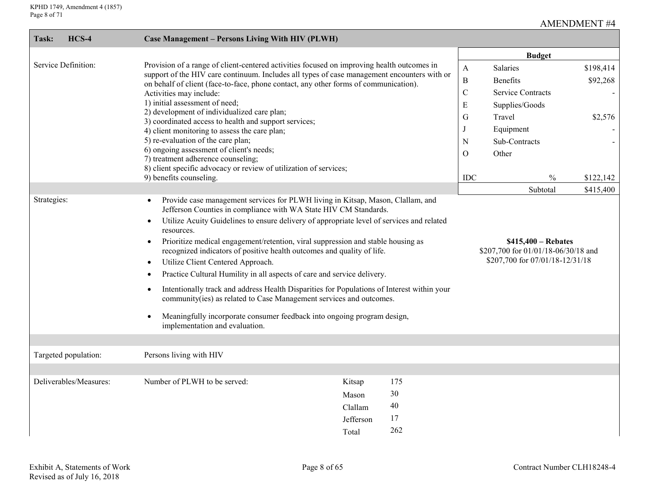| Task:                | $HCS-4$                | Case Management - Persons Living With HIV (PLWH)                                                                                                                                                                                                                                                                                                 |                                                                                                                                                                                                                                                                                                                                                                                                                                                                                                                                                                                                                                                                                                                                           |                              |                                                                                   |                                                                                                            |                                  |
|----------------------|------------------------|--------------------------------------------------------------------------------------------------------------------------------------------------------------------------------------------------------------------------------------------------------------------------------------------------------------------------------------------------|-------------------------------------------------------------------------------------------------------------------------------------------------------------------------------------------------------------------------------------------------------------------------------------------------------------------------------------------------------------------------------------------------------------------------------------------------------------------------------------------------------------------------------------------------------------------------------------------------------------------------------------------------------------------------------------------------------------------------------------------|------------------------------|-----------------------------------------------------------------------------------|------------------------------------------------------------------------------------------------------------|----------------------------------|
|                      |                        |                                                                                                                                                                                                                                                                                                                                                  |                                                                                                                                                                                                                                                                                                                                                                                                                                                                                                                                                                                                                                                                                                                                           |                              |                                                                                   | <b>Budget</b>                                                                                              |                                  |
| Service Definition:  |                        | on behalf of client (face-to-face, phone contact, any other forms of communication).<br>Activities may include:<br>1) initial assessment of need;<br>2) development of individualized care plan;<br>3) coordinated access to health and support services;<br>4) client monitoring to assess the care plan;<br>5) re-evaluation of the care plan; | Provision of a range of client-centered activities focused on improving health outcomes in<br>support of the HIV care continuum. Includes all types of case management encounters with or                                                                                                                                                                                                                                                                                                                                                                                                                                                                                                                                                 |                              | $\mathbf{A}$<br>$\, {\bf B}$<br>$\mathcal{C}$<br>E<br>G<br>$\bf J$<br>$\mathbf N$ | Salaries<br>Benefits<br><b>Service Contracts</b><br>Supplies/Goods<br>Travel<br>Equipment<br>Sub-Contracts | \$198,414<br>\$92,268<br>\$2,576 |
|                      |                        | 6) ongoing assessment of client's needs;<br>7) treatment adherence counseling;<br>8) client specific advocacy or review of utilization of services;<br>9) benefits counseling.                                                                                                                                                                   |                                                                                                                                                                                                                                                                                                                                                                                                                                                                                                                                                                                                                                                                                                                                           |                              | $\Omega$<br>IDC                                                                   | Other<br>$\%$                                                                                              | \$122,142                        |
|                      |                        |                                                                                                                                                                                                                                                                                                                                                  |                                                                                                                                                                                                                                                                                                                                                                                                                                                                                                                                                                                                                                                                                                                                           |                              |                                                                                   | Subtotal                                                                                                   | \$415,400                        |
| Strategies:          |                        | resources.<br>$\bullet$<br>Utilize Client Centered Approach.<br>$\bullet$<br>$\bullet$<br>$\bullet$<br>$\bullet$<br>implementation and evaluation.                                                                                                                                                                                               | Provide case management services for PLWH living in Kitsap, Mason, Clallam, and<br>Jefferson Counties in compliance with WA State HIV CM Standards.<br>Utilize Acuity Guidelines to ensure delivery of appropriate level of services and related<br>Prioritize medical engagement/retention, viral suppression and stable housing as<br>recognized indicators of positive health outcomes and quality of life.<br>Practice Cultural Humility in all aspects of care and service delivery.<br>Intentionally track and address Health Disparities for Populations of Interest within your<br>community(ies) as related to Case Management services and outcomes.<br>Meaningfully incorporate consumer feedback into ongoing program design, |                              |                                                                                   | $$415,400 - \text{Rebates}$<br>\$207,700 for 01/01/18-06/30/18 and<br>\$207,700 for 07/01/18-12/31/18      |                                  |
| Targeted population: |                        | Persons living with HIV                                                                                                                                                                                                                                                                                                                          |                                                                                                                                                                                                                                                                                                                                                                                                                                                                                                                                                                                                                                                                                                                                           |                              |                                                                                   |                                                                                                            |                                  |
|                      |                        |                                                                                                                                                                                                                                                                                                                                                  |                                                                                                                                                                                                                                                                                                                                                                                                                                                                                                                                                                                                                                                                                                                                           |                              |                                                                                   |                                                                                                            |                                  |
|                      | Deliverables/Measures: | Number of PLWH to be served:                                                                                                                                                                                                                                                                                                                     | Kitsap<br>Mason<br>Clallam<br>Jefferson<br>Total                                                                                                                                                                                                                                                                                                                                                                                                                                                                                                                                                                                                                                                                                          | 175<br>30<br>40<br>17<br>262 |                                                                                   |                                                                                                            |                                  |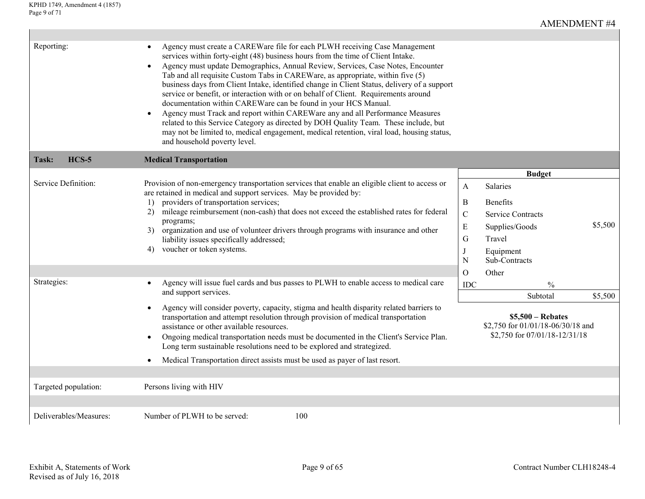$\mathsf{L}$ 

| Reporting:                         | Agency must create a CAREWare file for each PLWH receiving Case Management<br>services within forty-eight (48) business hours from the time of Client Intake.<br>Agency must update Demographics, Annual Review, Services, Case Notes, Encounter<br>$\bullet$<br>Tab and all requisite Custom Tabs in CAREWare, as appropriate, within five (5)<br>business days from Client Intake, identified change in Client Status, delivery of a support<br>service or benefit, or interaction with or on behalf of Client. Requirements around<br>documentation within CAREWare can be found in your HCS Manual.<br>Agency must Track and report within CAREWare any and all Performance Measures<br>$\bullet$<br>related to this Service Category as directed by DOH Quality Team. These include, but<br>may not be limited to, medical engagement, medical retention, viral load, housing status,<br>and household poverty level. |                                                                |                                                                                                                                              |                    |
|------------------------------------|----------------------------------------------------------------------------------------------------------------------------------------------------------------------------------------------------------------------------------------------------------------------------------------------------------------------------------------------------------------------------------------------------------------------------------------------------------------------------------------------------------------------------------------------------------------------------------------------------------------------------------------------------------------------------------------------------------------------------------------------------------------------------------------------------------------------------------------------------------------------------------------------------------------------------|----------------------------------------------------------------|----------------------------------------------------------------------------------------------------------------------------------------------|--------------------|
| $HCS-5$<br>Task:                   | <b>Medical Transportation</b>                                                                                                                                                                                                                                                                                                                                                                                                                                                                                                                                                                                                                                                                                                                                                                                                                                                                                              |                                                                |                                                                                                                                              |                    |
| Service Definition:<br>Strategies: | Provision of non-emergency transportation services that enable an eligible client to access or<br>are retained in medical and support services. May be provided by:<br>1) providers of transportation services;<br>mileage reimbursement (non-cash) that does not exceed the established rates for federal<br>2)<br>programs;<br>organization and use of volunteer drivers through programs with insurance and other<br>3)<br>liability issues specifically addressed;<br>voucher or token systems.<br>4)<br>Agency will issue fuel cards and bus passes to PLWH to enable access to medical care<br>and support services.                                                                                                                                                                                                                                                                                                 | A<br>B<br>$\mathcal{C}$<br>E<br>G<br>J<br>N<br>$\Omega$<br>IDC | <b>Budget</b><br>Salaries<br>Benefits<br><b>Service Contracts</b><br>Supplies/Goods<br>Travel<br>Equipment<br>Sub-Contracts<br>Other<br>$\%$ | \$5,500<br>\$5,500 |
|                                    | Agency will consider poverty, capacity, stigma and health disparity related barriers to<br>$\bullet$<br>transportation and attempt resolution through provision of medical transportation<br>assistance or other available resources.<br>Ongoing medical transportation needs must be documented in the Client's Service Plan.<br>$\bullet$<br>Long term sustainable resolutions need to be explored and strategized.<br>Medical Transportation direct assists must be used as payer of last resort.<br>$\bullet$                                                                                                                                                                                                                                                                                                                                                                                                          |                                                                | Subtotal<br>$$5,500 - Rebates$<br>\$2,750 for 01/01/18-06/30/18 and<br>\$2,750 for 07/01/18-12/31/18                                         |                    |
| Targeted population:               | Persons living with HIV                                                                                                                                                                                                                                                                                                                                                                                                                                                                                                                                                                                                                                                                                                                                                                                                                                                                                                    |                                                                |                                                                                                                                              |                    |
| Deliverables/Measures:             | Number of PLWH to be served:<br>100                                                                                                                                                                                                                                                                                                                                                                                                                                                                                                                                                                                                                                                                                                                                                                                                                                                                                        |                                                                |                                                                                                                                              |                    |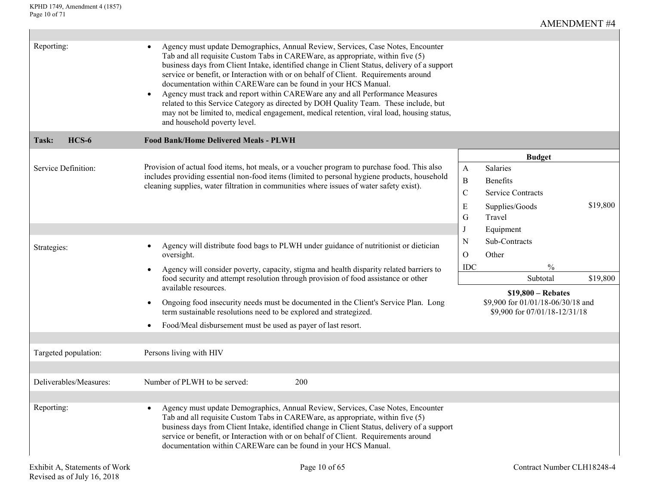| Reporting:             | Agency must update Demographics, Annual Review, Services, Case Notes, Encounter<br>Tab and all requisite Custom Tabs in CAREWare, as appropriate, within five (5)<br>business days from Client Intake, identified change in Client Status, delivery of a support<br>service or benefit, or Interaction with or on behalf of Client. Requirements around<br>documentation within CAREWare can be found in your HCS Manual.<br>Agency must track and report within CAREWare any and all Performance Measures<br>related to this Service Category as directed by DOH Quality Team. These include, but<br>may not be limited to, medical engagement, medical retention, viral load, housing status,<br>and household poverty level. |                                      |                                                                    |          |
|------------------------|---------------------------------------------------------------------------------------------------------------------------------------------------------------------------------------------------------------------------------------------------------------------------------------------------------------------------------------------------------------------------------------------------------------------------------------------------------------------------------------------------------------------------------------------------------------------------------------------------------------------------------------------------------------------------------------------------------------------------------|--------------------------------------|--------------------------------------------------------------------|----------|
| $HCS-6$<br>Task:       | <b>Food Bank/Home Delivered Meals - PLWH</b>                                                                                                                                                                                                                                                                                                                                                                                                                                                                                                                                                                                                                                                                                    |                                      |                                                                    |          |
| Service Definition:    | Provision of actual food items, hot meals, or a voucher program to purchase food. This also<br>includes providing essential non-food items (limited to personal hygiene products, household<br>cleaning supplies, water filtration in communities where issues of water safety exist).                                                                                                                                                                                                                                                                                                                                                                                                                                          | $\mathbf{A}$<br>$\, {\bf B}$         | <b>Budget</b><br>Salaries<br><b>Benefits</b>                       |          |
|                        |                                                                                                                                                                                                                                                                                                                                                                                                                                                                                                                                                                                                                                                                                                                                 | $\mathcal{C}$<br>${\bf E}$<br>G<br>J | <b>Service Contracts</b><br>Supplies/Goods<br>Travel<br>Equipment  | \$19,800 |
| Strategies:            | Agency will distribute food bags to PLWH under guidance of nutritionist or dietician<br>oversight.                                                                                                                                                                                                                                                                                                                                                                                                                                                                                                                                                                                                                              | N<br>$\mathcal{O}$<br>$IDC$          | Sub-Contracts<br>Other<br>$\frac{0}{0}$                            |          |
|                        | Agency will consider poverty, capacity, stigma and health disparity related barriers to<br>food security and attempt resolution through provision of food assistance or other<br>available resources.                                                                                                                                                                                                                                                                                                                                                                                                                                                                                                                           |                                      | Subtotal<br>$$19,800 - \text{Rebates}$                             | \$19,800 |
|                        | Ongoing food insecurity needs must be documented in the Client's Service Plan. Long<br>$\bullet$<br>term sustainable resolutions need to be explored and strategized.                                                                                                                                                                                                                                                                                                                                                                                                                                                                                                                                                           |                                      | \$9,900 for 01/01/18-06/30/18 and<br>\$9,900 for 07/01/18-12/31/18 |          |
|                        | Food/Meal disbursement must be used as payer of last resort.                                                                                                                                                                                                                                                                                                                                                                                                                                                                                                                                                                                                                                                                    |                                      |                                                                    |          |
| Targeted population:   | Persons living with HIV                                                                                                                                                                                                                                                                                                                                                                                                                                                                                                                                                                                                                                                                                                         |                                      |                                                                    |          |
|                        |                                                                                                                                                                                                                                                                                                                                                                                                                                                                                                                                                                                                                                                                                                                                 |                                      |                                                                    |          |
| Deliverables/Measures: | Number of PLWH to be served:<br>200                                                                                                                                                                                                                                                                                                                                                                                                                                                                                                                                                                                                                                                                                             |                                      |                                                                    |          |
| Reporting:             | Agency must update Demographics, Annual Review, Services, Case Notes, Encounter<br>$\bullet$<br>Tab and all requisite Custom Tabs in CAREWare, as appropriate, within five (5)<br>business days from Client Intake, identified change in Client Status, delivery of a support<br>service or benefit, or Interaction with or on behalf of Client. Requirements around<br>documentation within CAREWare can be found in your HCS Manual.                                                                                                                                                                                                                                                                                          |                                      |                                                                    |          |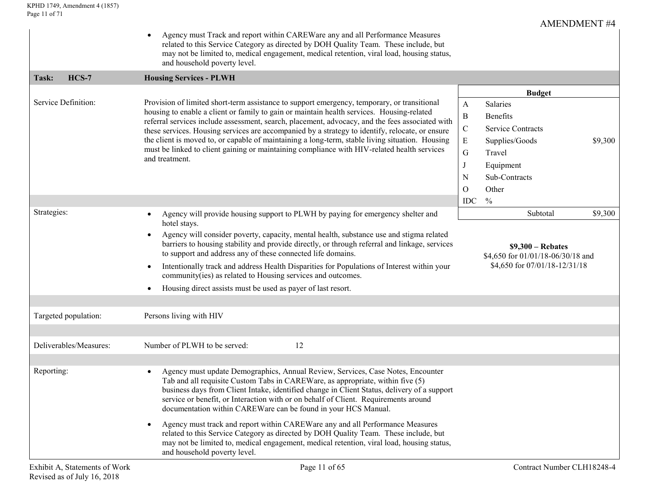|                      |                        | Agency must Track and report within CAREWare any and all Performance Measures<br>$\bullet$<br>related to this Service Category as directed by DOH Quality Team. These include, but<br>may not be limited to, medical engagement, medical retention, viral load, housing status,<br>and household poverty level.                                                                                                                                                                                                                                                                                                                                                                                                                                           |                                                                                                                        |                                                                                                                   |         |
|----------------------|------------------------|-----------------------------------------------------------------------------------------------------------------------------------------------------------------------------------------------------------------------------------------------------------------------------------------------------------------------------------------------------------------------------------------------------------------------------------------------------------------------------------------------------------------------------------------------------------------------------------------------------------------------------------------------------------------------------------------------------------------------------------------------------------|------------------------------------------------------------------------------------------------------------------------|-------------------------------------------------------------------------------------------------------------------|---------|
| Task:                | HCS-7                  | <b>Housing Services - PLWH</b>                                                                                                                                                                                                                                                                                                                                                                                                                                                                                                                                                                                                                                                                                                                            |                                                                                                                        |                                                                                                                   |         |
|                      |                        |                                                                                                                                                                                                                                                                                                                                                                                                                                                                                                                                                                                                                                                                                                                                                           |                                                                                                                        | <b>Budget</b>                                                                                                     |         |
| Service Definition:  |                        | Provision of limited short-term assistance to support emergency, temporary, or transitional<br>housing to enable a client or family to gain or maintain health services. Housing-related<br>referral services include assessment, search, placement, advocacy, and the fees associated with<br>these services. Housing services are accompanied by a strategy to identify, relocate, or ensure<br>the client is moved to, or capable of maintaining a long-term, stable living situation. Housing<br>must be linked to client gaining or maintaining compliance with HIV-related health services<br>and treatment.                                                                                                                                        | A<br>B<br>$\mathsf{C}\phantom{0}$<br>E<br>G<br>N                                                                       | Salaries<br><b>Benefits</b><br><b>Service Contracts</b><br>Supplies/Goods<br>Travel<br>Equipment<br>Sub-Contracts | \$9,300 |
|                      |                        |                                                                                                                                                                                                                                                                                                                                                                                                                                                                                                                                                                                                                                                                                                                                                           | O                                                                                                                      | Other                                                                                                             |         |
|                      |                        |                                                                                                                                                                                                                                                                                                                                                                                                                                                                                                                                                                                                                                                                                                                                                           | <b>IDC</b>                                                                                                             | $\frac{0}{0}$                                                                                                     |         |
| Strategies:          |                        | Agency will provide housing support to PLWH by paying for emergency shelter and<br>$\bullet$<br>hotel stays.<br>Agency will consider poverty, capacity, mental health, substance use and stigma related<br>$\bullet$<br>barriers to housing stability and provide directly, or through referral and linkage, services<br>to support and address any of these connected life domains.<br>Intentionally track and address Health Disparities for Populations of Interest within your<br>$\bullet$<br>community(ies) as related to Housing services and outcomes.<br>Housing direct assists must be used as payer of last resort.<br>$\bullet$                                                                                                               | Subtotal<br>\$9,300<br>$$9,300 - \text{Rebates}$<br>\$4,650 for 01/01/18-06/30/18 and<br>\$4,650 for 07/01/18-12/31/18 |                                                                                                                   |         |
| Targeted population: |                        | Persons living with HIV                                                                                                                                                                                                                                                                                                                                                                                                                                                                                                                                                                                                                                                                                                                                   |                                                                                                                        |                                                                                                                   |         |
|                      | Deliverables/Measures: | 12<br>Number of PLWH to be served:                                                                                                                                                                                                                                                                                                                                                                                                                                                                                                                                                                                                                                                                                                                        |                                                                                                                        |                                                                                                                   |         |
| Reporting:           |                        | Agency must update Demographics, Annual Review, Services, Case Notes, Encounter<br>$\bullet$<br>Tab and all requisite Custom Tabs in CAREWare, as appropriate, within five (5)<br>business days from Client Intake, identified change in Client Status, delivery of a support<br>service or benefit, or Interaction with or on behalf of Client. Requirements around<br>documentation within CAREWare can be found in your HCS Manual.<br>Agency must track and report within CAREWare any and all Performance Measures<br>$\bullet$<br>related to this Service Category as directed by DOH Quality Team. These include, but<br>may not be limited to, medical engagement, medical retention, viral load, housing status,<br>and household poverty level. |                                                                                                                        |                                                                                                                   |         |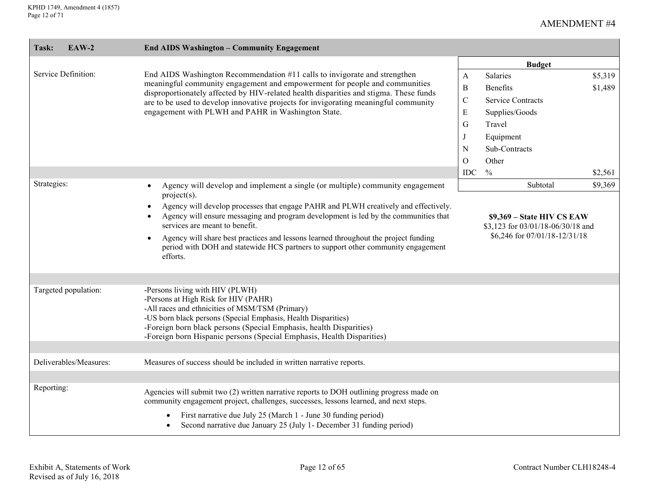| Task:       | EAW-2                  | <b>End AIDS Washington - Community Engagement</b>                                                                                                                                                                                                                                                                                                                                                   |               |                                                                                                   |         |
|-------------|------------------------|-----------------------------------------------------------------------------------------------------------------------------------------------------------------------------------------------------------------------------------------------------------------------------------------------------------------------------------------------------------------------------------------------------|---------------|---------------------------------------------------------------------------------------------------|---------|
|             |                        |                                                                                                                                                                                                                                                                                                                                                                                                     |               | <b>Budget</b>                                                                                     |         |
|             | Service Definition:    | End AIDS Washington Recommendation #11 calls to invigorate and strengthen                                                                                                                                                                                                                                                                                                                           | A             | Salaries                                                                                          | \$5,319 |
|             |                        | meaningful community engagement and empowerment for people and communities<br>disproportionately affected by HIV-related health disparities and stigma. These funds<br>are to be used to develop innovative projects for invigorating meaningful community                                                                                                                                          | $\bf{B}$      | <b>Benefits</b>                                                                                   | \$1,489 |
|             |                        |                                                                                                                                                                                                                                                                                                                                                                                                     | $\mathcal{C}$ | <b>Service Contracts</b>                                                                          |         |
|             |                        | engagement with PLWH and PAHR in Washington State.                                                                                                                                                                                                                                                                                                                                                  | E             | Supplies/Goods                                                                                    |         |
|             |                        |                                                                                                                                                                                                                                                                                                                                                                                                     | G             | Travel                                                                                            |         |
|             |                        |                                                                                                                                                                                                                                                                                                                                                                                                     | J             | Equipment                                                                                         |         |
|             |                        |                                                                                                                                                                                                                                                                                                                                                                                                     | N             | Sub-Contracts                                                                                     |         |
|             |                        |                                                                                                                                                                                                                                                                                                                                                                                                     | $\Omega$      | Other                                                                                             |         |
|             |                        |                                                                                                                                                                                                                                                                                                                                                                                                     | <b>IDC</b>    | $\frac{0}{0}$                                                                                     | \$2,561 |
| Strategies: |                        | Agency will develop and implement a single (or multiple) community engagement<br>$\bullet$<br>$project(s)$ .                                                                                                                                                                                                                                                                                        |               | Subtotal                                                                                          | \$9,369 |
|             |                        | Agency will develop processes that engage PAHR and PLWH creatively and effectively.<br>Agency will ensure messaging and program development is led by the communities that<br>services are meant to benefit.<br>Agency will share best practices and lessons learned throughout the project funding<br>period with DOH and statewide HCS partners to support other community engagement<br>efforts. |               | $$9,369$ – State HIV CS EAW<br>\$3,123 for 03/01/18-06/30/18 and<br>\$6,246 for 07/01/18-12/31/18 |         |
|             | Targeted population:   | -Persons living with HIV (PLWH)<br>-Persons at High Risk for HIV (PAHR)<br>-All races and ethnicities of MSM/TSM (Primary)<br>-US born black persons (Special Emphasis, Health Disparities)<br>-Foreign born black persons (Special Emphasis, health Disparities)<br>-Foreign born Hispanic persons (Special Emphasis, Health Disparities)                                                          |               |                                                                                                   |         |
|             | Deliverables/Measures: | Measures of success should be included in written narrative reports.                                                                                                                                                                                                                                                                                                                                |               |                                                                                                   |         |
|             |                        |                                                                                                                                                                                                                                                                                                                                                                                                     |               |                                                                                                   |         |
| Reporting:  |                        | Agencies will submit two (2) written narrative reports to DOH outlining progress made on<br>community engagement project, challenges, successes, lessons learned, and next steps.                                                                                                                                                                                                                   |               |                                                                                                   |         |
|             |                        | First narrative due July 25 (March 1 - June 30 funding period)<br>$\bullet$<br>Second narrative due January 25 (July 1- December 31 funding period)                                                                                                                                                                                                                                                 |               |                                                                                                   |         |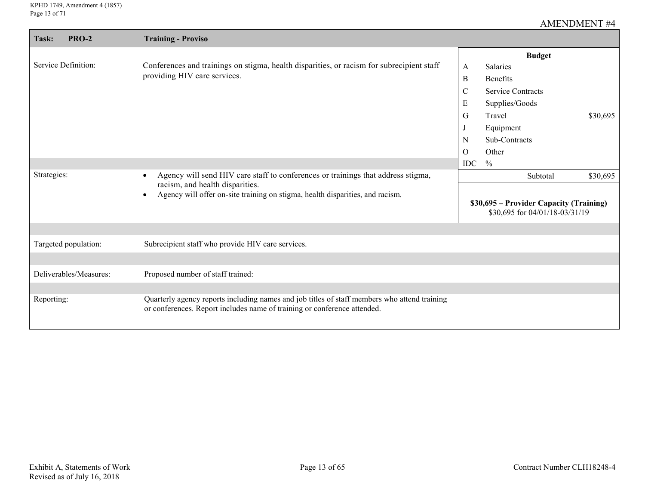| <b>PRO-2</b><br>Task:                                                                                                         | <b>Training - Proviso</b>                                                                                                                                                |              |                                                                           |          |
|-------------------------------------------------------------------------------------------------------------------------------|--------------------------------------------------------------------------------------------------------------------------------------------------------------------------|--------------|---------------------------------------------------------------------------|----------|
|                                                                                                                               |                                                                                                                                                                          |              | <b>Budget</b>                                                             |          |
| Service Definition:                                                                                                           | Conferences and trainings on stigma, health disparities, or racism for subrecipient staff                                                                                | A            | Salaries                                                                  |          |
|                                                                                                                               | providing HIV care services.                                                                                                                                             | $\, {\bf B}$ | <b>Benefits</b>                                                           |          |
|                                                                                                                               |                                                                                                                                                                          | $\mathsf{C}$ | <b>Service Contracts</b>                                                  |          |
|                                                                                                                               |                                                                                                                                                                          | ${\bf E}$    | Supplies/Goods                                                            |          |
|                                                                                                                               |                                                                                                                                                                          | G            | Travel                                                                    | \$30,695 |
|                                                                                                                               |                                                                                                                                                                          |              | Equipment                                                                 |          |
|                                                                                                                               |                                                                                                                                                                          | N            | Sub-Contracts                                                             |          |
|                                                                                                                               |                                                                                                                                                                          | $\Omega$     | Other                                                                     |          |
|                                                                                                                               |                                                                                                                                                                          | IDC          | $\frac{0}{0}$                                                             |          |
| Strategies:                                                                                                                   | Agency will send HIV care staff to conferences or trainings that address stigma,                                                                                         |              | Subtotal                                                                  | \$30,695 |
| racism, and health disparities.<br>Agency will offer on-site training on stigma, health disparities, and racism.<br>$\bullet$ |                                                                                                                                                                          |              | \$30,695 – Provider Capacity (Training)<br>\$30,695 for 04/01/18-03/31/19 |          |
| Targeted population:                                                                                                          | Subrecipient staff who provide HIV care services.                                                                                                                        |              |                                                                           |          |
|                                                                                                                               |                                                                                                                                                                          |              |                                                                           |          |
| Deliverables/Measures:                                                                                                        | Proposed number of staff trained:                                                                                                                                        |              |                                                                           |          |
|                                                                                                                               |                                                                                                                                                                          |              |                                                                           |          |
| Reporting:                                                                                                                    | Quarterly agency reports including names and job titles of staff members who attend training<br>or conferences. Report includes name of training or conference attended. |              |                                                                           |          |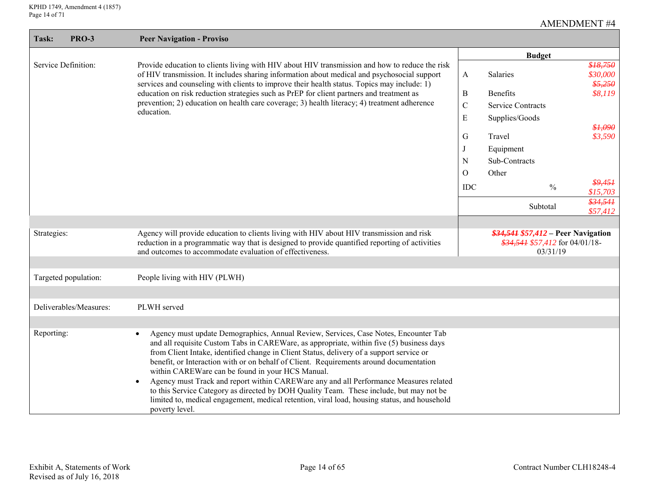$\overline{\phantom{a}}$ 

| <b>PRO-3</b><br>Task:  | <b>Peer Navigation - Proviso</b>                                                                                                                                                                                                                                                                                                                                                                                                                                                                                                                                                                                                                                                                                                                          |                 |                                                                                     |                                 |
|------------------------|-----------------------------------------------------------------------------------------------------------------------------------------------------------------------------------------------------------------------------------------------------------------------------------------------------------------------------------------------------------------------------------------------------------------------------------------------------------------------------------------------------------------------------------------------------------------------------------------------------------------------------------------------------------------------------------------------------------------------------------------------------------|-----------------|-------------------------------------------------------------------------------------|---------------------------------|
|                        |                                                                                                                                                                                                                                                                                                                                                                                                                                                                                                                                                                                                                                                                                                                                                           |                 | <b>Budget</b>                                                                       |                                 |
| Service Definition:    | Provide education to clients living with HIV about HIV transmission and how to reduce the risk<br>of HIV transmission. It includes sharing information about medical and psychosocial support<br>services and counseling with clients to improve their health status. Topics may include: 1)                                                                                                                                                                                                                                                                                                                                                                                                                                                              | A               | Salaries                                                                            | \$18,750<br>\$30,000<br>\$5,250 |
|                        | education on risk reduction strategies such as PrEP for client partners and treatment as                                                                                                                                                                                                                                                                                                                                                                                                                                                                                                                                                                                                                                                                  | B               | <b>Benefits</b>                                                                     | \$8,119                         |
|                        | prevention; 2) education on health care coverage; 3) health literacy; 4) treatment adherence                                                                                                                                                                                                                                                                                                                                                                                                                                                                                                                                                                                                                                                              | $\mathbf C$     | <b>Service Contracts</b>                                                            |                                 |
|                        | education.                                                                                                                                                                                                                                                                                                                                                                                                                                                                                                                                                                                                                                                                                                                                                | E               | Supplies/Goods                                                                      |                                 |
|                        |                                                                                                                                                                                                                                                                                                                                                                                                                                                                                                                                                                                                                                                                                                                                                           |                 |                                                                                     | \$1,090                         |
|                        |                                                                                                                                                                                                                                                                                                                                                                                                                                                                                                                                                                                                                                                                                                                                                           | G               | Travel                                                                              | \$3,590                         |
|                        |                                                                                                                                                                                                                                                                                                                                                                                                                                                                                                                                                                                                                                                                                                                                                           |                 | Equipment                                                                           |                                 |
|                        |                                                                                                                                                                                                                                                                                                                                                                                                                                                                                                                                                                                                                                                                                                                                                           | N               | Sub-Contracts<br>Other                                                              |                                 |
|                        |                                                                                                                                                                                                                                                                                                                                                                                                                                                                                                                                                                                                                                                                                                                                                           | O<br><b>IDC</b> | $\frac{0}{0}$                                                                       | \$9,451<br>\$15,703             |
|                        |                                                                                                                                                                                                                                                                                                                                                                                                                                                                                                                                                                                                                                                                                                                                                           |                 | Subtotal                                                                            | \$34,541<br>\$57,412            |
|                        |                                                                                                                                                                                                                                                                                                                                                                                                                                                                                                                                                                                                                                                                                                                                                           |                 |                                                                                     |                                 |
| Strategies:            | Agency will provide education to clients living with HIV about HIV transmission and risk<br>reduction in a programmatic way that is designed to provide quantified reporting of activities<br>and outcomes to accommodate evaluation of effectiveness.                                                                                                                                                                                                                                                                                                                                                                                                                                                                                                    |                 | \$34,541 \$57,412 – Peer Navigation<br>$$34,541$ \$57,412 for 04/01/18-<br>03/31/19 |                                 |
|                        |                                                                                                                                                                                                                                                                                                                                                                                                                                                                                                                                                                                                                                                                                                                                                           |                 |                                                                                     |                                 |
| Targeted population:   | People living with HIV (PLWH)                                                                                                                                                                                                                                                                                                                                                                                                                                                                                                                                                                                                                                                                                                                             |                 |                                                                                     |                                 |
|                        |                                                                                                                                                                                                                                                                                                                                                                                                                                                                                                                                                                                                                                                                                                                                                           |                 |                                                                                     |                                 |
| Deliverables/Measures: | PLWH served                                                                                                                                                                                                                                                                                                                                                                                                                                                                                                                                                                                                                                                                                                                                               |                 |                                                                                     |                                 |
|                        |                                                                                                                                                                                                                                                                                                                                                                                                                                                                                                                                                                                                                                                                                                                                                           |                 |                                                                                     |                                 |
| Reporting:             | Agency must update Demographics, Annual Review, Services, Case Notes, Encounter Tab<br>$\bullet$<br>and all requisite Custom Tabs in CAREWare, as appropriate, within five (5) business days<br>from Client Intake, identified change in Client Status, delivery of a support service or<br>benefit, or Interaction with or on behalf of Client. Requirements around documentation<br>within CAREWare can be found in your HCS Manual.<br>Agency must Track and report within CAREWare any and all Performance Measures related<br>$\bullet$<br>to this Service Category as directed by DOH Quality Team. These include, but may not be<br>limited to, medical engagement, medical retention, viral load, housing status, and household<br>poverty level. |                 |                                                                                     |                                 |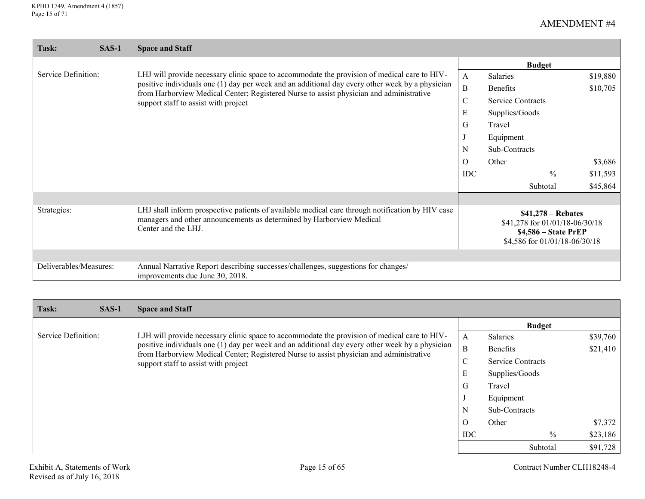| Task:                  | $SAS-1$ | <b>Space and Staff</b>                                                                                                                                                                          |                                                                                                                       |                          |          |
|------------------------|---------|-------------------------------------------------------------------------------------------------------------------------------------------------------------------------------------------------|-----------------------------------------------------------------------------------------------------------------------|--------------------------|----------|
|                        |         |                                                                                                                                                                                                 |                                                                                                                       | <b>Budget</b>            |          |
| Service Definition:    |         | LHJ will provide necessary clinic space to accommodate the provision of medical care to HIV-                                                                                                    | $\mathsf{A}$                                                                                                          | <b>Salaries</b>          | \$19,880 |
|                        |         | positive individuals one (1) day per week and an additional day every other week by a physician                                                                                                 | B                                                                                                                     | <b>Benefits</b>          | \$10,705 |
|                        |         | from Harborview Medical Center; Registered Nurse to assist physician and administrative<br>support staff to assist with project                                                                 | $\mathsf{C}$                                                                                                          | <b>Service Contracts</b> |          |
|                        |         |                                                                                                                                                                                                 | E                                                                                                                     | Supplies/Goods           |          |
|                        |         |                                                                                                                                                                                                 | G                                                                                                                     | Travel                   |          |
|                        |         |                                                                                                                                                                                                 |                                                                                                                       | Equipment                |          |
|                        |         |                                                                                                                                                                                                 | N                                                                                                                     | Sub-Contracts            |          |
|                        |         |                                                                                                                                                                                                 | Ω                                                                                                                     | Other                    | \$3,686  |
|                        |         |                                                                                                                                                                                                 | <b>IDC</b>                                                                                                            | $\frac{0}{0}$            | \$11,593 |
|                        |         |                                                                                                                                                                                                 |                                                                                                                       | Subtotal                 | \$45,864 |
|                        |         |                                                                                                                                                                                                 |                                                                                                                       |                          |          |
| Strategies:            |         | LHJ shall inform prospective patients of available medical care through notification by HIV case<br>managers and other announcements as determined by Harborview Medical<br>Center and the LHJ. | $$41,278 - \text{Rebates}$<br>\$41,278 for 01/01/18-06/30/18<br>\$4,586 - State PrEP<br>\$4,586 for 01/01/18-06/30/18 |                          |          |
|                        |         |                                                                                                                                                                                                 |                                                                                                                       |                          |          |
| Deliverables/Measures: |         | Annual Narrative Report describing successes/challenges, suggestions for changes/<br>improvements due June 30, 2018.                                                                            |                                                                                                                       |                          |          |

| Task:               | $SAS-1$ | <b>Space and Staff</b>                                                                                                                                                                                                                                                                                                             |                  |                          |          |
|---------------------|---------|------------------------------------------------------------------------------------------------------------------------------------------------------------------------------------------------------------------------------------------------------------------------------------------------------------------------------------|------------------|--------------------------|----------|
|                     |         |                                                                                                                                                                                                                                                                                                                                    |                  | <b>Budget</b>            |          |
| Service Definition: |         | LJH will provide necessary clinic space to accommodate the provision of medical care to HIV-<br>positive individuals one (1) day per week and an additional day every other week by a physician<br>from Harborview Medical Center; Registered Nurse to assist physician and administrative<br>support staff to assist with project | A                | Salaries                 | \$39,760 |
|                     |         |                                                                                                                                                                                                                                                                                                                                    | $\boldsymbol{B}$ | Benefits                 | \$21,410 |
|                     |         |                                                                                                                                                                                                                                                                                                                                    | ◡                | <b>Service Contracts</b> |          |
|                     |         |                                                                                                                                                                                                                                                                                                                                    | E                | Supplies/Goods           |          |
|                     |         |                                                                                                                                                                                                                                                                                                                                    | G                | Travel                   |          |
|                     |         |                                                                                                                                                                                                                                                                                                                                    |                  | Equipment                |          |
|                     |         |                                                                                                                                                                                                                                                                                                                                    | N                | Sub-Contracts            |          |
|                     |         |                                                                                                                                                                                                                                                                                                                                    | $\Omega$         | Other                    | \$7,372  |
|                     |         |                                                                                                                                                                                                                                                                                                                                    | <b>IDC</b>       | $\%$                     | \$23,186 |
|                     |         |                                                                                                                                                                                                                                                                                                                                    |                  | Subtotal                 | \$91,728 |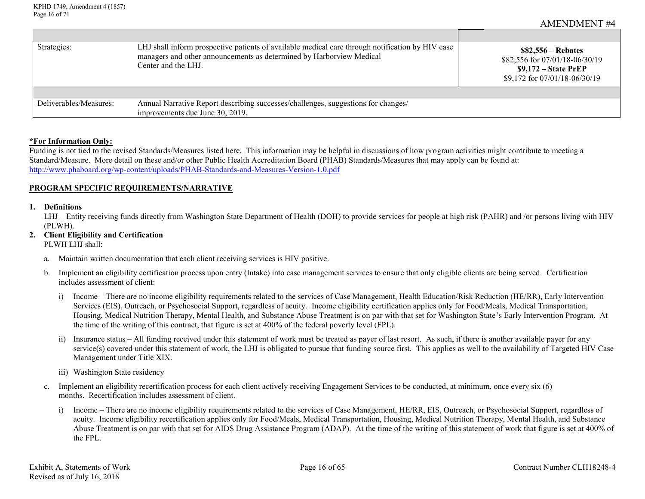| Strategies:            | LHJ shall inform prospective patients of available medical care through notification by HIV case<br>managers and other announcements as determined by Harborview Medical<br>Center and the LHJ. | $$82,556 - \text{Rebates}$<br>\$82,556 for 07/01/18-06/30/19<br>$$9,172$ – State PrEP<br>\$9,172 for 07/01/18-06/30/19 |
|------------------------|-------------------------------------------------------------------------------------------------------------------------------------------------------------------------------------------------|------------------------------------------------------------------------------------------------------------------------|
|                        |                                                                                                                                                                                                 |                                                                                                                        |
| Deliverables/Measures: | Annual Narrative Report describing successes/challenges, suggestions for changes/<br>improvements due June 30, 2019.                                                                            |                                                                                                                        |

#### **\*For Information Only:**

Funding is not tied to the revised Standards/Measures listed here. This information may be helpful in discussions of how program activities might contribute to meeting a Standard/Measure. More detail on these and/or other Public Health Accreditation Board (PHAB) Standards/Measures that may apply can be found at: <http://www.phaboard.org/wp-content/uploads/PHAB-Standards-and-Measures-Version-1.0.pdf>

#### **PROGRAM SPECIFIC REQUIREMENTS/NARRATIVE**

#### **1. Definitions**

LHJ – Entity receiving funds directly from Washington State Department of Health (DOH) to provide services for people at high risk (PAHR) and /or persons living with HIV (PLWH).

# **2. Client Eligibility and Certification**

PLWH LHJ shall:

- a. Maintain written documentation that each client receiving services is HIV positive.
- b. Implement an eligibility certification process upon entry (Intake) into case management services to ensure that only eligible clients are being served. Certification includes assessment of client:
	- i) Income There are no income eligibility requirements related to the services of Case Management, Health Education/Risk Reduction (HE/RR), Early Intervention Services (EIS), Outreach, or Psychosocial Support, regardless of acuity. Income eligibility certification applies only for Food/Meals, Medical Transportation, Housing, Medical Nutrition Therapy, Mental Health, and Substance Abuse Treatment is on par with that set for Washington State's Early Intervention Program. At the time of the writing of this contract, that figure is set at 400% of the federal poverty level (FPL).
	- ii) Insurance status All funding received under this statement of work must be treated as payer of last resort. As such, if there is another available payer for any service(s) covered under this statement of work, the LHJ is obligated to pursue that funding source first. This applies as well to the availability of Targeted HIV Case Management under Title XIX.
	- iii) Washington State residency
- c. Implement an eligibility recertification process for each client actively receiving Engagement Services to be conducted, at minimum, once every six (6) months. Recertification includes assessment of client.
	- i) Income There are no income eligibility requirements related to the services of Case Management, HE/RR, EIS, Outreach, or Psychosocial Support, regardless of acuity. Income eligibility recertification applies only for Food/Meals, Medical Transportation, Housing, Medical Nutrition Therapy, Mental Health, and Substance Abuse Treatment is on par with that set for AIDS Drug Assistance Program (ADAP). At the time of the writing of this statement of work that figure is set at 400% of the FPL.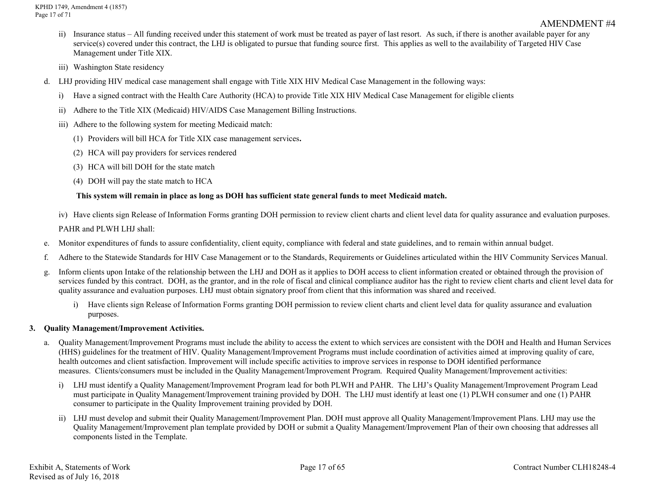- ii) Insurance status All funding received under this statement of work must be treated as payer of last resort. As such, if there is another available payer for any service(s) covered under this contract, the LHJ is obligated to pursue that funding source first. This applies as well to the availability of Targeted HIV Case Management under Title XIX.
- iii) Washington State residency
- d. LHJ providing HIV medical case management shall engage with Title XIX HIV Medical Case Management in the following ways:
	- i) Have a signed contract with the Health Care Authority (HCA) to provide Title XIX HIV Medical Case Management for eligible clients
	- ii) Adhere to the Title XIX (Medicaid) HIV/AIDS Case Management Billing Instructions.
	- iii) Adhere to the following system for meeting Medicaid match:
		- (1) Providers will bill HCA for Title XIX case management services**.**
		- (2) HCA will pay providers for services rendered
		- (3) HCA will bill DOH for the state match
		- (4) DOH will pay the state match to HCA

#### **This system will remain in place as long as DOH has sufficient state general funds to meet Medicaid match.**

iv) Have clients sign Release of Information Forms granting DOH permission to review client charts and client level data for quality assurance and evaluation purposes.

PAHR and PLWH LHJ shall:

- e. Monitor expenditures of funds to assure confidentiality, client equity, compliance with federal and state guidelines, and to remain within annual budget.
- f. Adhere to the Statewide Standards for HIV Case Management or to the Standards, Requirements or Guidelines articulated within the HIV Community Services Manual.
- g. Inform clients upon Intake of the relationship between the LHJ and DOH as it applies to DOH access to client information created or obtained through the provision of services funded by this contract. DOH, as the grantor, and in the role of fiscal and clinical compliance auditor has the right to review client charts and client level data for quality assurance and evaluation purposes. LHJ must obtain signatory proof from client that this information was shared and received.
	- i) Have clients sign Release of Information Forms granting DOH permission to review client charts and client level data for quality assurance and evaluation purposes.

## **3. Quality Management/Improvement Activities.**

- a. Quality Management/Improvement Programs must include the ability to access the extent to which services are consistent with the DOH and Health and Human Services (HHS) guidelines for the treatment of HIV. Quality Management/Improvement Programs must include coordination of activities aimed at improving quality of care, health outcomes and client satisfaction. Improvement will include specific activities to improve services in response to DOH identified performance measures. Clients/consumers must be included in the Quality Management/Improvement Program. Required Quality Management/Improvement activities:
	- i) LHJ must identify a Quality Management/Improvement Program lead for both PLWH and PAHR. The LHJ's Quality Management/Improvement Program Lead must participate in Quality Management/Improvement training provided by DOH. The LHJ must identify at least one (1) PLWH consumer and one (1) PAHR consumer to participate in the Quality Improvement training provided by DOH.
	- ii) LHJ must develop and submit their Quality Management/Improvement Plan. DOH must approve all Quality Management/Improvement Plans. LHJ may use the Quality Management/Improvement plan template provided by DOH or submit a Quality Management/Improvement Plan of their own choosing that addresses all components listed in the Template.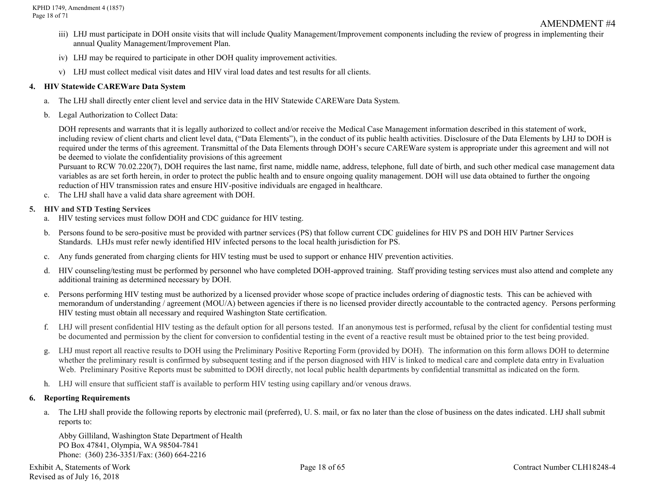- iii) LHJ must participate in DOH onsite visits that will include Quality Management/Improvement components including the review of progress in implementing their annual Quality Management/Improvement Plan.
- iv) LHJ may be required to participate in other DOH quality improvement activities.
- v) LHJ must collect medical visit dates and HIV viral load dates and test results for all clients.

#### **4. HIV Statewide CAREWare Data System**

- a. The LHJ shall directly enter client level and service data in the HIV Statewide CAREWare Data System.
- b. Legal Authorization to Collect Data:

DOH represents and warrants that it is legally authorized to collect and/or receive the Medical Case Management information described in this statement of work, including review of client charts and client level data, ("Data Elements"), in the conduct of its public health activities. Disclosure of the Data Elements by LHJ to DOH is required under the terms of this agreement. Transmittal of the Data Elements through DOH's secure CAREWare system is appropriate under this agreement and will not be deemed to violate the confidentiality provisions of this agreement

Pursuant to RCW 70.02.220(7), DOH requires the last name, first name, middle name, address, telephone, full date of birth, and such other medical case management data variables as are set forth herein, in order to protect the public health and to ensure ongoing quality management. DOH will use data obtained to further the ongoing reduction of HIV transmission rates and ensure HIV-positive individuals are engaged in healthcare.

c. The LHJ shall have a valid data share agreement with DOH.

## **5. HIV and STD Testing Services**

- a. HIV testing services must follow DOH and CDC guidance for HIV testing.
- b. Persons found to be sero-positive must be provided with partner services (PS) that follow current CDC guidelines for HIV PS and DOH HIV Partner Services Standards. LHJs must refer newly identified HIV infected persons to the local health jurisdiction for PS.
- c. Any funds generated from charging clients for HIV testing must be used to support or enhance HIV prevention activities.
- d. HIV counseling/testing must be performed by personnel who have completed DOH-approved training. Staff providing testing services must also attend and complete any additional training as determined necessary by DOH.
- e. Persons performing HIV testing must be authorized by a licensed provider whose scope of practice includes ordering of diagnostic tests. This can be achieved with memorandum of understanding / agreement (MOU/A) between agencies if there is no licensed provider directly accountable to the contracted agency. Persons performing HIV testing must obtain all necessary and required Washington State certification.
- f. LHJ will present confidential HIV testing as the default option for all persons tested. If an anonymous test is performed, refusal by the client for confidential testing must be documented and permission by the client for conversion to confidential testing in the event of a reactive result must be obtained prior to the test being provided.
- g. LHJ must report all reactive results to DOH using the Preliminary Positive Reporting Form (provided by DOH). The information on this form allows DOH to determine whether the preliminary result is confirmed by subsequent testing and if the person diagnosed with HIV is linked to medical care and complete data entry in Evaluation Web. Preliminary Positive Reports must be submitted to DOH directly, not local public health departments by confidential transmittal as indicated on the form.
- h. LHJ will ensure that sufficient staff is available to perform HIV testing using capillary and/or venous draws.

## **6. Reporting Requirements**

a. The LHJ shall provide the following reports by electronic mail (preferred), U. S. mail, or fax no later than the close of business on the dates indicated. LHJ shall submit reports to:

Abby Gilliland, Washington State Department of Health PO Box 47841, Olympia, WA 98504-7841 Phone: (360) 236-3351/Fax: (360) 664-2216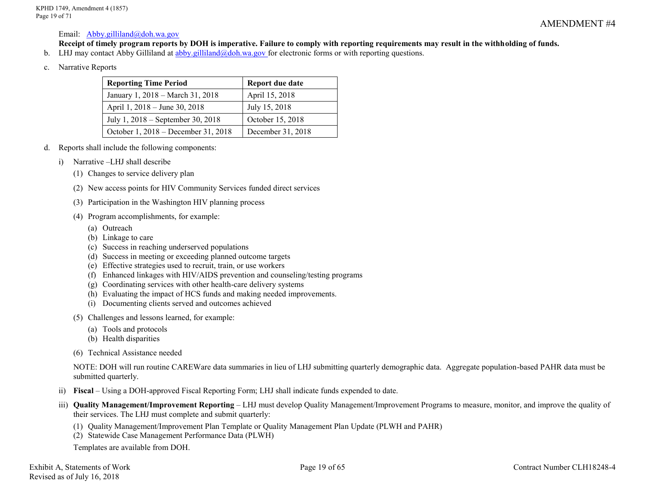#### Email: [Abby.gilliland@doh.wa.gov](mailto:Abby.gilliland@doh.wa.gov)

**Receipt of timely program reports by DOH is imperative. Failure to comply with reporting requirements may result in the withholding of funds.**

- b. LHJ may contact Abby Gilliland at [abby.gilliland@doh.wa.gov](mailto:abby.gilliland@doh.wa.gov) for electronic forms or with reporting questions.
- c. Narrative Reports

| <b>Reporting Time Period</b>        | Report due date   |
|-------------------------------------|-------------------|
| January 1, 2018 – March 31, 2018    | April 15, 2018    |
| April 1, 2018 – June 30, 2018       | July 15, 2018     |
| July 1, 2018 – September 30, 2018   | October 15, 2018  |
| October 1, 2018 – December 31, 2018 | December 31, 2018 |

- d. Reports shall include the following components:
	- i) Narrative –LHJ shall describe
		- (1) Changes to service delivery plan
		- (2) New access points for HIV Community Services funded direct services
		- (3) Participation in the Washington HIV planning process
		- (4) Program accomplishments, for example:
			- (a) Outreach
			- (b) Linkage to care
			- (c) Success in reaching underserved populations
			- (d) Success in meeting or exceeding planned outcome targets
			- (e) Effective strategies used to recruit, train, or use workers
			- (f) Enhanced linkages with HIV/AIDS prevention and counseling/testing programs
			- (g) Coordinating services with other health-care delivery systems
			- (h) Evaluating the impact of HCS funds and making needed improvements.
			- (i) Documenting clients served and outcomes achieved
		- (5) Challenges and lessons learned, for example:
			- (a) Tools and protocols
			- (b) Health disparities
		- (6) Technical Assistance needed

NOTE: DOH will run routine CAREWare data summaries in lieu of LHJ submitting quarterly demographic data. Aggregate population-based PAHR data must be submitted quarterly.

- ii) **Fiscal** Using a DOH-approved Fiscal Reporting Form; LHJ shall indicate funds expended to date.
- iii) Quality Management/Improvement Reporting LHJ must develop Quality Management/Improvement Programs to measure, monitor, and improve the quality of their services. The LHJ must complete and submit quarterly:
	- (1) Quality Management/Improvement Plan Template or Quality Management Plan Update (PLWH and PAHR)
	- (2) Statewide Case Management Performance Data (PLWH)

Templates are available from DOH.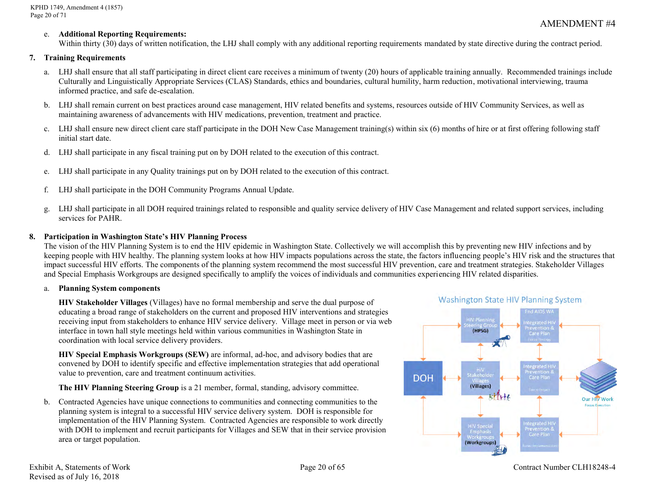#### e. **Additional Reporting Requirements:**

Within thirty (30) days of written notification, the LHJ shall comply with any additional reporting requirements mandated by state directive during the contract period.

#### **7. Training Requirements**

- a. LHJ shall ensure that all staff participating in direct client care receives a minimum of twenty (20) hours of applicable training annually. Recommended trainings include Culturally and Linguistically Appropriate Services (CLAS) Standards, ethics and boundaries, cultural humility, harm reduction, motivational interviewing, trauma informed practice, and safe de-escalation.
- b. LHJ shall remain current on best practices around case management, HIV related benefits and systems, resources outside of HIV Community Services, as well as maintaining awareness of advancements with HIV medications, prevention, treatment and practice.
- c. LHJ shall ensure new direct client care staff participate in the DOH New Case Management training(s) within six (6) months of hire or at first offering following staff initial start date.
- d. LHJ shall participate in any fiscal training put on by DOH related to the execution of this contract.
- e. LHJ shall participate in any Quality trainings put on by DOH related to the execution of this contract.
- f. LHJ shall participate in the DOH Community Programs Annual Update.
- g. LHJ shall participate in all DOH required trainings related to responsible and quality service delivery of HIV Case Management and related support services, including services for PAHR.

#### **8. Participation in Washington State's HIV Planning Process**

The vision of the HIV Planning System is to end the HIV epidemic in Washington State. Collectively we will accomplish this by preventing new HIV infections and by keeping people with HIV healthy. The planning system looks at how HIV impacts populations across the state, the factors influencing people's HIV risk and the structures that impact successful HIV efforts. The components of the planning system recommend the most successful HIV prevention, care and treatment strategies. Stakeholder Villages and Special Emphasis Workgroups are designed specifically to amplify the voices of individuals and communities experiencing HIV related disparities.

#### a. **Planning System components**

**HIV Stakeholder Villages** (Villages) have no formal membership and serve the dual purpose of educating a broad range of stakeholders on the current and proposed HIV interventions and strategies receiving input from stakeholders to enhance HIV service delivery. Village meet in person or via web interface in town hall style meetings held within various communities in Washington State in coordination with local service delivery providers.

**HIV Special Emphasis Workgroups (SEW)** are informal, ad-hoc, and advisory bodies that are convened by DOH to identify specific and effective implementation strategies that add operational value to prevention, care and treatment continuum activities.

**The HIV Planning Steering Group** is a 21 member, formal, standing, advisory committee.

b. Contracted Agencies have unique connections to communities and connecting communities to the planning system is integral to a successful HIV service delivery system. DOH is responsible for implementation of the HIV Planning System. Contracted Agencies are responsible to work directly with DOH to implement and recruit participants for Villages and SEW that in their service provision area or target population.



#### **Washington State HIV Planning System**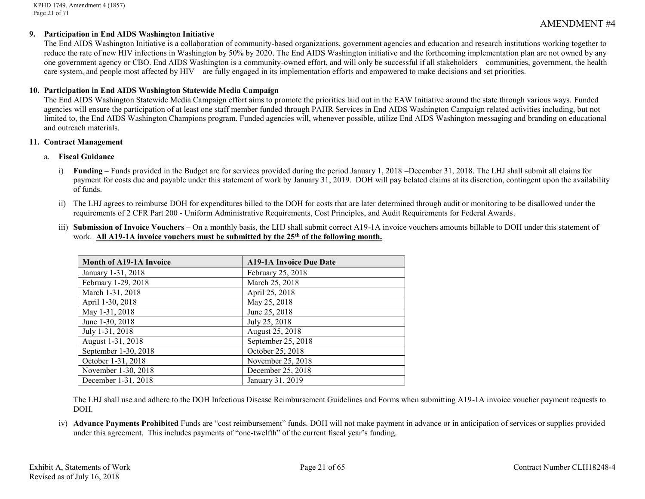KPHD 1749, Amendment 4 (1857) Page 21 of 71

# AMENDMENT #4

#### **9. Participation in End AIDS Washington Initiative**

The End AIDS Washington Initiative is a collaboration of community-based organizations, government agencies and education and research institutions working together to reduce the rate of new HIV infections in Washington by 50% by 2020. The End AIDS Washington initiative and the forthcoming implementation plan are not owned by any one government agency or CBO. End AIDS Washington is a community-owned effort, and will only be successful if all stakeholders—communities, government, the health care system, and people most affected by HIV—are fully engaged in its implementation efforts and empowered to make decisions and set priorities.

#### **10. Participation in End AIDS Washington Statewide Media Campaign**

The End AIDS Washington Statewide Media Campaign effort aims to promote the priorities laid out in the EAW Initiative around the state through various ways. Funded agencies will ensure the participation of at least one staff member funded through PAHR Services in End AIDS Washington Campaign related activities including, but not limited to, the End AIDS Washington Champions program. Funded agencies will, whenever possible, utilize End AIDS Washington messaging and branding on educational and outreach materials.

#### **11. Contract Management**

#### a. **Fiscal Guidance**

- i) **Funding** Funds provided in the Budget are for services provided during the period January 1, 2018 –December 31, 2018. The LHJ shall submit all claims for payment for costs due and payable under this statement of work by January 31, 2019. DOH will pay belated claims at its discretion, contingent upon the availability of funds.
- ii) The LHJ agrees to reimburse DOH for expenditures billed to the DOH for costs that are later determined through audit or monitoring to be disallowed under the requirements of 2 CFR Part 200 - Uniform Administrative Requirements, Cost Principles, and Audit Requirements for Federal Awards.
- iii) **Submission of Invoice Vouchers** On a monthly basis, the LHJ shall submit correct A19-1A invoice vouchers amounts billable to DOH under this statement of work. **All A19-1A invoice vouchers must be submitted by the 25th of the following month.**

| <b>Month of A19-1A Invoice</b> | <b>A19-1A Invoice Due Date</b> |
|--------------------------------|--------------------------------|
| January 1-31, 2018             | February 25, 2018              |
| February 1-29, 2018            | March 25, 2018                 |
| March 1-31, 2018               | April 25, 2018                 |
| April 1-30, 2018               | May 25, 2018                   |
| May 1-31, 2018                 | June 25, 2018                  |
| June 1-30, 2018                | July 25, 2018                  |
| July 1-31, 2018                | August 25, 2018                |
| August 1-31, 2018              | September 25, 2018             |
| September 1-30, 2018           | October 25, 2018               |
| October 1-31, 2018             | November 25, 2018              |
| November 1-30, 2018            | December 25, 2018              |
| December 1-31, 2018            | January 31, 2019               |

The LHJ shall use and adhere to the DOH Infectious Disease Reimbursement Guidelines and Forms when submitting A19-1A invoice voucher payment requests to DOH.

iv) **Advance Payments Prohibited** Funds are "cost reimbursement" funds. DOH will not make payment in advance or in anticipation of services or supplies provided under this agreement. This includes payments of "one-twelfth" of the current fiscal year's funding.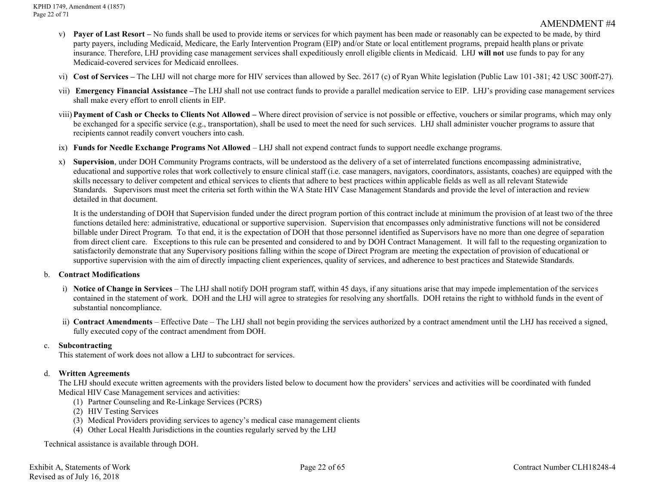- v) **Payer of Last Resort –** No funds shall be used to provide items or services for which payment has been made or reasonably can be expected to be made, by third party payers, including Medicaid, Medicare, the Early Intervention Program (EIP) and/or State or local entitlement programs, prepaid health plans or private insurance. Therefore, LHJ providing case management services shall expeditiously enroll eligible clients in Medicaid. LHJ **will not** use funds to pay for any Medicaid-covered services for Medicaid enrollees.
- vi) **Cost of Services –** The LHJ will not charge more for HIV services than allowed by Sec. 2617 (c) of Ryan White legislation (Public Law 101-381; 42 USC 300ff-27).
- vii) **Emergency Financial Assistance –**The LHJ shall not use contract funds to provide a parallel medication service to EIP. LHJ's providing case management services shall make every effort to enroll clients in EIP.
- viii)**Payment of Cash or Checks to Clients Not Allowed –** Where direct provision of service is not possible or effective, vouchers or similar programs, which may only be exchanged for a specific service (e.g., transportation), shall be used to meet the need for such services. LHJ shall administer voucher programs to assure that recipients cannot readily convert vouchers into cash.
- ix) **Funds for Needle Exchange Programs Not Allowed**  LHJ shall not expend contract funds to support needle exchange programs.
- x) **Supervision**, under DOH Community Programs contracts, will be understood as the delivery of a set of interrelated functions encompassing administrative, educational and supportive roles that work collectively to ensure clinical staff (i.e. case managers, navigators, coordinators, assistants, coaches) are equipped with the skills necessary to deliver competent and ethical services to clients that adhere to best practices within applicable fields as well as all relevant Statewide Standards. Supervisors must meet the criteria set forth within the WA State HIV Case Management Standards and provide the level of interaction and review detailed in that document.

It is the understanding of DOH that Supervision funded under the direct program portion of this contract include at minimum the provision of at least two of the three functions detailed here: administrative, educational or supportive supervision. Supervision that encompasses only administrative functions will not be considered billable under Direct Program. To that end, it is the expectation of DOH that those personnel identified as Supervisors have no more than one degree of separation from direct client care. Exceptions to this rule can be presented and considered to and by DOH Contract Management. It will fall to the requesting organization to satisfactorily demonstrate that any Supervisory positions falling within the scope of Direct Program are meeting the expectation of provision of educational or supportive supervision with the aim of directly impacting client experiences, quality of services, and adherence to best practices and Statewide Standards.

## b. **Contract Modifications**

- i) **Notice of Change in Services** The LHJ shall notify DOH program staff, within 45 days, if any situations arise that may impede implementation of the services contained in the statement of work. DOH and the LHJ will agree to strategies for resolving any shortfalls. DOH retains the right to withhold funds in the event of substantial noncompliance.
- ii) **Contract Amendments** Effective Date The LHJ shall not begin providing the services authorized by a contract amendment until the LHJ has received a signed, fully executed copy of the contract amendment from DOH.

## c. **Subcontracting**

This statement of work does not allow a LHJ to subcontract for services.

## d. **Written Agreements**

The LHJ should execute written agreements with the providers listed below to document how the providers' services and activities will be coordinated with funded Medical HIV Case Management services and activities:

- (1) Partner Counseling and Re-Linkage Services (PCRS)
- (2) HIV Testing Services
- (3) Medical Providers providing services to agency's medical case management clients
- (4) Other Local Health Jurisdictions in the counties regularly served by the LHJ

Technical assistance is available through DOH.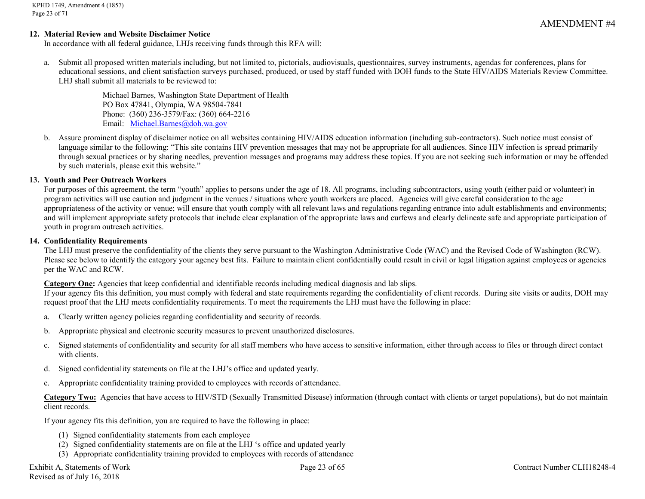#### **12. Material Review and Website Disclaimer Notice**

In accordance with all federal guidance, LHJs receiving funds through this RFA will:

a. Submit all proposed written materials including, but not limited to, pictorials, audiovisuals, questionnaires, survey instruments, agendas for conferences, plans for educational sessions, and client satisfaction surveys purchased, produced, or used by staff funded with DOH funds to the State HIV/AIDS Materials Review Committee. LHJ shall submit all materials to be reviewed to:

> Michael Barnes, Washington State Department of Health PO Box 47841, Olympia, WA 98504-7841 Phone: (360) 236-3579/Fax: (360) 664-2216 Email: [Michael.Barnes@doh.wa.gov](mailto:Michael.Barnes@doh.wa.gov)

b. Assure prominent display of disclaimer notice on all websites containing HIV/AIDS education information (including sub-contractors). Such notice must consist of language similar to the following: "This site contains HIV prevention messages that may not be appropriate for all audiences. Since HIV infection is spread primarily through sexual practices or by sharing needles, prevention messages and programs may address these topics. If you are not seeking such information or may be offended by such materials, please exit this website."

#### **13. Youth and Peer Outreach Workers**

For purposes of this agreement, the term "youth" applies to persons under the age of 18. All programs, including subcontractors, using youth (either paid or volunteer) in program activities will use caution and judgment in the venues / situations where youth workers are placed. Agencies will give careful consideration to the age appropriateness of the activity or venue; will ensure that youth comply with all relevant laws and regulations regarding entrance into adult establishments and environments; and will implement appropriate safety protocols that include clear explanation of the appropriate laws and curfews and clearly delineate safe and appropriate participation of youth in program outreach activities.

#### **14. Confidentiality Requirements**

The LHJ must preserve the confidentiality of the clients they serve pursuant to the Washington Administrative Code (WAC) and the Revised Code of Washington (RCW). Please see below to identify the category your agency best fits. Failure to maintain client confidentially could result in civil or legal litigation against employees or agencies per the WAC and RCW.

#### **Category One:** Agencies that keep confidential and identifiable records including medical diagnosis and lab slips.

If your agency fits this definition, you must comply with federal and state requirements regarding the confidentiality of client records. During site visits or audits, DOH may request proof that the LHJ meets confidentiality requirements. To meet the requirements the LHJ must have the following in place:

- a. Clearly written agency policies regarding confidentiality and security of records.
- b. Appropriate physical and electronic security measures to prevent unauthorized disclosures.
- c. Signed statements of confidentiality and security for all staff members who have access to sensitive information, either through access to files or through direct contact with clients.
- d. Signed confidentiality statements on file at the LHJ's office and updated yearly.
- e. Appropriate confidentiality training provided to employees with records of attendance.

Category Two: Agencies that have access to HIV/STD (Sexually Transmitted Disease) information (through contact with clients or target populations), but do not maintain client records.

If your agency fits this definition, you are required to have the following in place:

- (1) Signed confidentiality statements from each employee
- (2) Signed confidentiality statements are on file at the LHJ 's office and updated yearly
- (3) Appropriate confidentiality training provided to employees with records of attendance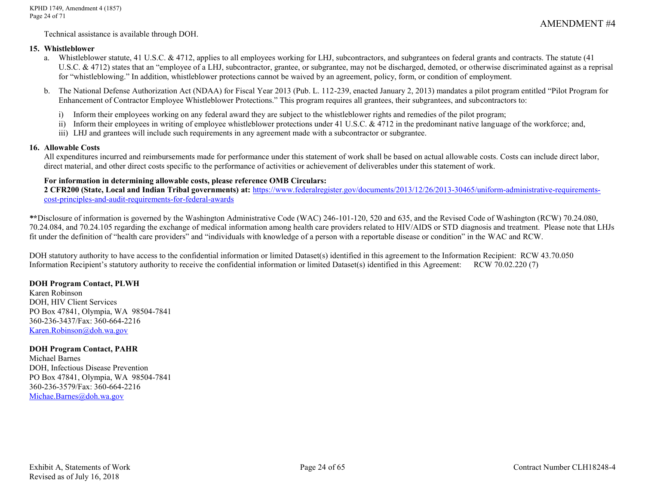Technical assistance is available through DOH.

#### **15. Whistleblower**

- a. Whistleblower statute, 41 U.S.C. & 4712, applies to all employees working for LHJ, subcontractors, and subgrantees on federal grants and contracts. The statute (41 U.S.C. & 4712) states that an "employee of a LHJ, subcontractor, grantee, or subgrantee, may not be discharged, demoted, or otherwise discriminated against as a reprisal for "whistleblowing." In addition, whistleblower protections cannot be waived by an agreement, policy, form, or condition of employment.
- b. The National Defense Authorization Act (NDAA) for Fiscal Year 2013 (Pub. L. 112-239, enacted January 2, 2013) mandates a pilot program entitled "Pilot Program for Enhancement of Contractor Employee Whistleblower Protections." This program requires all grantees, their subgrantees, and subcontractors to:
	- i) Inform their employees working on any federal award they are subject to the whistleblower rights and remedies of the pilot program;
	- ii) Inform their employees in writing of employee whistleblower protections under 41 U.S.C. & 4712 in the predominant native language of the workforce; and,
	- iii) LHJ and grantees will include such requirements in any agreement made with a subcontractor or subgrantee.

# **16. Allowable Costs**

All expenditures incurred and reimbursements made for performance under this statement of work shall be based on actual allowable costs. Costs can include direct labor, direct material, and other direct costs specific to the performance of activities or achievement of deliverables under this statement of work.

# **For information in determining allowable costs, please reference OMB Circulars:**

**2 CFR200 (State, Local and Indian Tribal governments) at:** [https://www.federalregister.gov/documents/2013/12/26/2013-30465/uniform-administrative-requirements](https://www.federalregister.gov/documents/2013/12/26/2013-30465/uniform-administrative-requirements-cost-principles-and-audit-requirements-for-federal-awards)[cost-principles-and-audit-requirements-for-federal-awards](https://www.federalregister.gov/documents/2013/12/26/2013-30465/uniform-administrative-requirements-cost-principles-and-audit-requirements-for-federal-awards)

*\****\***Disclosure of information is governed by the Washington Administrative Code (WAC) 246-101-120, 520 and 635, and the Revised Code of Washington (RCW) 70.24.080, 70.24.084, and 70.24.105 regarding the exchange of medical information among health care providers related to HIV/AIDS or STD diagnosis and treatment. Please note that LHJs fit under the definition of "health care providers" and "individuals with knowledge of a person with a reportable disease or condition" in the WAC and RCW.

DOH statutory authority to have access to the confidential information or limited Dataset(s) identified in this agreement to the Information Recipient: RCW 43.70.050 Information Recipient's statutory authority to receive the confidential information or limited Dataset(s) identified in this Agreement: RCW 70.02.220 (7)

## **DOH Program Contact, PLWH**

Karen Robinson DOH, HIV Client Services PO Box 47841, Olympia, WA 98504-7841 360-236-3437/Fax: 360-664-2216 [Karen.Robinson@doh.wa.gov](mailto:Karen.Robinson@doh.wa.gov)

## **DOH Program Contact, PAHR**

Michael Barnes DOH, Infectious Disease Prevention PO Box 47841, Olympia, WA 98504-7841 360-236-3579/Fax: 360-664-2216 [Michae.Barnes@doh.wa.gov](mailto:Michae.Barnes@doh.wa.gov)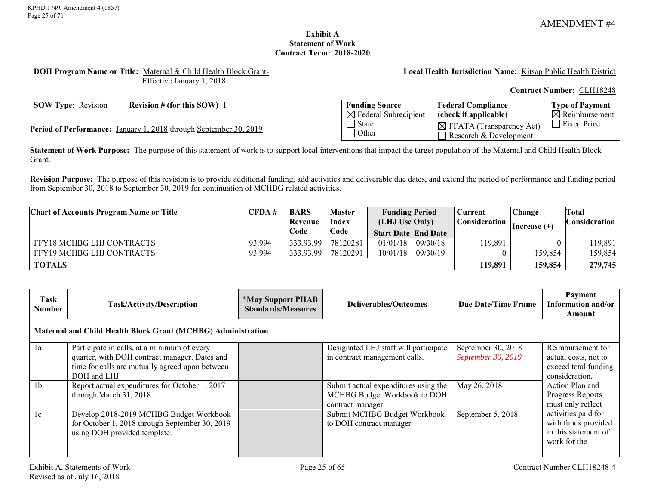### **Exhibit A Statement of Work Contract Term: 2018-2020**

#### <span id="page-24-0"></span>**DOH Program Name or Title:** Maternal & Child Health Block Grant-Effective January 1, 2018

**Local Health Jurisdiction Name:** Kitsap Public Health District

**Contract Number:** CLH18248

**SOW Type**: Revision **Revision # (for this SOW)** 1 **Funding Source** 

 $\boxtimes$  Federal Subrecipient  $\overline{\Box}$  State **Other Federal Compliance (check if applicable)**  $\boxtimes$  FFATA (Transparency Act) Research & Development **Type of Payment**  $\overline{\boxtimes}$  Reimbursement Fixed Price **Period of Performance:** January 1, 2018 through September 30, 2019

**Statement of Work Purpose:** The purpose of this statement of work is to support local interventions that impact the target population of the Maternal and Child Health Block Grant.

**Revision Purpose:** The purpose of this revision is to provide additional funding, add activities and deliverable due dates, and extend the period of performance and funding period from September 30, 2018 to September 30, 2019 for continuation of MCHBG related activities.

| <b>Chart of Accounts Program Name or Title</b> | CFDA#  | <b>BARS</b>      | <b>Master</b> | <b>Funding Period</b>      |          | Current | <b>Change</b>   | Total   |  |  |  |  |  |  |  |  |  |  |  |  |  |  |  |               |  |               |
|------------------------------------------------|--------|------------------|---------------|----------------------------|----------|---------|-----------------|---------|--|--|--|--|--|--|--|--|--|--|--|--|--|--|--|---------------|--|---------------|
|                                                |        | Index<br>Revenue |               | (LHJ Use Only)             |          |         |                 |         |  |  |  |  |  |  |  |  |  |  |  |  |  |  |  | Consideration |  | Consideration |
|                                                | Code   |                  | Code          | <b>Start Date End Date</b> |          |         | $ Increase (+)$ |         |  |  |  |  |  |  |  |  |  |  |  |  |  |  |  |               |  |               |
| <b>FFY18 MCHBG LHJ CONTRACTS</b>               | 93.994 | 333.93.99        | 78120281      | 01/01/18                   | 09/30/18 | 119,891 |                 | 119,891 |  |  |  |  |  |  |  |  |  |  |  |  |  |  |  |               |  |               |
| <b>FFY19 MCHBG LHJ CONTRACTS</b>               | 93.994 | 333.93.99        | 78120291      | 10/01/18                   | 09/30/19 |         | 159,854         | 159,854 |  |  |  |  |  |  |  |  |  |  |  |  |  |  |  |               |  |               |
| <b>TOTALS</b>                                  |        |                  |               |                            |          | 119,891 | 159,854         | 279,745 |  |  |  |  |  |  |  |  |  |  |  |  |  |  |  |               |  |               |

| Task<br>Number                                               | Task/Activity/Description                                                                                                                                      | <i><b>*May Support PHAB</b></i><br><b>Standards/Measures</b> | Deliverables/Outcomes                                                                    | Due Date/Time Frame                      | Payment<br>Information and/or<br>Amount                                             |  |  |  |
|--------------------------------------------------------------|----------------------------------------------------------------------------------------------------------------------------------------------------------------|--------------------------------------------------------------|------------------------------------------------------------------------------------------|------------------------------------------|-------------------------------------------------------------------------------------|--|--|--|
| Maternal and Child Health Block Grant (MCHBG) Administration |                                                                                                                                                                |                                                              |                                                                                          |                                          |                                                                                     |  |  |  |
| 1a                                                           | Participate in calls, at a minimum of every<br>quarter, with DOH contract manager. Dates and<br>time for calls are mutually agreed upon between<br>DOH and LHJ |                                                              | Designated LHJ staff will participate<br>in contract management calls.                   | September 30, 2018<br>September 30, 2019 | Reimbursement for<br>actual costs, not to<br>exceed total funding<br>consideration. |  |  |  |
| 1 <sub>b</sub>                                               | Report actual expenditures for October 1, 2017<br>through March 31, 2018                                                                                       |                                                              | Submit actual expenditures using the<br>MCHBG Budget Workbook to DOH<br>contract manager | May 26, 2018                             | Action Plan and<br>Progress Reports<br>must only reflect                            |  |  |  |
| 1c                                                           | Develop 2018-2019 MCHBG Budget Workbook<br>for October 1, 2018 through September 30, 2019<br>using DOH provided template.                                      |                                                              | Submit MCHBG Budget Workbook<br>to DOH contract manager                                  | September 5, 2018                        | activities paid for<br>with funds provided<br>in this statement of<br>work for the  |  |  |  |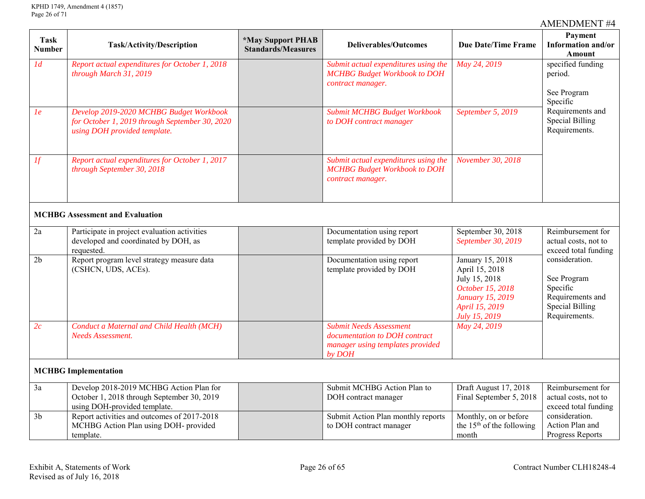| <b>Task</b><br><b>Number</b> | Task/Activity/Description                                                                                                 | <i><b>*May Support PHAB</b></i><br><b>Standards/Measures</b> | <b>Deliverables/Outcomes</b>                                                                                  | Payment<br>Information and/or<br><b>Due Date/Time Frame</b><br><b>Amount</b>                                                          |                                                                                                          |  |
|------------------------------|---------------------------------------------------------------------------------------------------------------------------|--------------------------------------------------------------|---------------------------------------------------------------------------------------------------------------|---------------------------------------------------------------------------------------------------------------------------------------|----------------------------------------------------------------------------------------------------------|--|
| 1 <sub>d</sub>               | Report actual expenditures for October 1, 2018<br>through March 31, 2019                                                  |                                                              | Submit actual expenditures using the<br><b>MCHBG</b> Budget Workbook to DOH<br>contract manager.              | May 24, 2019                                                                                                                          | specified funding<br>period.                                                                             |  |
|                              |                                                                                                                           |                                                              |                                                                                                               |                                                                                                                                       | See Program<br>Specific                                                                                  |  |
| 1 <sub>e</sub>               | Develop 2019-2020 MCHBG Budget Workbook<br>for October 1, 2019 through September 30, 2020<br>using DOH provided template. |                                                              | Submit MCHBG Budget Workbook<br>to DOH contract manager                                                       | September 5, 2019                                                                                                                     | Requirements and<br><b>Special Billing</b><br>Requirements.                                              |  |
| If                           | Report actual expenditures for October 1, 2017<br>through September 30, 2018                                              |                                                              | Submit actual expenditures using the<br><b>MCHBG Budget Workbook to DOH</b><br>contract manager.              | November 30, 2018                                                                                                                     |                                                                                                          |  |
|                              | <b>MCHBG</b> Assessment and Evaluation                                                                                    |                                                              |                                                                                                               |                                                                                                                                       |                                                                                                          |  |
| $2\mathrm{a}$                | Participate in project evaluation activities<br>developed and coordinated by DOH, as<br>requested.                        |                                                              | Documentation using report<br>template provided by DOH                                                        | September 30, 2018<br>September 30, 2019                                                                                              | Reimbursement for<br>actual costs, not to<br>exceed total funding                                        |  |
| 2 <sub>b</sub>               | Report program level strategy measure data<br>(CSHCN, UDS, ACEs).                                                         |                                                              | Documentation using report<br>template provided by DOH                                                        | January 15, 2018<br>April 15, 2018<br>July 15, 2018<br>October 15, 2018<br><b>January 15, 2019</b><br>April 15, 2019<br>July 15, 2019 | consideration.<br>See Program<br>Specific<br>Requirements and<br><b>Special Billing</b><br>Requirements. |  |
| 2c                           | Conduct a Maternal and Child Health (MCH)<br><b>Needs Assessment.</b>                                                     |                                                              | <b>Submit Needs Assessment</b><br>documentation to DOH contract<br>manager using templates provided<br>by DOH | May 24, 2019                                                                                                                          |                                                                                                          |  |
| <b>MCHBG</b> Implementation  |                                                                                                                           |                                                              |                                                                                                               |                                                                                                                                       |                                                                                                          |  |
| 3a                           | Develop 2018-2019 MCHBG Action Plan for<br>October 1, 2018 through September 30, 2019<br>using DOH-provided template.     |                                                              | Submit MCHBG Action Plan to<br>DOH contract manager                                                           | Draft August 17, 2018<br>Final September 5, 2018                                                                                      | Reimbursement for<br>actual costs, not to<br>exceed total funding                                        |  |
| 3 <sub>b</sub>               | Report activities and outcomes of 2017-2018<br>MCHBG Action Plan using DOH- provided<br>template.                         |                                                              | Submit Action Plan monthly reports<br>to DOH contract manager                                                 | Monthly, on or before<br>the $15th$ of the following<br>month                                                                         | consideration.<br>Action Plan and<br>Progress Reports                                                    |  |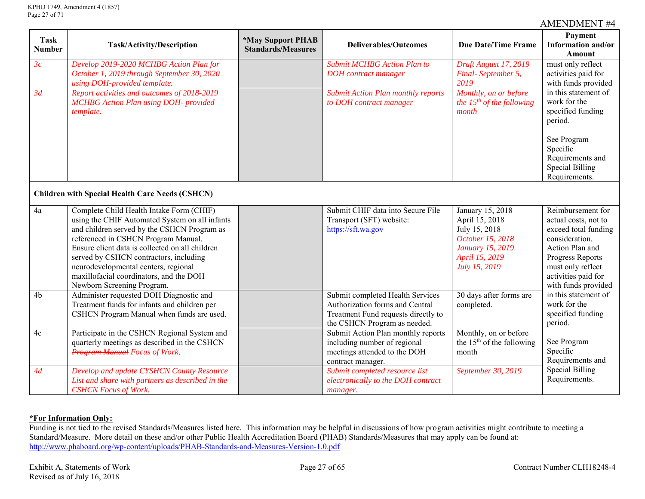| <b>Task</b><br><b>Number</b>                           | <b>Task/Activity/Description</b>                                                                                                                                                                                                                                                                                                                                                               | <i><b>*May Support PHAB</b></i><br><b>Standards/Measures</b> | <b>Deliverables/Outcomes</b>                                                                                                               | <b>Due Date/Time Frame</b>                                                                                                     | Payment<br>Information and/or<br>Amount                                                                                                                                                       |  |
|--------------------------------------------------------|------------------------------------------------------------------------------------------------------------------------------------------------------------------------------------------------------------------------------------------------------------------------------------------------------------------------------------------------------------------------------------------------|--------------------------------------------------------------|--------------------------------------------------------------------------------------------------------------------------------------------|--------------------------------------------------------------------------------------------------------------------------------|-----------------------------------------------------------------------------------------------------------------------------------------------------------------------------------------------|--|
| 3c                                                     | Develop 2019-2020 MCHBG Action Plan for<br>October 1, 2019 through September 30, 2020<br>using DOH-provided template.                                                                                                                                                                                                                                                                          |                                                              | <b>Submit MCHBG Action Plan to</b><br><b>DOH</b> contract manager                                                                          | Draft August 17, 2019<br>Final-September 5,<br>2019                                                                            | must only reflect<br>activities paid for<br>with funds provided                                                                                                                               |  |
| 3d                                                     | Report activities and outcomes of 2018-2019<br><b>MCHBG</b> Action Plan using DOH- provided<br>template.                                                                                                                                                                                                                                                                                       |                                                              | <b>Submit Action Plan monthly reports</b><br>to DOH contract manager                                                                       | Monthly, on or before<br>the $15^{th}$ of the following<br>month                                                               | in this statement of<br>work for the<br>specified funding<br>period.                                                                                                                          |  |
|                                                        |                                                                                                                                                                                                                                                                                                                                                                                                |                                                              |                                                                                                                                            |                                                                                                                                | See Program<br>Specific<br>Requirements and<br><b>Special Billing</b><br>Requirements.                                                                                                        |  |
| <b>Children with Special Health Care Needs (CSHCN)</b> |                                                                                                                                                                                                                                                                                                                                                                                                |                                                              |                                                                                                                                            |                                                                                                                                |                                                                                                                                                                                               |  |
| 4a                                                     | Complete Child Health Intake Form (CHIF)<br>using the CHIF Automated System on all infants<br>and children served by the CSHCN Program as<br>referenced in CSHCN Program Manual.<br>Ensure client data is collected on all children<br>served by CSHCN contractors, including<br>neurodevelopmental centers, regional<br>maxillofacial coordinators, and the DOH<br>Newborn Screening Program. |                                                              | Submit CHIF data into Secure File<br>Transport (SFT) website:<br>https://sft.wa.gov                                                        | January 15, 2018<br>April 15, 2018<br>July 15, 2018<br>October 15, 2018<br>January 15, 2019<br>April 15, 2019<br>July 15, 2019 | Reimbursement for<br>actual costs, not to<br>exceed total funding<br>consideration.<br>Action Plan and<br>Progress Reports<br>must only reflect<br>activities paid for<br>with funds provided |  |
| 4b                                                     | Administer requested DOH Diagnostic and<br>Treatment funds for infants and children per<br>CSHCN Program Manual when funds are used.                                                                                                                                                                                                                                                           |                                                              | Submit completed Health Services<br>Authorization forms and Central<br>Treatment Fund requests directly to<br>the CSHCN Program as needed. | $\overline{30}$ days after forms are<br>completed.                                                                             | in this statement of<br>work for the<br>specified funding<br>period.                                                                                                                          |  |
| 4c                                                     | Participate in the CSHCN Regional System and<br>quarterly meetings as described in the CSHCN<br><b>Program Manual Focus of Work.</b>                                                                                                                                                                                                                                                           |                                                              | Submit Action Plan monthly reports<br>including number of regional<br>meetings attended to the DOH<br>contract manager.                    | Monthly, on or before<br>the $15th$ of the following<br>month                                                                  | See Program<br>Specific<br>Requirements and                                                                                                                                                   |  |
| 4d                                                     | Develop and update CYSHCN County Resource<br>List and share with partners as described in the<br><b>CSHCN</b> Focus of Work.                                                                                                                                                                                                                                                                   |                                                              | Submit completed resource list<br>electronically to the DOH contract<br>manager.                                                           | September 30, 2019                                                                                                             | <b>Special Billing</b><br>Requirements.                                                                                                                                                       |  |

# **\*For Information Only:**

Funding is not tied to the revised Standards/Measures listed here. This information may be helpful in discussions of how program activities might contribute to meeting a Standard/Measure. More detail on these and/or other Public Health Accreditation Board (PHAB) Standards/Measures that may apply can be found at: <http://www.phaboard.org/wp-content/uploads/PHAB-Standards-and-Measures-Version-1.0.pdf>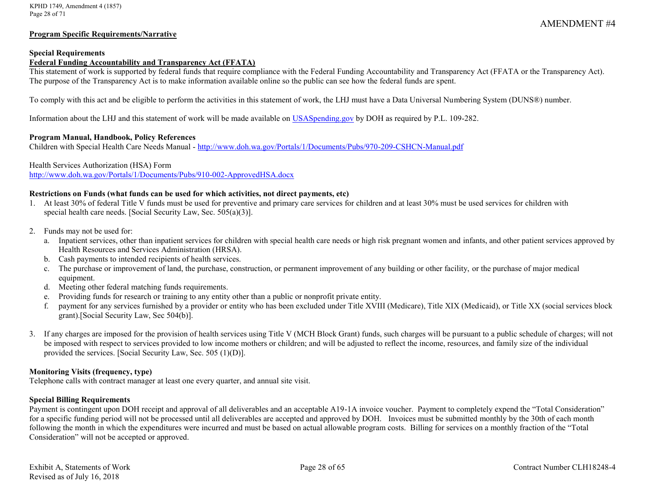#### **Program Specific Requirements/Narrative**

#### **Special Requirements**

# **Federal Funding Accountability and Transparency Act (FFATA)**

This statement of work is supported by federal funds that require compliance with the Federal Funding Accountability and Transparency Act (FFATA or the Transparency Act). The purpose of the Transparency Act is to make information available online so the public can see how the federal funds are spent.

To comply with this act and be eligible to perform the activities in this statement of work, the LHJ must have a Data Universal Numbering System (DUNS®) number.

Information about the LHJ and this statement of work will be made available on [USASpending.gov](https://www.usaspending.gov/#/) by DOH as required by P.L. 109-282.

#### **Program Manual, Handbook, Policy References**

Children with Special Health Care Needs Manual - <http://www.doh.wa.gov/Portals/1/Documents/Pubs/970-209-CSHCN-Manual.pdf>

#### Health Services Authorization (HSA) Form

<http://www.doh.wa.gov/Portals/1/Documents/Pubs/910-002-ApprovedHSA.docx>

#### **Restrictions on Funds (what funds can be used for which activities, not direct payments, etc)**

- 1. At least 30% of federal Title V funds must be used for preventive and primary care services for children and at least 30% must be used services for children with special health care needs. [Social Security Law, Sec. 505(a)(3)].
- 2. Funds may not be used for:
	- a. Inpatient services, other than inpatient services for children with special health care needs or high risk pregnant women and infants, and other patient services approved by Health Resources and Services Administration (HRSA).
	- b. Cash payments to intended recipients of health services.
	- c. The purchase or improvement of land, the purchase, construction, or permanent improvement of any building or other facility, or the purchase of major medical equipment.
	- d. Meeting other federal matching funds requirements.
	- e. Providing funds for research or training to any entity other than a public or nonprofit private entity.
	- f. payment for any services furnished by a provider or entity who has been excluded under Title XVIII (Medicare), Title XIX (Medicaid), or Title XX (social services block grant).[Social Security Law, Sec 504(b)].
- 3. If any charges are imposed for the provision of health services using Title V (MCH Block Grant) funds, such charges will be pursuant to a public schedule of charges; will not be imposed with respect to services provided to low income mothers or children; and will be adjusted to reflect the income, resources, and family size of the individual provided the services. [Social Security Law, Sec. 505 (1)(D)].

#### **Monitoring Visits (frequency, type)**

Telephone calls with contract manager at least one every quarter, and annual site visit.

#### **Special Billing Requirements**

Payment is contingent upon DOH receipt and approval of all deliverables and an acceptable A19-1A invoice voucher. Payment to completely expend the "Total Consideration" for a specific funding period will not be processed until all deliverables are accepted and approved by DOH. Invoices must be submitted monthly by the 30th of each month following the month in which the expenditures were incurred and must be based on actual allowable program costs. Billing for services on a monthly fraction of the "Total Consideration" will not be accepted or approved.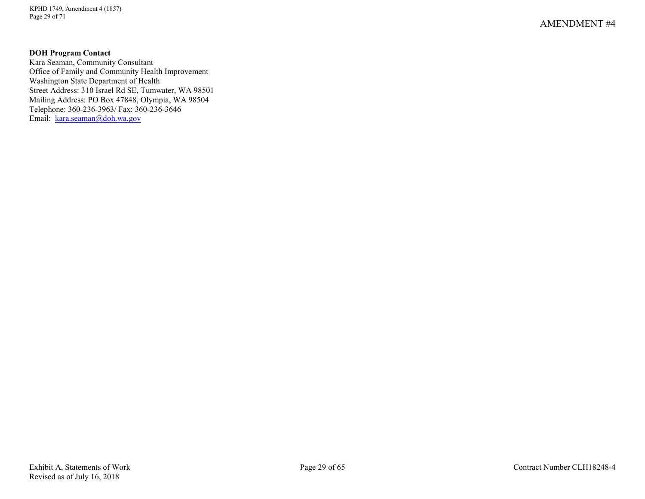KPHD 1749, Amendment 4 (1857) Page 29 of 71

# **DOH Program Contact**

Kara Seaman, Community Consultant Office of Family and Community Health Improvement Washington State Department of Health Street Address: 310 Israel Rd SE, Tumwater, WA 98501 Mailing Address: PO Box 47848, Olympia, WA 98504 Telephone: 360-236-3963/ Fax: 360-236-3646 Email: [kara.seaman@doh.wa.gov](mailto:kara.seaman@doh.wa.gov)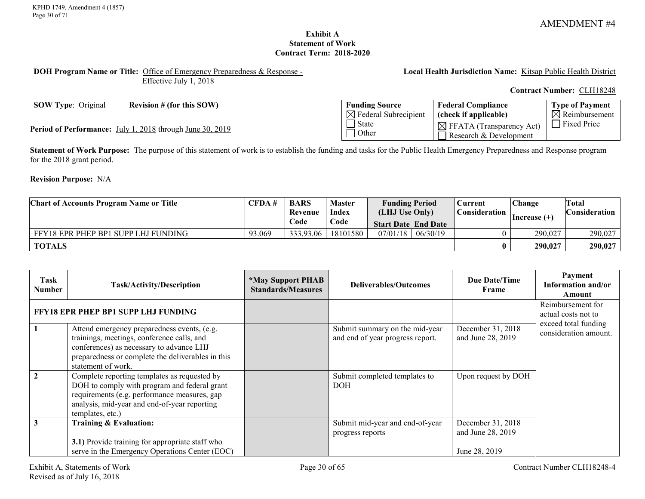# **Exhibit A Statement of Work Contract Term: 2018-2020**

#### <span id="page-29-0"></span>**DOH Program Name or Title:** Office of Emergency Preparedness & Response - Effective July 1, 2018

**Local Health Jurisdiction Name:** Kitsap Public Health District

**Contract Number:** CLH18248

**SOW Type:** Original **Revision # (for this SOW)** 

Period of Performance: July 1, 2018 through June 30, 2019

| <b>Funding Source</b>            | <b>Federal Compliance</b>                                      | Type of Payment           |
|----------------------------------|----------------------------------------------------------------|---------------------------|
| $\boxtimes$ Federal Subrecipient | (check if applicable)                                          | $\boxtimes$ Reimbursement |
| l State<br>  Other               | $\boxtimes$ FFATA (Transparency Act)<br>Research & Development | <b>Fixed Price</b>        |

**Statement of Work Purpose:** The purpose of this statement of work is to establish the funding and tasks for the Public Health Emergency Preparedness and Response program for the 2018 grant period.

**Revision Purpose:** N/A

| <b>Chart of Accounts Program Name or Title</b> | CFDA#  | <b>BARS</b> | <b>Master</b> | <b>Funding Period</b>      |          | <b>Current</b> | Change          | <b>Total</b>         |
|------------------------------------------------|--------|-------------|---------------|----------------------------|----------|----------------|-----------------|----------------------|
|                                                |        | Revenue     | <b>Index</b>  | (LHJ Use Only)             |          | Consideration  | $ Increase (+)$ | <b>Consideration</b> |
|                                                |        | Code        | Code          | <b>Start Date End Date</b> |          |                |                 |                      |
| FFY18 EPR PHEP BP1 SUPP LHJ FUNDING            | 93.069 | 333.93.06   | 18101580      | 07/01/18                   | 06/30/19 |                | 290,027         | 290,027              |
| <b>TOTALS</b>                                  |        |             |               |                            |          |                | 290,027         | 290,027              |

| Task<br><b>Number</b>                      | Task/Activity/Description                                                                                                                                                                                        | <i><b>*May Support PHAB</b></i><br><b>Standards/Measures</b> | Deliverables/Outcomes                                              | Due Date/Time<br>Frame                                  | Payment<br>Information and/or<br>Amount       |
|--------------------------------------------|------------------------------------------------------------------------------------------------------------------------------------------------------------------------------------------------------------------|--------------------------------------------------------------|--------------------------------------------------------------------|---------------------------------------------------------|-----------------------------------------------|
| <b>FFY18 EPR PHEP BP1 SUPP LHJ FUNDING</b> |                                                                                                                                                                                                                  |                                                              |                                                                    |                                                         | Reimbursement for<br>actual costs not to      |
|                                            | Attend emergency preparedness events, (e.g.<br>trainings, meetings, conference calls, and<br>conferences) as necessary to advance LHJ<br>preparedness or complete the deliverables in this<br>statement of work. |                                                              | Submit summary on the mid-year<br>and end of year progress report. | December 31, 2018<br>and June 28, 2019                  | exceed total funding<br>consideration amount. |
|                                            | Complete reporting templates as requested by<br>DOH to comply with program and federal grant<br>requirements (e.g. performance measures, gap<br>analysis, mid-year and end-of-year reporting<br>templates, etc.) |                                                              | Submit completed templates to<br><b>DOH</b>                        | Upon request by DOH                                     |                                               |
|                                            | Training & Evaluation:<br>3.1) Provide training for appropriate staff who<br>serve in the Emergency Operations Center (EOC)                                                                                      |                                                              | Submit mid-year and end-of-year<br>progress reports                | December 31, 2018<br>and June 28, 2019<br>June 28, 2019 |                                               |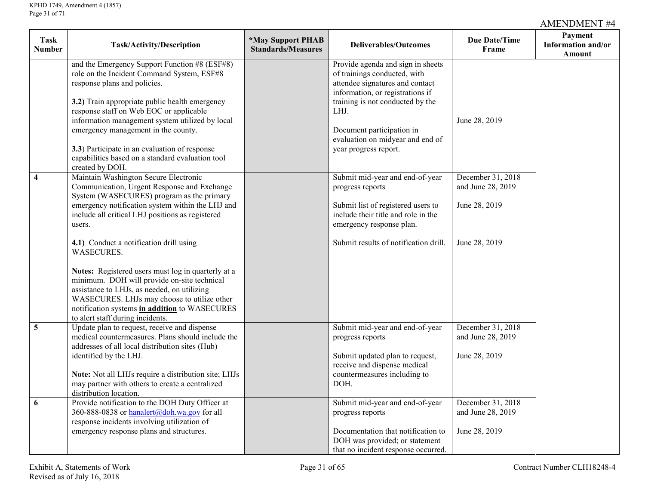| <b>Task</b><br><b>Number</b> | Task/Activity/Description                                                                                                                                                                                                                                                                                                                                                                                                                                                                                                                                                                                   | <i><b>*May Support PHAB</b></i><br><b>Standards/Measures</b> | <b>Deliverables/Outcomes</b>                                                                                                                                                                                                                                                   | Due Date/Time<br>Frame                                                   | Payment<br>Information and/or<br><b>Amount</b> |
|------------------------------|-------------------------------------------------------------------------------------------------------------------------------------------------------------------------------------------------------------------------------------------------------------------------------------------------------------------------------------------------------------------------------------------------------------------------------------------------------------------------------------------------------------------------------------------------------------------------------------------------------------|--------------------------------------------------------------|--------------------------------------------------------------------------------------------------------------------------------------------------------------------------------------------------------------------------------------------------------------------------------|--------------------------------------------------------------------------|------------------------------------------------|
|                              | and the Emergency Support Function #8 (ESF#8)<br>role on the Incident Command System, ESF#8<br>response plans and policies.<br>3.2) Train appropriate public health emergency<br>response staff on Web EOC or applicable<br>information management system utilized by local<br>emergency management in the county.<br>3.3) Participate in an evaluation of response<br>capabilities based on a standard evaluation tool<br>created by DOH.                                                                                                                                                                  |                                                              | Provide agenda and sign in sheets<br>of trainings conducted, with<br>attendee signatures and contact<br>information, or registrations if<br>training is not conducted by the<br>LHJ.<br>Document participation in<br>evaluation on midyear and end of<br>year progress report. | June 28, 2019                                                            |                                                |
| $\overline{\mathbf{4}}$      | Maintain Washington Secure Electronic<br>Communication, Urgent Response and Exchange<br>System (WASECURES) program as the primary<br>emergency notification system within the LHJ and<br>include all critical LHJ positions as registered<br>users.<br>4.1) Conduct a notification drill using<br><b>WASECURES.</b><br>Notes: Registered users must log in quarterly at a<br>minimum. DOH will provide on-site technical<br>assistance to LHJs, as needed, on utilizing<br>WASECURES. LHJs may choose to utilize other<br>notification systems in addition to WASECURES<br>to alert staff during incidents. |                                                              | Submit mid-year and end-of-year<br>progress reports<br>Submit list of registered users to<br>include their title and role in the<br>emergency response plan.<br>Submit results of notification drill.                                                                          | December 31, 2018<br>and June 28, 2019<br>June 28, 2019<br>June 28, 2019 |                                                |
| $5\overline{)}$              | Update plan to request, receive and dispense<br>medical countermeasures. Plans should include the<br>addresses of all local distribution sites (Hub)<br>identified by the LHJ.<br>Note: Not all LHJs require a distribution site; LHJs<br>may partner with others to create a centralized<br>distribution location.                                                                                                                                                                                                                                                                                         |                                                              | Submit mid-year and end-of-year<br>progress reports<br>Submit updated plan to request,<br>receive and dispense medical<br>countermeasures including to<br>DOH.                                                                                                                 | December 31, 2018<br>and June 28, 2019<br>June 28, 2019                  |                                                |
| 6                            | Provide notification to the DOH Duty Officer at<br>360-888-0838 or hanalert@doh.wa.gov for all<br>response incidents involving utilization of<br>emergency response plans and structures.                                                                                                                                                                                                                                                                                                                                                                                                                   |                                                              | Submit mid-year and end-of-year<br>progress reports<br>Documentation that notification to<br>DOH was provided; or statement<br>that no incident response occurred.                                                                                                             | December 31, 2018<br>and June 28, 2019<br>June 28, 2019                  |                                                |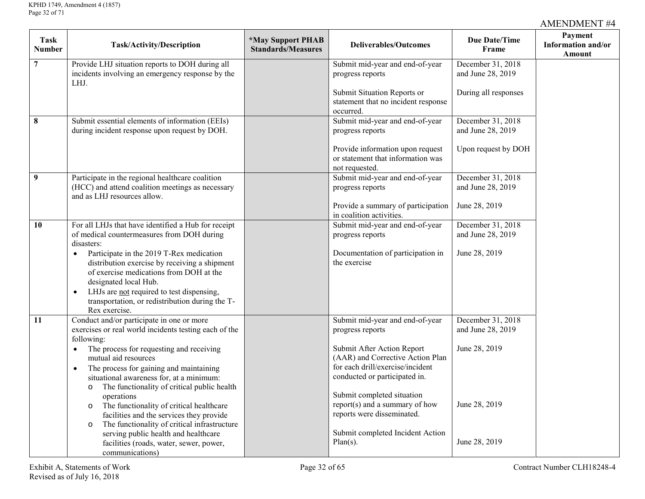| Task<br>Number | Task/Activity/Description                                                                                                                                                                                                          | <i><b>*May Support PHAB</b></i><br><b>Standards/Measures</b> | <b>Deliverables/Outcomes</b>                                                                                                        | Due Date/Time<br>Frame                 | Payment<br>Information and/or<br>Amount |
|----------------|------------------------------------------------------------------------------------------------------------------------------------------------------------------------------------------------------------------------------------|--------------------------------------------------------------|-------------------------------------------------------------------------------------------------------------------------------------|----------------------------------------|-----------------------------------------|
| $\overline{7}$ | Provide LHJ situation reports to DOH during all<br>incidents involving an emergency response by the<br>LHJ.                                                                                                                        |                                                              | Submit mid-year and end-of-year<br>progress reports                                                                                 | December 31, 2018<br>and June 28, 2019 |                                         |
|                |                                                                                                                                                                                                                                    |                                                              | Submit Situation Reports or<br>statement that no incident response<br>occurred.                                                     | During all responses                   |                                         |
| $\pmb{8}$      | Submit essential elements of information (EEIs)<br>during incident response upon request by DOH.                                                                                                                                   |                                                              | Submit mid-year and end-of-year<br>progress reports                                                                                 | December 31, 2018<br>and June 28, 2019 |                                         |
|                |                                                                                                                                                                                                                                    |                                                              | Provide information upon request<br>or statement that information was<br>not requested.                                             | Upon request by DOH                    |                                         |
| 9              | Participate in the regional healthcare coalition<br>(HCC) and attend coalition meetings as necessary<br>and as LHJ resources allow.                                                                                                |                                                              | Submit mid-year and end-of-year<br>progress reports                                                                                 | December 31, 2018<br>and June 28, 2019 |                                         |
|                |                                                                                                                                                                                                                                    |                                                              | Provide a summary of participation<br>in coalition activities.                                                                      | June 28, 2019                          |                                         |
| 10             | For all LHJs that have identified a Hub for receipt<br>of medical countermeasures from DOH during<br>disasters:                                                                                                                    |                                                              | Submit mid-year and end-of-year<br>progress reports                                                                                 | December 31, 2018<br>and June 28, 2019 |                                         |
|                | Participate in the 2019 T-Rex medication<br>$\bullet$<br>distribution exercise by receiving a shipment<br>of exercise medications from DOH at the<br>designated local Hub.<br>LHJs are not required to test dispensing,            |                                                              | Documentation of participation in<br>the exercise                                                                                   | June 28, 2019                          |                                         |
|                | transportation, or redistribution during the T-<br>Rex exercise.                                                                                                                                                                   |                                                              |                                                                                                                                     |                                        |                                         |
| 11             | Conduct and/or participate in one or more<br>exercises or real world incidents testing each of the<br>following:                                                                                                                   |                                                              | Submit mid-year and end-of-year<br>progress reports                                                                                 | December 31, 2018<br>and June 28, 2019 |                                         |
|                | The process for requesting and receiving<br>$\bullet$<br>mutual aid resources<br>The process for gaining and maintaining<br>$\bullet$<br>situational awareness for, at a minimum:                                                  |                                                              | Submit After Action Report<br>(AAR) and Corrective Action Plan<br>for each drill/exercise/incident<br>conducted or participated in. | June 28, 2019                          |                                         |
|                | The functionality of critical public health<br>$\circ$<br>operations<br>The functionality of critical healthcare<br>$\circ$<br>facilities and the services they provide<br>The functionality of critical infrastructure<br>$\circ$ |                                                              | Submit completed situation<br>report(s) and a summary of how<br>reports were disseminated.                                          | June 28, 2019                          |                                         |
|                | serving public health and healthcare<br>facilities (roads, water, sewer, power,<br>communications)                                                                                                                                 |                                                              | Submit completed Incident Action<br>$Plan(s)$ .                                                                                     | June 28, 2019                          |                                         |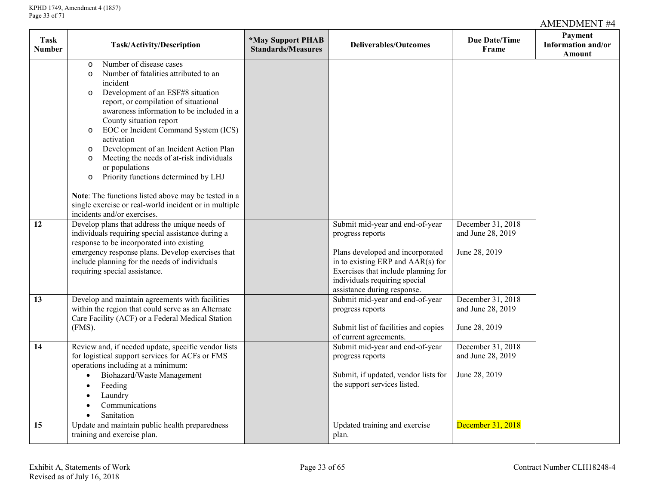| <b>Task</b><br><b>Number</b> | <b>Task/Activity/Description</b>                                                                                                                                                                                                                                                                                                                                                                                                                                                                                                                                                                                                      | <i><b>*May Support PHAB</b></i><br><b>Standards/Measures</b> | <b>Deliverables/Outcomes</b>                                                                                                                                                                                                        | Due Date/Time<br>Frame                                  | Payment<br>Information and/or<br>Amount |
|------------------------------|---------------------------------------------------------------------------------------------------------------------------------------------------------------------------------------------------------------------------------------------------------------------------------------------------------------------------------------------------------------------------------------------------------------------------------------------------------------------------------------------------------------------------------------------------------------------------------------------------------------------------------------|--------------------------------------------------------------|-------------------------------------------------------------------------------------------------------------------------------------------------------------------------------------------------------------------------------------|---------------------------------------------------------|-----------------------------------------|
|                              | Number of disease cases<br>$\circ$<br>Number of fatalities attributed to an<br>$\circ$<br>incident<br>Development of an ESF#8 situation<br>$\circ$<br>report, or compilation of situational<br>awareness information to be included in a<br>County situation report<br>EOC or Incident Command System (ICS)<br>$\circ$<br>activation<br>Development of an Incident Action Plan<br>$\circ$<br>Meeting the needs of at-risk individuals<br>$\circ$<br>or populations<br>Priority functions determined by LHJ<br>$\circ$<br>Note: The functions listed above may be tested in a<br>single exercise or real-world incident or in multiple |                                                              |                                                                                                                                                                                                                                     |                                                         |                                         |
| 12                           | incidents and/or exercises.<br>Develop plans that address the unique needs of<br>individuals requiring special assistance during a<br>response to be incorporated into existing<br>emergency response plans. Develop exercises that<br>include planning for the needs of individuals<br>requiring special assistance.                                                                                                                                                                                                                                                                                                                 |                                                              | Submit mid-year and end-of-year<br>progress reports<br>Plans developed and incorporated<br>in to existing ERP and AAR(s) for<br>Exercises that include planning for<br>individuals requiring special<br>assistance during response. | December 31, 2018<br>and June 28, 2019<br>June 28, 2019 |                                         |
| 13                           | Develop and maintain agreements with facilities<br>within the region that could serve as an Alternate<br>Care Facility (ACF) or a Federal Medical Station<br>$(FMS)$ .                                                                                                                                                                                                                                                                                                                                                                                                                                                                |                                                              | Submit mid-year and end-of-year<br>progress reports<br>Submit list of facilities and copies<br>of current agreements.                                                                                                               | December 31, 2018<br>and June 28, 2019<br>June 28, 2019 |                                         |
| 14                           | Review and, if needed update, specific vendor lists<br>for logistical support services for ACFs or FMS<br>operations including at a minimum:<br>Biohazard/Waste Management<br>$\bullet$<br>Feeding<br>$\bullet$<br>Laundry<br>$\bullet$<br>Communications<br>$\bullet$<br>Sanitation<br>$\bullet$                                                                                                                                                                                                                                                                                                                                     |                                                              | Submit mid-year and end-of-year<br>progress reports<br>Submit, if updated, vendor lists for<br>the support services listed.                                                                                                         | December 31, 2018<br>and June 28, 2019<br>June 28, 2019 |                                         |
| 15                           | Update and maintain public health preparedness<br>training and exercise plan.                                                                                                                                                                                                                                                                                                                                                                                                                                                                                                                                                         |                                                              | Updated training and exercise<br>plan.                                                                                                                                                                                              | December 31, 2018                                       |                                         |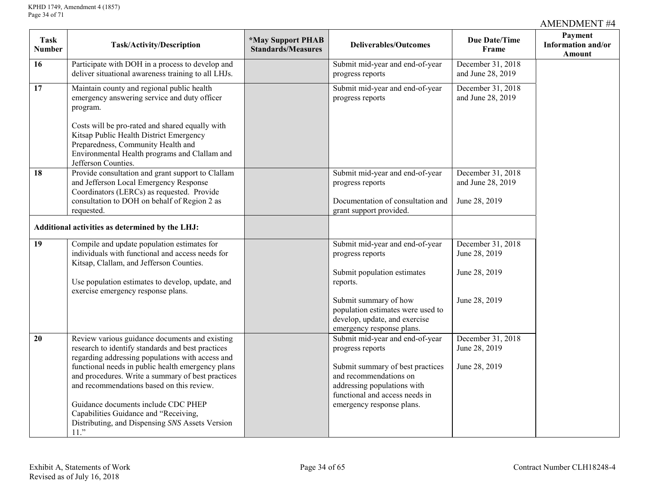| <b>Task</b><br><b>Number</b> | Task/Activity/Description                                                                                                                                                                                                                                                                                                                                                                      | *May Support PHAB<br><b>Standards/Measures</b> | <b>Deliverables/Outcomes</b>                                                                                                                                                                                    | Due Date/Time<br>Frame                              | Payment<br>Information and/or<br>Amount |
|------------------------------|------------------------------------------------------------------------------------------------------------------------------------------------------------------------------------------------------------------------------------------------------------------------------------------------------------------------------------------------------------------------------------------------|------------------------------------------------|-----------------------------------------------------------------------------------------------------------------------------------------------------------------------------------------------------------------|-----------------------------------------------------|-----------------------------------------|
| 16                           | Participate with DOH in a process to develop and<br>deliver situational awareness training to all LHJs.                                                                                                                                                                                                                                                                                        |                                                | Submit mid-year and end-of-year<br>progress reports                                                                                                                                                             | December 31, 2018<br>and June 28, 2019              |                                         |
| 17                           | Maintain county and regional public health<br>emergency answering service and duty officer<br>program.<br>Costs will be pro-rated and shared equally with<br>Kitsap Public Health District Emergency<br>Preparedness, Community Health and<br>Environmental Health programs and Clallam and                                                                                                    |                                                | Submit mid-year and end-of-year<br>progress reports                                                                                                                                                             | December 31, 2018<br>and June 28, 2019              |                                         |
|                              | Jefferson Counties.                                                                                                                                                                                                                                                                                                                                                                            |                                                |                                                                                                                                                                                                                 |                                                     |                                         |
| 18                           | Provide consultation and grant support to Clallam<br>and Jefferson Local Emergency Response<br>Coordinators (LERCs) as requested. Provide                                                                                                                                                                                                                                                      |                                                | Submit mid-year and end-of-year<br>progress reports                                                                                                                                                             | December 31, 2018<br>and June 28, 2019              |                                         |
|                              | consultation to DOH on behalf of Region 2 as<br>requested.                                                                                                                                                                                                                                                                                                                                     |                                                | Documentation of consultation and<br>grant support provided.                                                                                                                                                    | June 28, 2019                                       |                                         |
|                              | Additional activities as determined by the LHJ:                                                                                                                                                                                                                                                                                                                                                |                                                |                                                                                                                                                                                                                 |                                                     |                                         |
| 19                           | Compile and update population estimates for<br>individuals with functional and access needs for<br>Kitsap, Clallam, and Jefferson Counties.                                                                                                                                                                                                                                                    |                                                | Submit mid-year and end-of-year<br>progress reports<br>Submit population estimates                                                                                                                              | December 31, 2018<br>June 28, 2019<br>June 28, 2019 |                                         |
|                              | Use population estimates to develop, update, and<br>exercise emergency response plans.                                                                                                                                                                                                                                                                                                         |                                                | reports.                                                                                                                                                                                                        |                                                     |                                         |
|                              |                                                                                                                                                                                                                                                                                                                                                                                                |                                                | Submit summary of how<br>population estimates were used to<br>develop, update, and exercise<br>emergency response plans.                                                                                        | June 28, 2019                                       |                                         |
| 20                           | Review various guidance documents and existing<br>research to identify standards and best practices<br>regarding addressing populations with access and<br>functional needs in public health emergency plans<br>and procedures. Write a summary of best practices<br>and recommendations based on this review.<br>Guidance documents include CDC PHEP<br>Capabilities Guidance and "Receiving, |                                                | Submit mid-year and end-of-year<br>progress reports<br>Submit summary of best practices<br>and recommendations on<br>addressing populations with<br>functional and access needs in<br>emergency response plans. | December 31, 2018<br>June 28, 2019<br>June 28, 2019 |                                         |
|                              | Distributing, and Dispensing SNS Assets Version<br>$11.$ "                                                                                                                                                                                                                                                                                                                                     |                                                |                                                                                                                                                                                                                 |                                                     |                                         |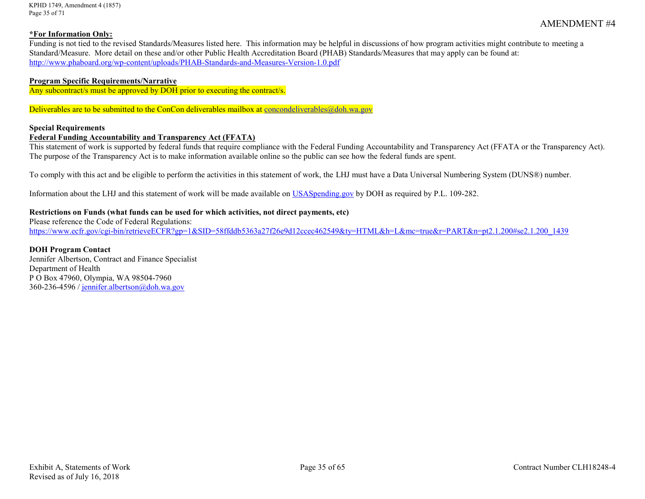KPHD 1749, Amendment 4 (1857) Page 35 of 71

#### **\*For Information Only:**

Funding is not tied to the revised Standards/Measures listed here. This information may be helpful in discussions of how program activities might contribute to meeting a Standard/Measure. More detail on these and/or other Public Health Accreditation Board (PHAB) Standards/Measures that may apply can be found at: <http://www.phaboard.org/wp-content/uploads/PHAB-Standards-and-Measures-Version-1.0.pdf>

#### **Program Specific Requirements/Narrative**

Any subcontract/s must be approved by DOH prior to executing the contract/s.

Deliverables are to be submitted to the ConCon deliverables mailbox at [concondeliverables@doh.wa.gov](mailto:concondeliverables@doh.wa.gov)

#### **Special Requirements**

#### **Federal Funding Accountability and Transparency Act (FFATA)**

This statement of work is supported by federal funds that require compliance with the Federal Funding Accountability and Transparency Act (FFATA or the Transparency Act). The purpose of the Transparency Act is to make information available online so the public can see how the federal funds are spent.

To comply with this act and be eligible to perform the activities in this statement of work, the LHJ must have a Data Universal Numbering System (DUNS®) number.

Information about the LHJ and this statement of work will be made available on [USASpending.gov](https://www.usaspending.gov/#/) by DOH as required by P.L. 109-282.

#### **Restrictions on Funds (what funds can be used for which activities, not direct payments, etc)**

Please reference the Code of Federal Regulations: [https://www.ecfr.gov/cgi-bin/retrieveECFR?gp=1&SID=58ffddb5363a27f26e9d12ccec462549&ty=HTML&h=L&mc=true&r=PART&n=pt2.1.200#se2.1.200\\_1439](https://www.ecfr.gov/cgi-bin/retrieveECFR?gp=1&SID=58ffddb5363a27f26e9d12ccec462549&ty=HTML&h=L&mc=true&r=PART&n=pt2.1.200#se2.1.200_1439)

#### **DOH Program Contact** Jennifer Albertson, Contract and Finance Specialist Department of Health P O Box 47960, Olympia, WA 98504-7960 360-236-4596 [/ jennifer.albertson@doh.wa.gov](mailto:jennifer.albertson@doh.wa.gov)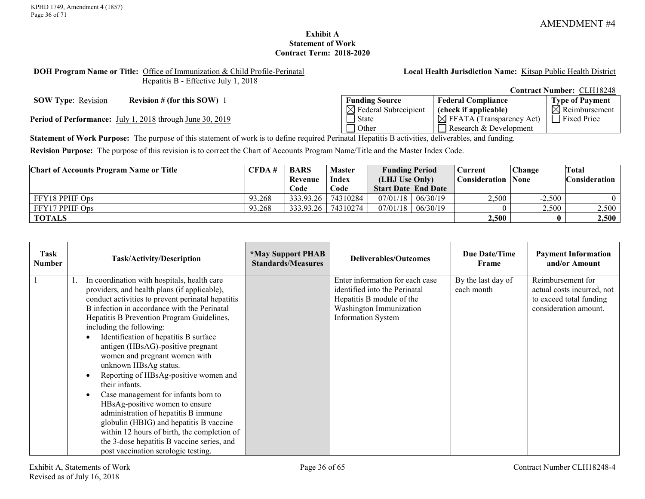# **Exhibit A Statement of Work Contract Term: 2018-2020**

#### <span id="page-35-0"></span>**DOH Program Name or Title:** Office of Immunization & Child Profile-Perinatal Hepatitis B - Effective July 1, 2018

**Local Health Jurisdiction Name:** Kitsap Public Health District

**SOW Type:** <u>Revision</u> **Revision # (for this SOW)** 1

Period of Performance: July 1, 2018 through June 30, 2019

|                                  |                                      | <b>Contract Number: CLH18248</b> |
|----------------------------------|--------------------------------------|----------------------------------|
| <b>Funding Source</b>            | <b>Federal Compliance</b>            | <b>Type of Payment</b>           |
| $\boxtimes$ Federal Subrecipient | (check if applicable)                | $\boxtimes$ Reimbursement        |
| <b>State</b>                     | $\boxtimes$ FFATA (Transparency Act) | $\Box$ Fixed Price               |
| Other                            | Research & Development               |                                  |

**Statement of Work Purpose:** The purpose of this statement of work is to define required Perinatal Hepatitis B activities, deliverables, and funding.

**Revision Purpose:** The purpose of this revision is to correct the Chart of Accounts Program Name/Title and the Master Index Code.

| <b>Chart of Accounts Program Name or Title</b> | CFDA#  | <b>BARS</b> | Master   | <b>Funding Period</b>      | Current       | <b>Change</b> | Total                |
|------------------------------------------------|--------|-------------|----------|----------------------------|---------------|---------------|----------------------|
|                                                |        | Revenue     | Index    | (LHJ Use Only)             | Consideration | <b>None</b>   | <b>Consideration</b> |
|                                                |        | Code        | Code     | <b>Start Date End Date</b> |               |               |                      |
| FFY18 PPHF Ops                                 | 93.268 | 333.93.26   | 74310284 | $07/01/18$   06/30/19      | 2,500         | $-2,500$      |                      |
| FFY17 PPHF Ops                                 | 93.268 | 333.93.26   | 74310274 | $07/01/18$   06/30/19      |               | 2,500         | 2,500                |
| <b>TOTALS</b>                                  |        |             |          |                            | 2,500         |               | 2,500                |

| Task<br>Number | <b>Task/Activity/Description</b>                                                                                                                                                                                                                                                                                                                                                                                                                                                                                                                                                                                                                                                                                                                                                           | <b>*May Support PHAB</b><br><b>Standards/Measures</b> | <b>Deliverables/Outcomes</b>                                                                                                                          | Due Date/Time<br>Frame           | <b>Payment Information</b><br>and/or Amount                                                         |
|----------------|--------------------------------------------------------------------------------------------------------------------------------------------------------------------------------------------------------------------------------------------------------------------------------------------------------------------------------------------------------------------------------------------------------------------------------------------------------------------------------------------------------------------------------------------------------------------------------------------------------------------------------------------------------------------------------------------------------------------------------------------------------------------------------------------|-------------------------------------------------------|-------------------------------------------------------------------------------------------------------------------------------------------------------|----------------------------------|-----------------------------------------------------------------------------------------------------|
|                | In coordination with hospitals, health care<br>providers, and health plans (if applicable),<br>conduct activities to prevent perinatal hepatitis<br>B infection in accordance with the Perinatal<br>Hepatitis B Prevention Program Guidelines,<br>including the following:<br>Identification of hepatitis B surface<br>antigen (HBsAG)-positive pregnant<br>women and pregnant women with<br>unknown HBsAg status.<br>Reporting of HBsAg-positive women and<br>$\bullet$<br>their infants.<br>Case management for infants born to<br>HBsAg-positive women to ensure<br>administration of hepatitis B immune<br>globulin (HBIG) and hepatitis B vaccine<br>within 12 hours of birth, the completion of<br>the 3-dose hepatitis B vaccine series, and<br>post vaccination serologic testing. |                                                       | Enter information for each case<br>identified into the Perinatal<br>Hepatitis B module of the<br>Washington Immunization<br><b>Information System</b> | By the last day of<br>each month | Reimbursement for<br>actual costs incurred, not<br>to exceed total funding<br>consideration amount. |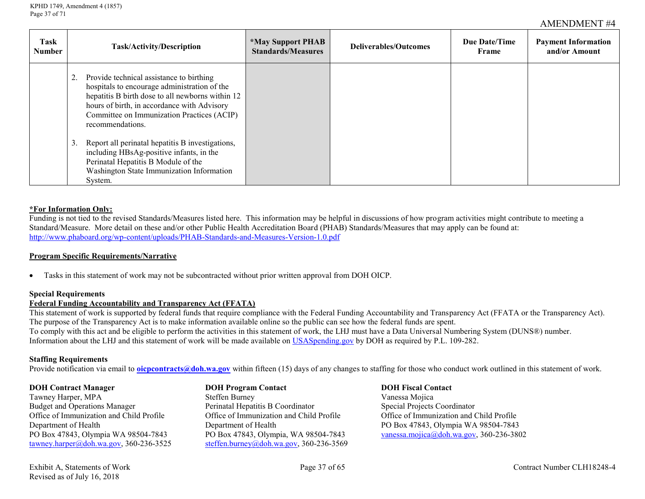| Task<br><b>Number</b> | Task/Activity/Description                                                                                                                                                                                                                                        | <i><b>*May Support PHAB</b></i><br><b>Standards/Measures</b> | Deliverables/Outcomes | Due Date/Time<br>Frame | <b>Payment Information</b><br>and/or Amount |
|-----------------------|------------------------------------------------------------------------------------------------------------------------------------------------------------------------------------------------------------------------------------------------------------------|--------------------------------------------------------------|-----------------------|------------------------|---------------------------------------------|
|                       | 2. Provide technical assistance to birthing<br>hospitals to encourage administration of the<br>hepatitis B birth dose to all newborns within 12<br>hours of birth, in accordance with Advisory<br>Committee on Immunization Practices (ACIP)<br>recommendations. |                                                              |                       |                        |                                             |
|                       | 3. Report all perinatal hepatitis B investigations,<br>including HBsAg-positive infants, in the<br>Perinatal Hepatitis B Module of the<br>Washington State Immunization Information<br>System.                                                                   |                                                              |                       |                        |                                             |

#### **\*For Information Only:**

Funding is not tied to the revised Standards/Measures listed here. This information may be helpful in discussions of how program activities might contribute to meeting a Standard/Measure. More detail on these and/or other Public Health Accreditation Board (PHAB) Standards/Measures that may apply can be found at: <http://www.phaboard.org/wp-content/uploads/PHAB-Standards-and-Measures-Version-1.0.pdf>

#### **Program Specific Requirements/Narrative**

• Tasks in this statement of work may not be subcontracted without prior written approval from DOH OICP.

#### **Special Requirements**

#### **Federal Funding Accountability and Transparency Act (FFATA)**

This statement of work is supported by federal funds that require compliance with the Federal Funding Accountability and Transparency Act (FFATA or the Transparency Act). The purpose of the Transparency Act is to make information available online so the public can see how the federal funds are spent. To comply with this act and be eligible to perform the activities in this statement of work, the LHJ must have a Data Universal Numbering System (DUNS®) number. Information about the LHJ and this statement of work will be made available on [USASpending.gov](https://www.usaspending.gov/#/) by DOH as required by P.L. 109-282.

#### **Staffing Requirements**

Provide notification via email to **[oicpcontracts@doh.wa.gov](mailto:oicpcontracts@doh.wa.gov)** within fifteen (15) days of any changes to staffing for those who conduct work outlined in this statement of work.

Tawney Harper, MPA<br>
Budget and Operations Manager 
Steffen Burney<br>
Perinatal Hepatitis B Coordinator (Special Projects Coordinator Budget and Operations Manager<br>
Office of Immunization and Child Profile<br>
Office of Immunization and Child Profile<br>
Office of Immunization and Child Profile Department of Health Department of Health PO Box 47843, Olympia WA 98504-7843 PO Box 47843, Olympia WA 98504-7843 PO Box 47843, Olympia, WA 98504-7843 [vanessa.mojica@doh.wa.gov,](mailto:Vanessa.mojica@doh.wa.gov) 360-236-3802<br>tawney.harper@doh.wa.gov, 360-236-3525 steffen.burney@doh.wa.gov, 360-236-3569

**DOH Contract Manager DOH Program Contact DOH Fiscal Contact** [steffen.burney@doh.wa.gov,](mailto:Steffen.burney@doh.wa.gov) 360-236-3569

Office of Immunization and Child Profile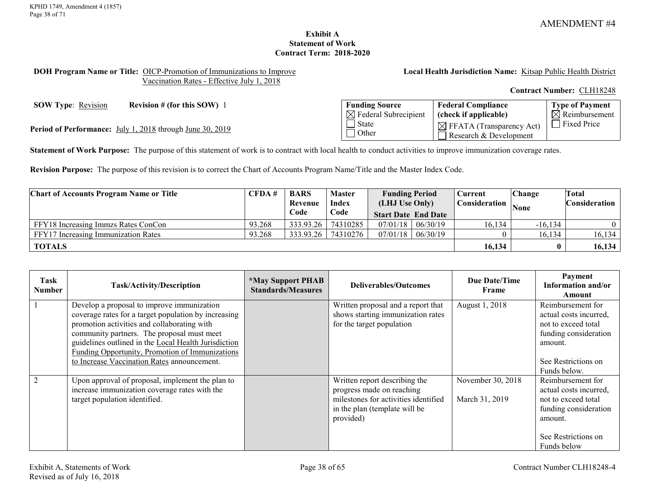# **Exhibit A Statement of Work Contract Term: 2018-2020**

#### <span id="page-37-0"></span>**DOH Program Name or Title:** OICP-Promotion of Immunizations to Improve Vaccination Rates - Effective July 1, 2018

### **Local Health Jurisdiction Name:** Kitsap Public Health District

**Contract Number:** CLH18248

**SOW Type:** <u>Revision</u> **Revision # (for this SOW)** 1

Period of Performance: July 1, 2018 through June 30, 2019

| <b>Funding Source</b>            | <b>Federal Compliance</b>                                      | Type of Payment           |
|----------------------------------|----------------------------------------------------------------|---------------------------|
| $\boxtimes$ Federal Subrecipient | (check if applicable)                                          | $\boxtimes$ Reimbursement |
| State<br>  Other                 | $\boxtimes$ FFATA (Transparency Act)<br>Research & Development | <b>Fixed Price</b>        |

**Statement of Work Purpose:** The purpose of this statement of work is to contract with local health to conduct activities to improve immunization coverage rates.

**Revision Purpose:** The purpose of this revision is to correct the Chart of Accounts Program Name/Title and the Master Index Code.

| <b>Chart of Accounts Program Name or Title</b> | CFDA#  | <b>BARS</b> | <b>Master</b> | <b>Funding Period</b>      |  | $\mathbin{\mathbb C}$ urrent $\blacksquare$ | Change      | Total         |
|------------------------------------------------|--------|-------------|---------------|----------------------------|--|---------------------------------------------|-------------|---------------|
|                                                |        | Revenue     | <b>Index</b>  | (LHJ Use Only)             |  | Consideration                               | <b>None</b> | Consideration |
|                                                |        | Code        | Code          | <b>Start Date End Date</b> |  |                                             |             |               |
| FFY18 Increasing Immzs Rates ConCon            | 93.268 | 333.93.26   | 74310285      | $07/01/18$ 06/30/19        |  | 16.134                                      | $-16, 134$  | $\Omega$      |
| FFY17 Increasing Immunization Rates            | 93.268 | 333.93.26   | 74310276      | $07/01/18$ 06/30/19        |  |                                             | 16,134      | 16,134        |
| <b>TOTALS</b>                                  |        |             |               |                            |  | 16,134                                      |             | 16,134        |

| <b>Task</b><br><b>Number</b> | Task/Activity/Description                                                                                                                                                                                                                                                                                                                                 | <i><b>*May Support PHAB</b></i><br><b>Standards/Measures</b> | Deliverables/Outcomes                                                                                                                            | Due Date/Time<br>Frame              | Payment<br>Information and/or<br>Amount                                                                                                       |
|------------------------------|-----------------------------------------------------------------------------------------------------------------------------------------------------------------------------------------------------------------------------------------------------------------------------------------------------------------------------------------------------------|--------------------------------------------------------------|--------------------------------------------------------------------------------------------------------------------------------------------------|-------------------------------------|-----------------------------------------------------------------------------------------------------------------------------------------------|
|                              | Develop a proposal to improve immunization<br>coverage rates for a target population by increasing<br>promotion activities and collaborating with<br>community partners. The proposal must meet<br>guidelines outlined in the Local Health Jurisdiction<br>Funding Opportunity, Promotion of Immunizations<br>to Increase Vaccination Rates announcement. |                                                              | Written proposal and a report that<br>shows starting immunization rates<br>for the target population                                             | August 1, 2018                      | Reimbursement for<br>actual costs incurred,<br>not to exceed total<br>funding consideration<br>amount.<br>See Restrictions on<br>Funds below. |
|                              | Upon approval of proposal, implement the plan to<br>increase immunization coverage rates with the<br>target population identified.                                                                                                                                                                                                                        |                                                              | Written report describing the<br>progress made on reaching<br>milestones for activities identified<br>in the plan (template will be<br>provided) | November 30, 2018<br>March 31, 2019 | Reimbursement for<br>actual costs incurred.<br>not to exceed total<br>funding consideration<br>amount.<br>See Restrictions on<br>Funds below  |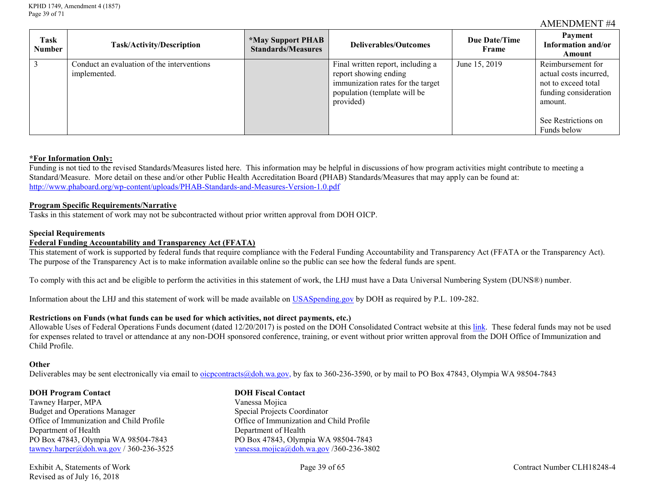| <b>Task</b><br><b>Number</b> | <b>Task/Activity/Description</b>                           | *May Support PHAB<br><b>Standards/Measures</b> | Deliverables/Outcomes                                                                                                                        | Due Date/Time<br>Frame | Payment<br>Information and/or<br>Amount                                                                                                      |
|------------------------------|------------------------------------------------------------|------------------------------------------------|----------------------------------------------------------------------------------------------------------------------------------------------|------------------------|----------------------------------------------------------------------------------------------------------------------------------------------|
| $\overline{3}$               | Conduct an evaluation of the interventions<br>implemented. |                                                | Final written report, including a<br>report showing ending<br>immunization rates for the target<br>population (template will be<br>provided) | June 15, 2019          | Reimbursement for<br>actual costs incurred.<br>not to exceed total<br>funding consideration<br>amount.<br>See Restrictions on<br>Funds below |

#### **\*For Information Only:**

Funding is not tied to the revised Standards/Measures listed here. This information may be helpful in discussions of how program activities might contribute to meeting a Standard/Measure. More detail on these and/or other Public Health Accreditation Board (PHAB) Standards/Measures that may apply can be found at: <http://www.phaboard.org/wp-content/uploads/PHAB-Standards-and-Measures-Version-1.0.pdf>

#### **Program Specific Requirements/Narrative**

Tasks in this statement of work may not be subcontracted without prior written approval from DOH OICP.

#### **Special Requirements**

# **Federal Funding Accountability and Transparency Act (FFATA)**

This statement of work is supported by federal funds that require compliance with the Federal Funding Accountability and Transparency Act (FFATA or the Transparency Act). The purpose of the Transparency Act is to make information available online so the public can see how the federal funds are spent.

To comply with this act and be eligible to perform the activities in this statement of work, the LHJ must have a Data Universal Numbering System (DUNS®) number.

Information about the LHJ and this statement of work will be made available on [USASpending.gov](https://www.usaspending.gov/#/) by DOH as required by P.L. 109-282.

#### **Restrictions on Funds (what funds can be used for which activities, not direct payments, etc.)**

Allowable Uses of Federal Operations Funds document (dated 12/20/2017) is posted on the DOH Consolidated Contract website at thi[s link.](http://www.doh.wa.gov/PublicHealthandHealthcareProviders/PublicHealthSystemResourcesandServices/Funding/ConsolidatedContracts/FormsReportsandProgramInformation.aspx) These federal funds may not be used for expenses related to travel or attendance at any non-DOH sponsored conference, training, or event without prior written approval from the DOH Office of Immunization and Child Profile.

#### **Other**

Deliverables may be sent electronically via email to [oicpcontracts@doh.wa.gov,](mailto:oicpcontracts@doh.wa.gov) by fax to 360-236-3590, or by mail to PO Box 47843, Olympia WA 98504-7843

#### **DOH Program Contact DOH Fiscal Contact**

Tawney Harper, MPA Vanessa Mojica Budget and Operations Manager<br>
Office of Immunization and Child Profile<br>
Office of Immunization and Child Profile<br>
Office of Immunization and Child Profile Department of Health<br>
PO Box 47843, Olympia WA 98504-7843<br>
PO Box 47843, Olympia WA 98504-7843<br>
PO Box 47843, Olympia WA 98504-7843 PO Box 47843, Olympia WA 98504-7843<br>tawney.harper@doh.wa.gov / 360-236-3525<br>vanessa.mojica@doh.wa.gov / 360-236-380

Office of Immunization and Child Profile [vanessa.mojica@doh.wa.gov](mailto:vanessa.mojica@doh.wa.gov) / 360-236-3802

Revised as of July 16, 2018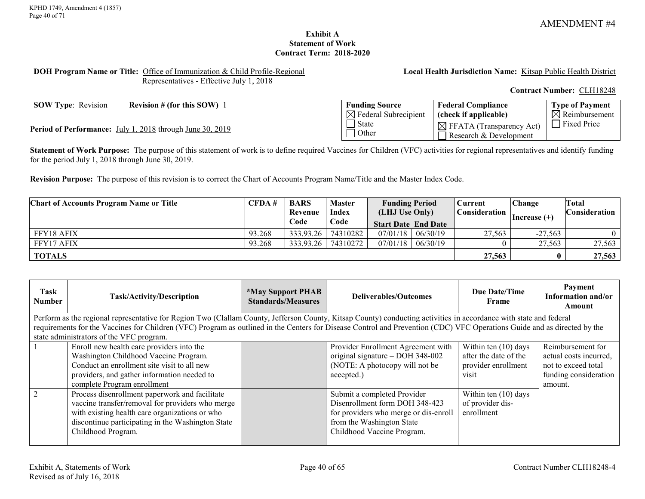**Type of Payment**  $\overline{\boxtimes}$  Reimbursement

### **Exhibit A Statement of Work Contract Term: 2018-2020**

#### <span id="page-39-0"></span>**DOH Program Name or Title:** Office of Immunization & Child Profile-Regional Representatives - Effective July 1, 2018

**Local Health Jurisdiction Name:** Kitsap Public Health District

**Federal Compliance (check if applicable)**

 $\boxtimes$  FFATA (Transparency Act) Research & Development

**Contract Number:** CLH18248

**SOW Type**: Revision **Revision # (for this SOW)** 1 **Funding Source** 

**Period of Performance:** July 1, 2018 through June 30, 2019

**Statement of Work Purpose:** The purpose of this statement of work is to define required Vaccines for Children (VFC) activities for regional representatives and identify funding for the period July 1, 2018 through June 30, 2019.

 $\boxtimes$  Federal Subrecipient

 $\overline{\Box}$  State **Other** 

**Revision Purpose:** The purpose of this revision is to correct the Chart of Accounts Program Name/Title and the Master Index Code.

| <b>Chart of Accounts Program Name or Title</b> | CFDA#  | <b>BARS</b> | <b>Master</b> | <b>Funding Period</b>      |          | 2urrent ∶            | Change          | Total         |
|------------------------------------------------|--------|-------------|---------------|----------------------------|----------|----------------------|-----------------|---------------|
|                                                |        | Revenue     | <b>Index</b>  | (LHJ Use Only)             |          | <b>Consideration</b> | $ Increase (+)$ | Consideration |
|                                                |        | Code        | Code          | <b>Start Date End Date</b> |          |                      |                 |               |
| FFY18 AFIX                                     | 93.268 | 333.93.26   | 74310282      | 07/01/18                   | 06/30/19 | 27,563               | $-27.563$       |               |
| FFY17 AFIX                                     | 93.268 | 333.93.26   | 74310272      | 07/01/18                   | 06/30/19 |                      | 27,563          | 27,563        |
| <b>TOTALS</b>                                  |        |             |               |                            |          | 27,563               |                 | 27,563        |

| Task<br><b>Number</b>                                                                                                                                                    | <b>Task/Activity/Description</b>                                                                                                                                   | <i><b>*May Support PHAB</b></i><br><b>Standards/Measures</b> | Deliverables/Outcomes                 | Due Date/Time<br>Frame | Payment<br>Information and/or<br>Amount |  |  |
|--------------------------------------------------------------------------------------------------------------------------------------------------------------------------|--------------------------------------------------------------------------------------------------------------------------------------------------------------------|--------------------------------------------------------------|---------------------------------------|------------------------|-----------------------------------------|--|--|
|                                                                                                                                                                          | Perform as the regional representative for Region Two (Clallam County, Jefferson County, Kitsap County) conducting activities in accordance with state and federal |                                                              |                                       |                        |                                         |  |  |
| requirements for the Vaccines for Children (VFC) Program as outlined in the Centers for Disease Control and Prevention (CDC) VFC Operations Guide and as directed by the |                                                                                                                                                                    |                                                              |                                       |                        |                                         |  |  |
|                                                                                                                                                                          | state administrators of the VFC program.                                                                                                                           |                                                              |                                       |                        |                                         |  |  |
|                                                                                                                                                                          | Enroll new health care providers into the                                                                                                                          |                                                              | Provider Enrollment Agreement with    | Within ten (10) days   | Reimbursement for                       |  |  |
|                                                                                                                                                                          | Washington Childhood Vaccine Program.                                                                                                                              |                                                              | original signature – DOH 348-002      | after the date of the  | actual costs incurred,                  |  |  |
|                                                                                                                                                                          | Conduct an enrollment site visit to all new                                                                                                                        |                                                              | (NOTE: A photocopy will not be        | provider enrollment    | not to exceed total                     |  |  |
|                                                                                                                                                                          | providers, and gather information needed to                                                                                                                        |                                                              | accepted.)                            | visit                  | funding consideration                   |  |  |
|                                                                                                                                                                          | complete Program enrollment                                                                                                                                        |                                                              |                                       |                        | amount.                                 |  |  |
| $\overline{2}$                                                                                                                                                           | Process disenrollment paperwork and facilitate                                                                                                                     |                                                              | Submit a completed Provider           | Within ten (10) days   |                                         |  |  |
|                                                                                                                                                                          | vaccine transfer/removal for providers who merge                                                                                                                   |                                                              | Disenrollment form DOH 348-423        | of provider dis-       |                                         |  |  |
|                                                                                                                                                                          | with existing health care organizations or who                                                                                                                     |                                                              | for providers who merge or dis-enroll | enrollment             |                                         |  |  |
|                                                                                                                                                                          | discontinue participating in the Washington State                                                                                                                  |                                                              | from the Washington State             |                        |                                         |  |  |
|                                                                                                                                                                          | Childhood Program.                                                                                                                                                 |                                                              | Childhood Vaccine Program.            |                        |                                         |  |  |
|                                                                                                                                                                          |                                                                                                                                                                    |                                                              |                                       |                        |                                         |  |  |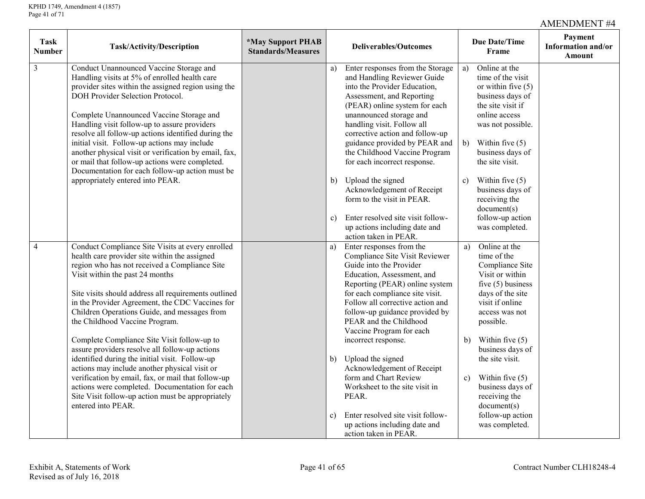| <b>Task</b><br>Number | Task/Activity/Description                                                                                                                                                                                                                                                                                                                                                                                                                                                                                                                                                                                                                                                                                                                                                 | <i><b>*May Support PHAB</b></i><br><b>Standards/Measures</b> |                    | <b>Deliverables/Outcomes</b>                                                                                                                                                                                                                                                                                                                                                                                                                                                                            |                           | Due Date/Time<br>Frame                                                                                                                                                                                                                                                                                                   | Payment<br>Information and/or<br>Amount |
|-----------------------|---------------------------------------------------------------------------------------------------------------------------------------------------------------------------------------------------------------------------------------------------------------------------------------------------------------------------------------------------------------------------------------------------------------------------------------------------------------------------------------------------------------------------------------------------------------------------------------------------------------------------------------------------------------------------------------------------------------------------------------------------------------------------|--------------------------------------------------------------|--------------------|---------------------------------------------------------------------------------------------------------------------------------------------------------------------------------------------------------------------------------------------------------------------------------------------------------------------------------------------------------------------------------------------------------------------------------------------------------------------------------------------------------|---------------------------|--------------------------------------------------------------------------------------------------------------------------------------------------------------------------------------------------------------------------------------------------------------------------------------------------------------------------|-----------------------------------------|
| $\overline{3}$        | Conduct Unannounced Vaccine Storage and<br>Handling visits at 5% of enrolled health care<br>provider sites within the assigned region using the<br>DOH Provider Selection Protocol.<br>Complete Unannounced Vaccine Storage and<br>Handling visit follow-up to assure providers<br>resolve all follow-up actions identified during the<br>initial visit. Follow-up actions may include<br>another physical visit or verification by email, fax,<br>or mail that follow-up actions were completed.<br>Documentation for each follow-up action must be                                                                                                                                                                                                                      |                                                              | a)                 | Enter responses from the Storage<br>and Handling Reviewer Guide<br>into the Provider Education,<br>Assessment, and Reporting<br>(PEAR) online system for each<br>unannounced storage and<br>handling visit. Follow all<br>corrective action and follow-up<br>guidance provided by PEAR and<br>the Childhood Vaccine Program<br>for each incorrect response.                                                                                                                                             | a)                        | Online at the<br>time of the visit<br>or within five $(5)$<br>business days of<br>the site visit if<br>online access<br>was not possible.<br>b) Within five $(5)$<br>business days of<br>the site visit.                                                                                                                 |                                         |
|                       | appropriately entered into PEAR.                                                                                                                                                                                                                                                                                                                                                                                                                                                                                                                                                                                                                                                                                                                                          |                                                              | b)<br>$\mathbf{c}$ | Upload the signed<br>Acknowledgement of Receipt<br>form to the visit in PEAR.<br>Enter resolved site visit follow-<br>up actions including date and<br>action taken in PEAR.                                                                                                                                                                                                                                                                                                                            | $\mathbf{c})$             | Within five $(5)$<br>business days of<br>receiving the<br>document(s)<br>follow-up action<br>was completed.                                                                                                                                                                                                              |                                         |
| $\overline{4}$        | Conduct Compliance Site Visits at every enrolled<br>health care provider site within the assigned<br>region who has not received a Compliance Site<br>Visit within the past 24 months<br>Site visits should address all requirements outlined<br>in the Provider Agreement, the CDC Vaccines for<br>Children Operations Guide, and messages from<br>the Childhood Vaccine Program.<br>Complete Compliance Site Visit follow-up to<br>assure providers resolve all follow-up actions<br>identified during the initial visit. Follow-up<br>actions may include another physical visit or<br>verification by email, fax, or mail that follow-up<br>actions were completed. Documentation for each<br>Site Visit follow-up action must be appropriately<br>entered into PEAR. |                                                              | a)<br>b)<br>c)     | Enter responses from the<br>Compliance Site Visit Reviewer<br>Guide into the Provider<br>Education, Assessment, and<br>Reporting (PEAR) online system<br>for each compliance site visit.<br>Follow all corrective action and<br>follow-up guidance provided by<br>PEAR and the Childhood<br>Vaccine Program for each<br>incorrect response.<br>Upload the signed<br>Acknowledgement of Receipt<br>form and Chart Review<br>Worksheet to the site visit in<br>PEAR.<br>Enter resolved site visit follow- | a)<br>b)<br>$\mathbf{c})$ | Online at the<br>time of the<br>Compliance Site<br>Visit or within<br>five $(5)$ business<br>days of the site<br>visit if online<br>access was not<br>possible.<br>Within five $(5)$<br>business days of<br>the site visit.<br>Within five $(5)$<br>business days of<br>receiving the<br>document(s)<br>follow-up action |                                         |
|                       |                                                                                                                                                                                                                                                                                                                                                                                                                                                                                                                                                                                                                                                                                                                                                                           |                                                              |                    | up actions including date and<br>action taken in PEAR.                                                                                                                                                                                                                                                                                                                                                                                                                                                  |                           | was completed.                                                                                                                                                                                                                                                                                                           |                                         |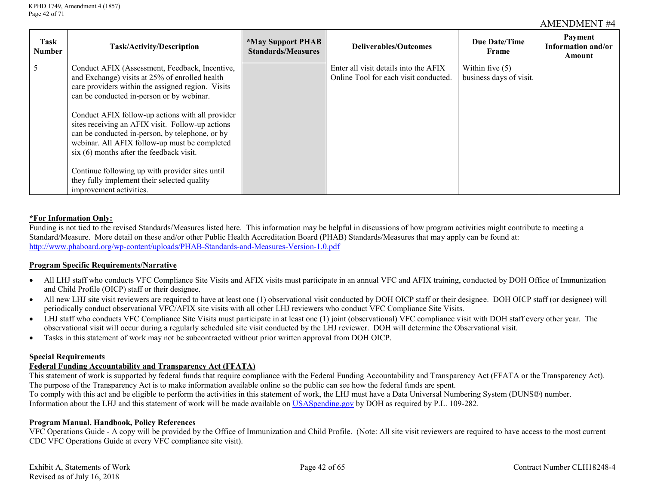| Task<br><b>Number</b> | <b>Task/Activity/Description</b>                                                                     | <i><b>*May Support PHAB</b></i><br><b>Standards/Measures</b> | Deliverables/Outcomes                                                          | Due Date/Time<br>Frame                       | Payment<br>Information and/or<br>Amount |
|-----------------------|------------------------------------------------------------------------------------------------------|--------------------------------------------------------------|--------------------------------------------------------------------------------|----------------------------------------------|-----------------------------------------|
|                       | Conduct AFIX (Assessment, Feedback, Incentive,<br>and Exchange) visits at 25% of enrolled health     |                                                              | Enter all visit details into the AFIX<br>Online Tool for each visit conducted. | Within five $(5)$<br>business days of visit. |                                         |
|                       | care providers within the assigned region. Visits                                                    |                                                              |                                                                                |                                              |                                         |
|                       | can be conducted in-person or by webinar.                                                            |                                                              |                                                                                |                                              |                                         |
|                       | Conduct AFIX follow-up actions with all provider<br>sites receiving an AFIX visit. Follow-up actions |                                                              |                                                                                |                                              |                                         |
|                       | can be conducted in-person, by telephone, or by                                                      |                                                              |                                                                                |                                              |                                         |
|                       | webinar. All AFIX follow-up must be completed<br>$s$ ix $(6)$ months after the feedback visit.       |                                                              |                                                                                |                                              |                                         |
|                       |                                                                                                      |                                                              |                                                                                |                                              |                                         |
|                       | Continue following up with provider sites until<br>they fully implement their selected quality       |                                                              |                                                                                |                                              |                                         |
|                       | improvement activities.                                                                              |                                                              |                                                                                |                                              |                                         |

#### **\*For Information Only:**

Funding is not tied to the revised Standards/Measures listed here. This information may be helpful in discussions of how program activities might contribute to meeting a Standard/Measure. More detail on these and/or other Public Health Accreditation Board (PHAB) Standards/Measures that may apply can be found at: <http://www.phaboard.org/wp-content/uploads/PHAB-Standards-and-Measures-Version-1.0.pdf>

#### **Program Specific Requirements/Narrative**

- All LHJ staff who conducts VFC Compliance Site Visits and AFIX visits must participate in an annual VFC and AFIX training, conducted by DOH Office of Immunization and Child Profile (OICP) staff or their designee.
- All new LHJ site visit reviewers are required to have at least one (1) observational visit conducted by DOH OICP staff or their designee. DOH OICP staff (or designee) will periodically conduct observational VFC/AFIX site visits with all other LHJ reviewers who conduct VFC Compliance Site Visits.
- LHJ staff who conducts VFC Compliance Site Visits must participate in at least one (1) joint (observational) VFC compliance visit with DOH staff every other year. The observational visit will occur during a regularly scheduled site visit conducted by the LHJ reviewer. DOH will determine the Observational visit.
- Tasks in this statement of work may not be subcontracted without prior written approval from DOH OICP.

#### **Special Requirements**

#### **Federal Funding Accountability and Transparency Act (FFATA)**

This statement of work is supported by federal funds that require compliance with the Federal Funding Accountability and Transparency Act (FFATA or the Transparency Act). The purpose of the Transparency Act is to make information available online so the public can see how the federal funds are spent.

To comply with this act and be eligible to perform the activities in this statement of work, the LHJ must have a Data Universal Numbering System (DUNS®) number. Information about the LHJ and this statement of work will be made available on [USASpending.gov](https://www.usaspending.gov/#/) by DOH as required by P.L. 109-282.

#### **Program Manual, Handbook, Policy References**

VFC Operations Guide - A copy will be provided by the Office of Immunization and Child Profile. (Note: All site visit reviewers are required to have access to the most current CDC VFC Operations Guide at every VFC compliance site visit).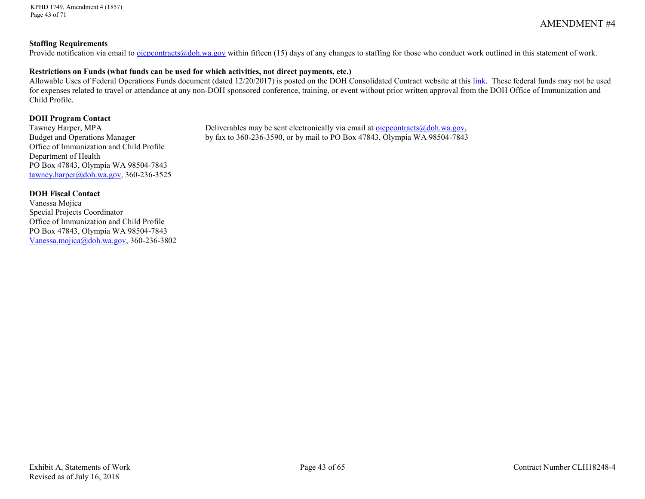KPHD 1749, Amendment 4 (1857) Page 43 of 71

### **Staffing Requirements**

Provide notification via email to <u>oicpcontracts@doh.wa.gov</u> within fifteen (15) days of any changes to staffing for those who conduct work outlined in this statement of work.

#### **Restrictions on Funds (what funds can be used for which activities, not direct payments, etc.)**

Allowable Uses of Federal Operations Funds document (dated 12/20/2017) is posted on the DOH Consolidated Contract website at this [link.](http://www.doh.wa.gov/PublicHealthandHealthcareProviders/PublicHealthSystemResourcesandServices/Funding/ConsolidatedContracts/FormsReportsandProgramInformation.aspx) These federal funds may not be used for expenses related to travel or attendance at any non-DOH sponsored conference, training, or event without prior written approval from the DOH Office of Immunization and Child Profile.

# **DOH Program Contact**<br>Tawney Harper, MPA

Office of Immunization and Child Profile Department of Health PO Box 47843, Olympia WA 98504-7843 [tawney.harper@doh.wa.gov,](mailto:tawney.harper@doh.wa.gov) 360-236-3525

Deliverables may be sent electronically via email at [oicpcontracts@doh.wa.gov,](mailto:oicpcontracts@doh.wa.gov) Budget and Operations Manager by fax to 360-236-3590, or by mail to PO Box 47843, Olympia WA 98504-7843

#### **DOH Fiscal Contact**

Vanessa Mojica Special Projects Coordinator Office of Immunization and Child Profile PO Box 47843, Olympia WA 98504-7843 [Vanessa.mojica@doh.wa.gov,](mailto:Vanessa.mojica@doh.wa.gov) 360-236-3802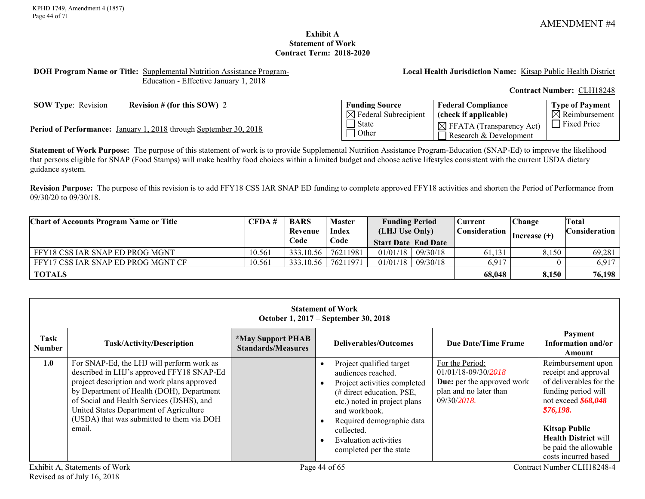**Type of Payment**  $\overline{\mathsf{N}}$  Reimbursement

# **Exhibit A Statement of Work Contract Term: 2018-2020**

#### <span id="page-43-0"></span>**DOH Program Name or Title:** Supplemental Nutrition Assistance Program-Education - Effective January 1, 2018

**Local Health Jurisdiction Name:** Kitsap Public Health District

**Federal Compliance (check if applicable)**

 $\boxtimes$  FFATA (Transparency Act) Research & Development

**Contract Number:** CLH18248

**SOW Type**: Revision **Revision # (for this SOW) 2 Funding Source** 

Fixed Price **Period of Performance:** January 1, 2018 through September 30, 2018

**Statement of Work Purpose:** The purpose of this statement of work is to provide Supplemental Nutrition Assistance Program-Education (SNAP-Ed) to improve the likelihood that persons eligible for SNAP (Food Stamps) will make healthy food choices within a limited budget and choose active lifestyles consistent with the current USDA dietary guidance system.

 $\boxtimes$  Federal Subrecipient

 $\overline{\Box}$  State **Other** 

**Revision Purpose:** The purpose of this revision is to add FFY18 CSS IAR SNAP ED funding to complete approved FFY18 activities and shorten the Period of Performance from 09/30/20 to 09/30/18.

| <b>Chart of Accounts Program Name or Title</b> | CFDA#  | <b>BARS</b> | <b>Master</b>                      | <b>Funding Period</b> |          | <b>Current</b>       | Change                 | Total         |
|------------------------------------------------|--------|-------------|------------------------------------|-----------------------|----------|----------------------|------------------------|---------------|
|                                                |        | Revenue     | <b>Index</b>                       | (LHJ Use Only)        |          | <b>Consideration</b> | $\vert$ Increase $(+)$ | Consideration |
|                                                |        | Code        | Code<br><b>Start Date End Date</b> |                       |          |                      |                        |               |
| FFY18 CSS IAR SNAP ED PROG MGNT                | 10.561 | 333.10.56   | 76211981                           | 01/01/18              | 09/30/18 | 61,131               | 8,150                  | 69,281        |
| FFY17 CSS IAR SNAP ED PROG MGNT CF             | 10.561 | 333.10.56   | 76211971                           | 01/01/18              | 09/30/18 | 6,917                |                        | 6,917         |
| <b>TOTALS</b>                                  |        |             |                                    |                       |          | 68,048               | 8,150                  | 76,198        |

|                | <b>Statement of Work</b><br>October 1, 2017 – September 30, 2018                                                                                                                                                                                                                                                                  |                                                              |                                                                                                                                                                                                                                                             |                                                                                                                          |                                                                                                                                                                                                                                          |  |  |  |  |
|----------------|-----------------------------------------------------------------------------------------------------------------------------------------------------------------------------------------------------------------------------------------------------------------------------------------------------------------------------------|--------------------------------------------------------------|-------------------------------------------------------------------------------------------------------------------------------------------------------------------------------------------------------------------------------------------------------------|--------------------------------------------------------------------------------------------------------------------------|------------------------------------------------------------------------------------------------------------------------------------------------------------------------------------------------------------------------------------------|--|--|--|--|
| Task<br>Number | Task/Activity/Description                                                                                                                                                                                                                                                                                                         | <i><b>*May Support PHAB</b></i><br><b>Standards/Measures</b> | Deliverables/Outcomes                                                                                                                                                                                                                                       | Due Date/Time Frame                                                                                                      | Payment<br>Information and/or<br>Amount                                                                                                                                                                                                  |  |  |  |  |
| 1.0            | For SNAP-Ed, the LHJ will perform work as<br>described in LHJ's approved FFY18 SNAP-Ed<br>project description and work plans approved<br>by Department of Health (DOH), Department<br>of Social and Health Services (DSHS), and<br>United States Department of Agriculture<br>(USDA) that was submitted to them via DOH<br>email. |                                                              | Project qualified target<br>audiences reached.<br>Project activities completed<br>(# direct education, PSE,<br>etc.) noted in project plans<br>and workbook.<br>Required demographic data<br>collected.<br>Evaluation activities<br>completed per the state | For the Period:<br>$01/01/18 - 09/30/2918$<br><b>Due:</b> per the approved work<br>plan and no later than<br>09/30/2918. | Reimbursement upon<br>receipt and approval<br>of deliverables for the<br>funding period will<br>not exceed \$68,048<br>\$76,198.<br><b>Kitsap Public</b><br><b>Health District will</b><br>be paid the allowable<br>costs incurred based |  |  |  |  |
|                | Exhibit A, Statements of Work                                                                                                                                                                                                                                                                                                     |                                                              | Page 44 of 65                                                                                                                                                                                                                                               |                                                                                                                          | Contract Number CLH18248-4                                                                                                                                                                                                               |  |  |  |  |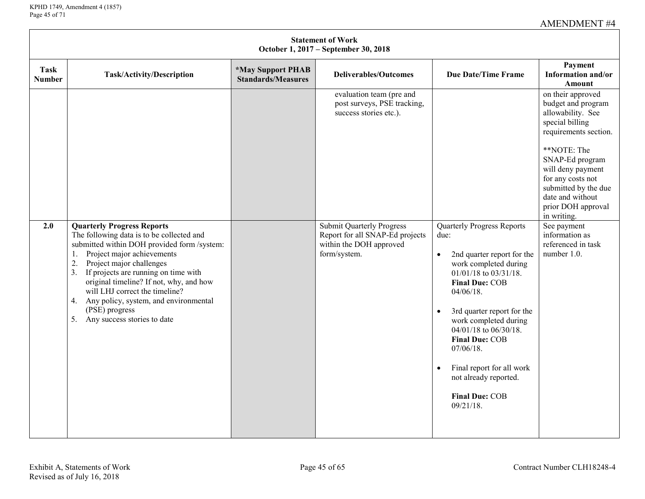| <b>Statement of Work</b><br>October 1, 2017 – September 30, 2018 |                                                                                                                                                                                                                                                                                                                                                                                                                                                  |                                                              |                                                                                                                |                                                                                                                                                                                                                                                                                                                                                                                                                                   |                                                                                                                                                                                                                                                                       |  |  |  |  |
|------------------------------------------------------------------|--------------------------------------------------------------------------------------------------------------------------------------------------------------------------------------------------------------------------------------------------------------------------------------------------------------------------------------------------------------------------------------------------------------------------------------------------|--------------------------------------------------------------|----------------------------------------------------------------------------------------------------------------|-----------------------------------------------------------------------------------------------------------------------------------------------------------------------------------------------------------------------------------------------------------------------------------------------------------------------------------------------------------------------------------------------------------------------------------|-----------------------------------------------------------------------------------------------------------------------------------------------------------------------------------------------------------------------------------------------------------------------|--|--|--|--|
| <b>Task</b><br><b>Number</b>                                     | Task/Activity/Description                                                                                                                                                                                                                                                                                                                                                                                                                        | <i><b>*May Support PHAB</b></i><br><b>Standards/Measures</b> | <b>Deliverables/Outcomes</b>                                                                                   | <b>Due Date/Time Frame</b>                                                                                                                                                                                                                                                                                                                                                                                                        | Payment<br>Information and/or<br>Amount                                                                                                                                                                                                                               |  |  |  |  |
|                                                                  |                                                                                                                                                                                                                                                                                                                                                                                                                                                  |                                                              | evaluation team (pre and<br>post surveys, PSE tracking,<br>success stories etc.).                              |                                                                                                                                                                                                                                                                                                                                                                                                                                   | on their approved<br>budget and program<br>allowability. See<br>special billing<br>requirements section.<br>**NOTE: The<br>SNAP-Ed program<br>will deny payment<br>for any costs not<br>submitted by the due<br>date and without<br>prior DOH approval<br>in writing. |  |  |  |  |
| 2.0                                                              | <b>Quarterly Progress Reports</b><br>The following data is to be collected and<br>submitted within DOH provided form /system:<br>Project major achievements<br>1.<br>Project major challenges<br>2.<br>If projects are running on time with<br>3 <sub>1</sub><br>original timeline? If not, why, and how<br>will LHJ correct the timeline?<br>Any policy, system, and environmental<br>4.<br>(PSE) progress<br>Any success stories to date<br>5. |                                                              | <b>Submit Quarterly Progress</b><br>Report for all SNAP-Ed projects<br>within the DOH approved<br>form/system. | <b>Quarterly Progress Reports</b><br>due:<br>2nd quarter report for the<br>$\bullet$<br>work completed during<br>01/01/18 to 03/31/18.<br><b>Final Due: COB</b><br>$04/06/18$ .<br>3rd quarter report for the<br>$\bullet$<br>work completed during<br>04/01/18 to 06/30/18.<br><b>Final Due: COB</b><br>$07/06/18$ .<br>Final report for all work<br>$\bullet$<br>not already reported.<br><b>Final Due: COB</b><br>$09/21/18$ . | See payment<br>information as<br>referenced in task<br>number 1.0.                                                                                                                                                                                                    |  |  |  |  |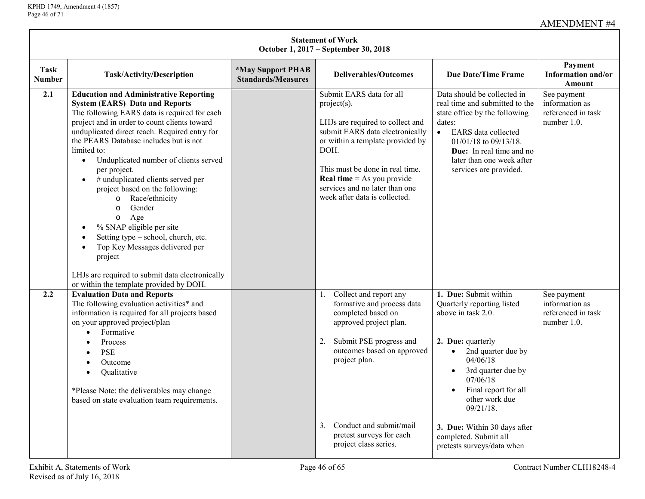| <b>Statement of Work</b><br>October 1, 2017 – September 30, 2018 |                                                                                                                                                                                                                                                                                                                                                                                                                                                                                                                                                                                                                                                                                                                                                                         |                                                              |                                                                                                                                                                                                                                                                                                          |                                                                                                                                                                                                                                                                                                                                                            |                                                                    |  |  |  |  |
|------------------------------------------------------------------|-------------------------------------------------------------------------------------------------------------------------------------------------------------------------------------------------------------------------------------------------------------------------------------------------------------------------------------------------------------------------------------------------------------------------------------------------------------------------------------------------------------------------------------------------------------------------------------------------------------------------------------------------------------------------------------------------------------------------------------------------------------------------|--------------------------------------------------------------|----------------------------------------------------------------------------------------------------------------------------------------------------------------------------------------------------------------------------------------------------------------------------------------------------------|------------------------------------------------------------------------------------------------------------------------------------------------------------------------------------------------------------------------------------------------------------------------------------------------------------------------------------------------------------|--------------------------------------------------------------------|--|--|--|--|
| Task<br><b>Number</b>                                            | Task/Activity/Description                                                                                                                                                                                                                                                                                                                                                                                                                                                                                                                                                                                                                                                                                                                                               | <i><b>*May Support PHAB</b></i><br><b>Standards/Measures</b> | <b>Deliverables/Outcomes</b>                                                                                                                                                                                                                                                                             | <b>Due Date/Time Frame</b>                                                                                                                                                                                                                                                                                                                                 | Payment<br>Information and/or<br><b>Amount</b>                     |  |  |  |  |
| 2.1                                                              | <b>Education and Administrative Reporting</b><br><b>System (EARS) Data and Reports</b><br>The following EARS data is required for each<br>project and in order to count clients toward<br>unduplicated direct reach. Required entry for<br>the PEARS Database includes but is not<br>limited to:<br>Unduplicated number of clients served<br>$\bullet$<br>per project.<br># unduplicated clients served per<br>$\bullet$<br>project based on the following:<br>Race/ethnicity<br>$\circ$<br>Gender<br>$\circ$<br>Age<br>$\circ$<br>% SNAP eligible per site<br>$\bullet$<br>Setting type – school, church, etc.<br>Top Key Messages delivered per<br>$\bullet$<br>project<br>LHJs are required to submit data electronically<br>or within the template provided by DOH. |                                                              | Submit EARS data for all<br>$project(s)$ .<br>LHJs are required to collect and<br>submit EARS data electronically<br>or within a template provided by<br>DOH.<br>This must be done in real time.<br><b>Real time</b> = As you provide<br>services and no later than one<br>week after data is collected. | Data should be collected in<br>real time and submitted to the<br>state office by the following<br>dates:<br><b>EARS</b> data collected<br>$\bullet$<br>$01/01/18$ to $09/13/18$ .<br><b>Due:</b> In real time and no<br>later than one week after<br>services are provided.                                                                                | See payment<br>information as<br>referenced in task<br>number 1.0. |  |  |  |  |
| 2.2                                                              | <b>Evaluation Data and Reports</b><br>The following evaluation activities* and<br>information is required for all projects based<br>on your approved project/plan<br>Formative<br>$\bullet$<br>Process<br>$\bullet$<br><b>PSE</b><br>$\bullet$<br>Outcome<br>$\bullet$<br>Qualitative<br>$\bullet$<br>*Please Note: the deliverables may change<br>based on state evaluation team requirements.                                                                                                                                                                                                                                                                                                                                                                         |                                                              | Collect and report any<br>1.<br>formative and process data<br>completed based on<br>approved project plan.<br>Submit PSE progress and<br>2.<br>outcomes based on approved<br>project plan.<br>Conduct and submit/mail<br>3.<br>pretest surveys for each<br>project class series.                         | 1. Due: Submit within<br>Quarterly reporting listed<br>above in task 2.0.<br>2. Due: quarterly<br>2nd quarter due by<br>$\bullet$<br>04/06/18<br>3rd quarter due by<br>$\bullet$<br>07/06/18<br>Final report for all<br>$\bullet$<br>other work due<br>$09/21/18$ .<br>3. Due: Within 30 days after<br>completed. Submit all<br>pretests surveys/data when | See payment<br>information as<br>referenced in task<br>number 1.0. |  |  |  |  |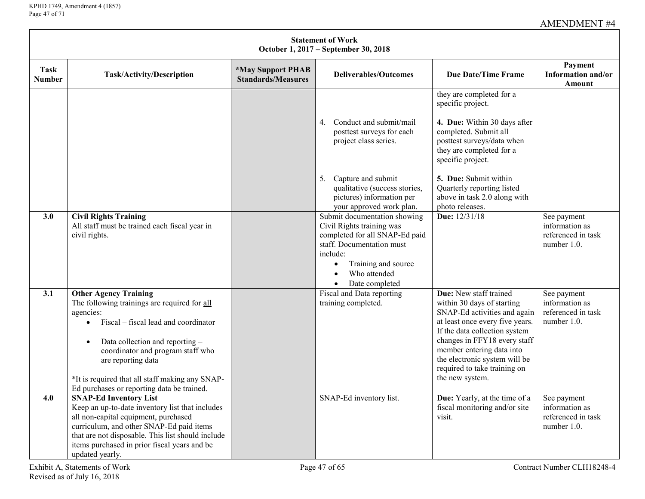$\mathsf{L}$ 

|                       | <b>Statement of Work</b><br>October 1, 2017 - September 30, 2018                                                                                                                                                                                                                                                                                           |                                                |                                                                                                                                                                                                                                        |                                                                                                                                                                                                                                                                                                           |                                                                    |  |  |  |  |  |
|-----------------------|------------------------------------------------------------------------------------------------------------------------------------------------------------------------------------------------------------------------------------------------------------------------------------------------------------------------------------------------------------|------------------------------------------------|----------------------------------------------------------------------------------------------------------------------------------------------------------------------------------------------------------------------------------------|-----------------------------------------------------------------------------------------------------------------------------------------------------------------------------------------------------------------------------------------------------------------------------------------------------------|--------------------------------------------------------------------|--|--|--|--|--|
| Task<br><b>Number</b> | Task/Activity/Description                                                                                                                                                                                                                                                                                                                                  | *May Support PHAB<br><b>Standards/Measures</b> | <b>Deliverables/Outcomes</b>                                                                                                                                                                                                           | <b>Due Date/Time Frame</b>                                                                                                                                                                                                                                                                                | Payment<br>Information and/or<br>Amount                            |  |  |  |  |  |
|                       |                                                                                                                                                                                                                                                                                                                                                            |                                                | Conduct and submit/mail<br>4.<br>posttest surveys for each<br>project class series.<br>Capture and submit<br>5.<br>qualitative (success stories,<br>pictures) information per                                                          | they are completed for a<br>specific project.<br>4. Due: Within 30 days after<br>completed. Submit all<br>posttest surveys/data when<br>they are completed for a<br>specific project.<br>5. Due: Submit within<br>Quarterly reporting listed<br>above in task 2.0 along with                              |                                                                    |  |  |  |  |  |
| 3.0                   | <b>Civil Rights Training</b><br>All staff must be trained each fiscal year in<br>civil rights.                                                                                                                                                                                                                                                             |                                                | your approved work plan.<br>Submit documentation showing<br>Civil Rights training was<br>completed for all SNAP-Ed paid<br>staff. Documentation must<br>include:<br>Training and source<br>Who attended<br>Date completed<br>$\bullet$ | photo releases.<br>Due: 12/31/18                                                                                                                                                                                                                                                                          | See payment<br>information as<br>referenced in task<br>number 1.0. |  |  |  |  |  |
| 3.1                   | <b>Other Agency Training</b><br>The following trainings are required for all<br>agencies:<br>Fiscal – fiscal lead and coordinator<br>$\bullet$<br>Data collection and reporting -<br>$\bullet$<br>coordinator and program staff who<br>are reporting data<br>*It is required that all staff making any SNAP-<br>Ed purchases or reporting data be trained. |                                                | Fiscal and Data reporting<br>training completed.                                                                                                                                                                                       | Due: New staff trained<br>within 30 days of starting<br>SNAP-Ed activities and again<br>at least once every five years.<br>If the data collection system<br>changes in FFY18 every staff<br>member entering data into<br>the electronic system will be<br>required to take training on<br>the new system. | See payment<br>information as<br>referenced in task<br>number 1.0. |  |  |  |  |  |
| 4.0                   | <b>SNAP-Ed Inventory List</b><br>Keep an up-to-date inventory list that includes<br>all non-capital equipment, purchased<br>curriculum, and other SNAP-Ed paid items<br>that are not disposable. This list should include<br>items purchased in prior fiscal years and be<br>updated yearly.                                                               |                                                | SNAP-Ed inventory list.                                                                                                                                                                                                                | Due: Yearly, at the time of a<br>fiscal monitoring and/or site<br>visit.                                                                                                                                                                                                                                  | See payment<br>information as<br>referenced in task<br>number 1.0. |  |  |  |  |  |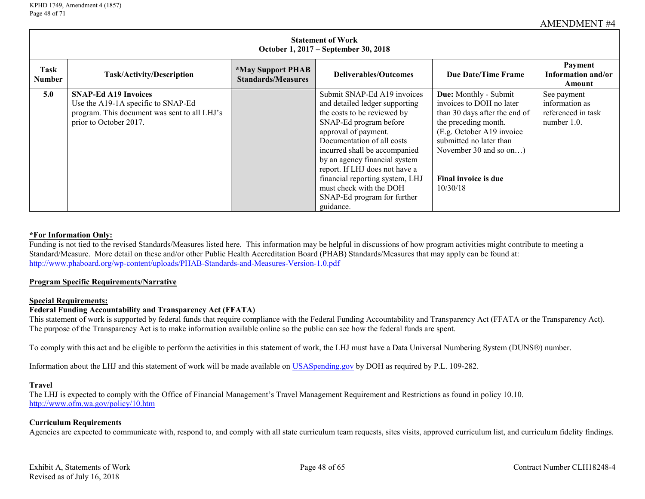|                | <b>Statement of Work</b><br>October 1, 2017 – September 30, 2018                                                                            |                                                              |                                                                                                                                                                                                                                                                                                                                                                                            |                                                                                                                                                                                                                                   |                                                                    |  |  |  |
|----------------|---------------------------------------------------------------------------------------------------------------------------------------------|--------------------------------------------------------------|--------------------------------------------------------------------------------------------------------------------------------------------------------------------------------------------------------------------------------------------------------------------------------------------------------------------------------------------------------------------------------------------|-----------------------------------------------------------------------------------------------------------------------------------------------------------------------------------------------------------------------------------|--------------------------------------------------------------------|--|--|--|
| Task<br>Number | <b>Task/Activity/Description</b>                                                                                                            | <i><b>*May Support PHAB</b></i><br><b>Standards/Measures</b> | Deliverables/Outcomes                                                                                                                                                                                                                                                                                                                                                                      | Due Date/Time Frame                                                                                                                                                                                                               | Payment<br>Information and/or<br>Amount                            |  |  |  |
| 5.0            | <b>SNAP-Ed A19 Invoices</b><br>Use the A19-1A specific to SNAP-Ed<br>program. This document was sent to all LHJ's<br>prior to October 2017. |                                                              | Submit SNAP-Ed A19 invoices<br>and detailed ledger supporting<br>the costs to be reviewed by<br>SNAP-Ed program before<br>approval of payment.<br>Documentation of all costs<br>incurred shall be accompanied<br>by an agency financial system<br>report. If LHJ does not have a<br>financial reporting system, LHJ<br>must check with the DOH<br>SNAP-Ed program for further<br>guidance. | Due: Monthly - Submit<br>invoices to DOH no later<br>than 30 days after the end of<br>the preceding month.<br>(E.g. October A19 invoice)<br>submitted no later than<br>November 30 and so on)<br>Final invoice is due<br>10/30/18 | See payment<br>information as<br>referenced in task<br>number 1.0. |  |  |  |

#### **\*For Information Only:**

Funding is not tied to the revised Standards/Measures listed here. This information may be helpful in discussions of how program activities might contribute to meeting a Standard/Measure. More detail on these and/or other Public Health Accreditation Board (PHAB) Standards/Measures that may apply can be found at: <http://www.phaboard.org/wp-content/uploads/PHAB-Standards-and-Measures-Version-1.0.pdf>

#### **Program Specific Requirements/Narrative**

#### **Special Requirements:**

# **Federal Funding Accountability and Transparency Act (FFATA)**

This statement of work is supported by federal funds that require compliance with the Federal Funding Accountability and Transparency Act (FFATA or the Transparency Act). The purpose of the Transparency Act is to make information available online so the public can see how the federal funds are spent.

To comply with this act and be eligible to perform the activities in this statement of work, the LHJ must have a Data Universal Numbering System (DUNS®) number.

Information about the LHJ and this statement of work will be made available on [USASpending.gov](https://www.usaspending.gov/#/) by DOH as required by P.L. 109-282.

#### **Travel**

The LHJ is expected to comply with the Office of Financial Management's Travel Management Requirement and Restrictions as found in policy 10.10. <http://www.ofm.wa.gov/policy/10.htm>

#### **Curriculum Requirements**

Agencies are expected to communicate with, respond to, and comply with all state curriculum team requests, sites visits, approved curriculum list, and curriculum fidelity findings.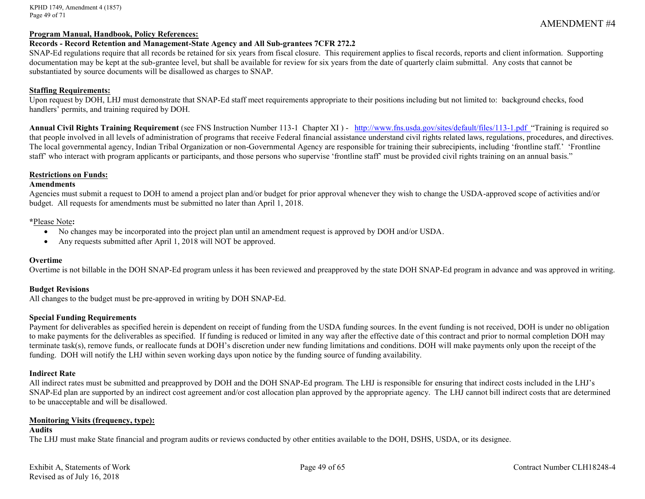KPHD 1749, Amendment 4 (1857) Page 49 of 71

#### **Program Manual, Handbook, Policy References:**

#### **Records - Record Retention and Management-State Agency and All Sub-grantees 7CFR 272.2**

SNAP-Ed regulations require that all records be retained for six years from fiscal closure. This requirement applies to fiscal records, reports and client information. Supporting documentation may be kept at the sub-grantee level, but shall be available for review for six years from the date of quarterly claim submittal. Any costs that cannot be substantiated by source documents will be disallowed as charges to SNAP.

#### **Staffing Requirements:**

Upon request by DOH, LHJ must demonstrate that SNAP-Ed staff meet requirements appropriate to their positions including but not limited to: background checks, food handlers' permits, and training required by DOH.

Annual Civil Rights Training Requirement (see FNS Instruction Number 113-1 Chapter XI) - <http://www.fns.usda.gov/sites/default/files/113-1.pdf>"Training is required so that people involved in all levels of administration of programs that receive Federal financial assistance understand civil rights related laws, regulations, procedures, and directives. The local governmental agency, Indian Tribal Organization or non-Governmental Agency are responsible for training their subrecipients, including 'frontline staff.' 'Frontline staff' who interact with program applicants or participants, and those persons who supervise 'frontline staff' must be provided civil rights training on an annual basis."

#### **Restrictions on Funds:**

#### **Amendments**

Agencies must submit a request to DOH to amend a project plan and/or budget for prior approval whenever they wish to change the USDA-approved scope of activities and/or budget. All requests for amendments must be submitted no later than April 1, 2018.

#### **\***Please Note**:**

- No changes may be incorporated into the project plan until an amendment request is approved by DOH and/or USDA.
- Any requests submitted after April 1, 2018 will NOT be approved.

#### **Overtime**

Overtime is not billable in the DOH SNAP-Ed program unless it has been reviewed and preapproved by the state DOH SNAP-Ed program in advance and was approved in writing.

#### **Budget Revisions**

All changes to the budget must be pre-approved in writing by DOH SNAP-Ed.

#### **Special Funding Requirements**

Payment for deliverables as specified herein is dependent on receipt of funding from the USDA funding sources. In the event funding is not received, DOH is under no obligation to make payments for the deliverables as specified. If funding is reduced or limited in any way after the effective date of this contract and prior to normal completion DOH may terminate task(s), remove funds, or reallocate funds at DOH's discretion under new funding limitations and conditions. DOH will make payments only upon the receipt of the funding. DOH will notify the LHJ within seven working days upon notice by the funding source of funding availability.

#### **Indirect Rate**

All indirect rates must be submitted and preapproved by DOH and the DOH SNAP-Ed program. The LHJ is responsible for ensuring that indirect costs included in the LHJ's SNAP-Ed plan are supported by an indirect cost agreement and/or cost allocation plan approved by the appropriate agency. The LHJ cannot bill indirect costs that are determined to be unacceptable and will be disallowed.

#### **Monitoring Visits (frequency, type):**

#### **Audits**

The LHJ must make State financial and program audits or reviews conducted by other entities available to the DOH, DSHS, USDA, or its designee.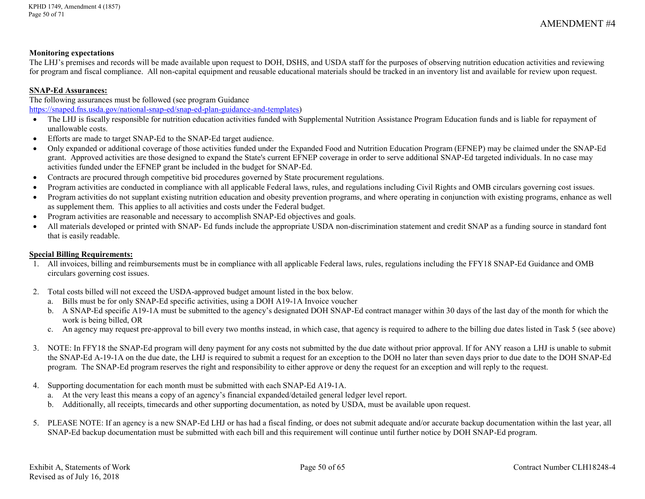#### **Monitoring expectations**

The LHJ's premises and records will be made available upon request to DOH, DSHS, and USDA staff for the purposes of observing nutrition education activities and reviewing for program and fiscal compliance. All non-capital equipment and reusable educational materials should be tracked in an inventory list and available for review upon request.

# **SNAP-Ed Assurances:**

The following assurances must be followed (see program Guidance [https://snaped.fns.usda.gov/national-snap-ed/snap-ed-plan-guidance-and-templates\)](https://snaped.fns.usda.gov/national-snap-ed/snap-ed-plan-guidance-and-templates)

- The LHJ is fiscally responsible for nutrition education activities funded with Supplemental Nutrition Assistance Program Education funds and is liable for repayment of unallowable costs.
- Efforts are made to target SNAP-Ed to the SNAP-Ed target audience.
- Only expanded or additional coverage of those activities funded under the Expanded Food and Nutrition Education Program (EFNEP) may be claimed under the SNAP-Ed grant. Approved activities are those designed to expand the State's current EFNEP coverage in order to serve additional SNAP-Ed targeted individuals. In no case may activities funded under the EFNEP grant be included in the budget for SNAP-Ed.
- Contracts are procured through competitive bid procedures governed by State procurement regulations.
- Program activities are conducted in compliance with all applicable Federal laws, rules, and regulations including Civil Rights and OMB circulars governing cost issues.
- Program activities do not supplant existing nutrition education and obesity prevention programs, and where operating in conjunction with existing programs, enhance as well as supplement them. This applies to all activities and costs under the Federal budget.
- Program activities are reasonable and necessary to accomplish SNAP-Ed objectives and goals.
- All materials developed or printed with SNAP- Ed funds include the appropriate USDA non-discrimination statement and credit SNAP as a funding source in standard font that is easily readable.

## **Special Billing Requirements:**

- 1. All invoices, billing and reimbursements must be in compliance with all applicable Federal laws, rules, regulations including the FFY18 SNAP-Ed Guidance and OMB circulars governing cost issues.
- 2. Total costs billed will not exceed the USDA-approved budget amount listed in the box below.
	- a. Bills must be for only SNAP-Ed specific activities, using a DOH A19-1A Invoice voucher
	- b. A SNAP-Ed specific A19-1A must be submitted to the agency's designated DOH SNAP-Ed contract manager within 30 days of the last day of the month for which the work is being billed, OR
	- c. An agency may request pre-approval to bill every two months instead, in which case, that agency is required to adhere to the billing due dates listed in Task 5 (see above)
- 3. NOTE: In FFY18 the SNAP-Ed program will deny payment for any costs not submitted by the due date without prior approval. If for ANY reason a LHJ is unable to submit the SNAP-Ed A-19-1A on the due date, the LHJ is required to submit a request for an exception to the DOH no later than seven days prior to due date to the DOH SNAP-Ed program. The SNAP-Ed program reserves the right and responsibility to either approve or deny the request for an exception and will reply to the request.
- 4. Supporting documentation for each month must be submitted with each SNAP-Ed A19-1A.
	- a. At the very least this means a copy of an agency's financial expanded/detailed general ledger level report.
	- b. Additionally, all receipts, timecards and other supporting documentation, as noted by USDA, must be available upon request.
- 5. PLEASE NOTE: If an agency is a new SNAP-Ed LHJ or has had a fiscal finding, or does not submit adequate and/or accurate backup documentation within the last year, all SNAP-Ed backup documentation must be submitted with each bill and this requirement will continue until further notice by DOH SNAP-Ed program.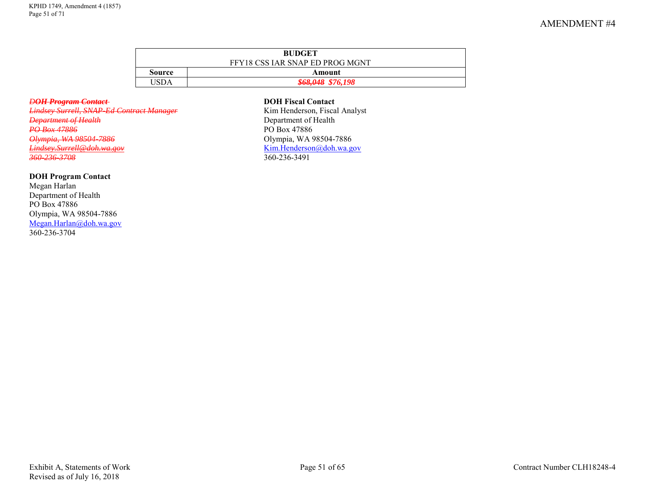| <b>BUDGET</b> |                                 |  |  |  |  |  |  |
|---------------|---------------------------------|--|--|--|--|--|--|
|               | FFY18 CSS IAR SNAP ED PROG MGNT |  |  |  |  |  |  |
| Source        | Amount                          |  |  |  |  |  |  |
|               | <del>\$68,048</del> \$76,198    |  |  |  |  |  |  |

*DOH Program Contact* **DOH Fiscal Contact** *Lindsey Surrell, SNAP-Ed Contract Manager*<br>Department of Health *PO Box 47886*<br> *PO Box 47886*<br> *PO Box 47886*<br> *PO Box 47886*<br> *PO Box 47886*<br> *PO Box 47886 Olympia, WA 98504-7886*<br>Lindsey.Surrell@doh.wa.gov *[Lindsey.Surrell@doh.wa.gov](mailto:Lindsey.Surrell@doh.wa.gov)* [Kim.Henderson@doh.wa.gov](mailto:Kim.Henderson@doh.wa.gov)

### **DOH Program Contact**

Megan Harlan Department of Health PO Box 47886 Olympia, WA 98504-7886 [Megan.Harlan@doh.wa.gov](mailto:Megan.Harlan@doh.wa.gov) 360-236-3704

**Department of Health**<br>PO Box 47886 *360-236-3708* 360-236-3491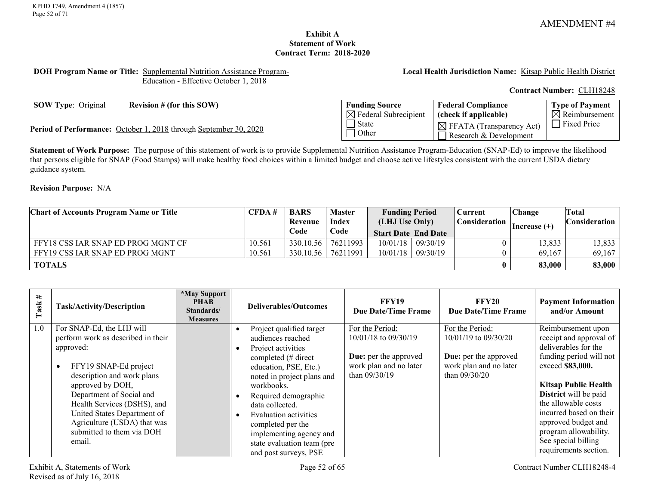# **Exhibit A Statement of Work Contract Term: 2018-2020**

#### <span id="page-51-0"></span>**DOH Program Name or Title:** Supplemental Nutrition Assistance Program-Education - Effective October 1, 2018

**Local Health Jurisdiction Name:** Kitsap Public Health District

**Contract Number:** CLH18248

**SOW Type:** Original **Revision** # (for this SOW)

Period of Performance: October 1, 2018 through September 30, 2020

| <b>Funding Source</b>            | <b>Federal Compliance</b>                                      | Type of Payment           |
|----------------------------------|----------------------------------------------------------------|---------------------------|
| $\boxtimes$ Federal Subrecipient | (check if applicable)                                          | $\boxtimes$ Reimbursement |
| State<br>Other                   | $\boxtimes$ FFATA (Transparency Act)<br>Research & Development | Fixed Price               |

**Statement of Work Purpose:** The purpose of this statement of work is to provide Supplemental Nutrition Assistance Program-Education (SNAP-Ed) to improve the likelihood that persons eligible for SNAP (Food Stamps) will make healthy food choices within a limited budget and choose active lifestyles consistent with the current USDA dietary guidance system.

# **Revision Purpose:** N/A

| <b>Chart of Accounts Program Name or Title</b> | CFDA#  | <b>BARS</b><br>Revenue | <b>Master</b><br><b>Index</b> | <b>Funding Period</b><br>(LHJ Use Only) |                     | Current<br><b>Consideration</b> | Change<br>$ Increase (+)$ | Total<br><b>Consideration</b> |
|------------------------------------------------|--------|------------------------|-------------------------------|-----------------------------------------|---------------------|---------------------------------|---------------------------|-------------------------------|
|                                                |        | Code                   | Code                          | <b>Start Date End Date</b>              |                     |                                 |                           |                               |
| FFY18 CSS IAR SNAP ED PROG MGNT CF             | 10.561 | 330.10.56              | 76211993                      |                                         | $10/01/18$ 09/30/19 |                                 | 13,833                    | 13,833                        |
| FFY19 CSS IAR SNAP ED PROG MGNT                | 10.561 | 330.10.56              | 76211991                      |                                         | $10/01/18$ 09/30/19 |                                 | 69,167                    | 69,167                        |
| <b>TOTALS</b>                                  |        |                        |                               |                                         |                     | 0                               | 83,000                    | 83,000                        |

| #<br>Task | <b>Task/Activity/Description</b>                                                                                                                                                                                                                                                                                                     | *May Support<br><b>PHAB</b><br>Standards/<br><b>Measures</b> | Deliverables/Outcomes                                                                                                                                                                                                                                                                                                                      | <b>FFY19</b><br>Due Date/Time Frame                                                                                | <b>FFY20</b><br><b>Due Date/Time Frame</b>                                                                           | <b>Payment Information</b><br>and/or Amount                                                                                                                                                                                                                                                                                    |
|-----------|--------------------------------------------------------------------------------------------------------------------------------------------------------------------------------------------------------------------------------------------------------------------------------------------------------------------------------------|--------------------------------------------------------------|--------------------------------------------------------------------------------------------------------------------------------------------------------------------------------------------------------------------------------------------------------------------------------------------------------------------------------------------|--------------------------------------------------------------------------------------------------------------------|----------------------------------------------------------------------------------------------------------------------|--------------------------------------------------------------------------------------------------------------------------------------------------------------------------------------------------------------------------------------------------------------------------------------------------------------------------------|
| 1.0       | For SNAP-Ed, the LHJ will<br>perform work as described in their<br>approved:<br>FFY19 SNAP-Ed project<br>$\bullet$<br>description and work plans<br>approved by DOH,<br>Department of Social and<br>Health Services (DSHS), and<br>United States Department of<br>Agriculture (USDA) that was<br>submitted to them via DOH<br>email. |                                                              | Project qualified target<br>audiences reached<br>Project activities<br>completed (# direct<br>education, PSE, Etc.)<br>noted in project plans and<br>workbooks.<br>Required demographic<br>data collected.<br>Evaluation activities<br>completed per the<br>implementing agency and<br>state evaluation team (pre<br>and post surveys, PSE | For the Period:<br>10/01/18 to 09/30/19<br><b>Due:</b> per the approved<br>work plan and no later<br>than 09/30/19 | For the Period:<br>10/01/19 to 09/30/20<br><b>Due:</b> per the approved<br>work plan and no later<br>than $09/30/20$ | Reimbursement upon<br>receipt and approval of<br>deliverables for the<br>funding period will not<br>exceed \$83,000.<br><b>Kitsap Public Health</b><br>District will be paid<br>the allowable costs<br>incurred based on their<br>approved budget and<br>program allowability.<br>See special billing<br>requirements section. |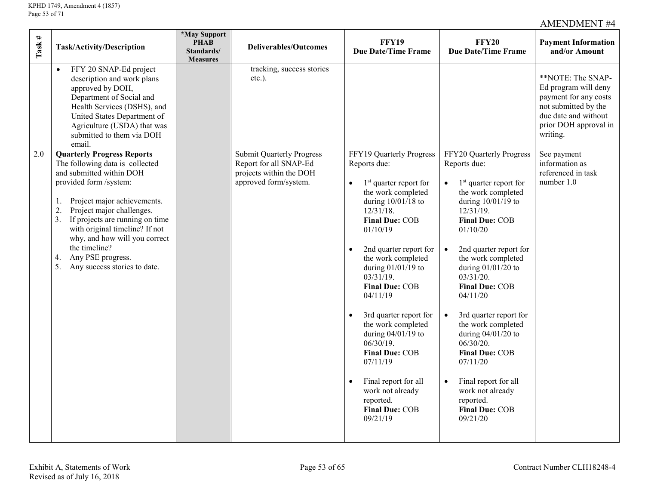| Task # | Task/Activity/Description                                                                                                                                                                                                                                                                                                                                                                                    | <i><b>*May Support</b></i><br><b>PHAB</b><br>Standards/<br><b>Measures</b> | <b>Deliverables/Outcomes</b>                                                                                   | <b>FFY19</b><br><b>Due Date/Time Frame</b>                                                                                                                                                                                                                                                                                                                                                                                                                                                                                                  | <b>FFY20</b><br><b>Due Date/Time Frame</b>                                                                                                                                                                                                                                                                                                                                                                                                                                                                                | <b>Payment Information</b><br>and/or Amount                                                                                                             |  |
|--------|--------------------------------------------------------------------------------------------------------------------------------------------------------------------------------------------------------------------------------------------------------------------------------------------------------------------------------------------------------------------------------------------------------------|----------------------------------------------------------------------------|----------------------------------------------------------------------------------------------------------------|---------------------------------------------------------------------------------------------------------------------------------------------------------------------------------------------------------------------------------------------------------------------------------------------------------------------------------------------------------------------------------------------------------------------------------------------------------------------------------------------------------------------------------------------|---------------------------------------------------------------------------------------------------------------------------------------------------------------------------------------------------------------------------------------------------------------------------------------------------------------------------------------------------------------------------------------------------------------------------------------------------------------------------------------------------------------------------|---------------------------------------------------------------------------------------------------------------------------------------------------------|--|
|        | FFY 20 SNAP-Ed project<br>$\bullet$<br>description and work plans<br>approved by DOH,<br>Department of Social and<br>Health Services (DSHS), and<br>United States Department of<br>Agriculture (USDA) that was<br>submitted to them via DOH<br>email.                                                                                                                                                        |                                                                            | tracking, success stories<br>$etc.$ ).                                                                         |                                                                                                                                                                                                                                                                                                                                                                                                                                                                                                                                             |                                                                                                                                                                                                                                                                                                                                                                                                                                                                                                                           | **NOTE: The SNAP-<br>Ed program will deny<br>payment for any costs<br>not submitted by the<br>due date and without<br>prior DOH approval in<br>writing. |  |
| 2.0    | <b>Quarterly Progress Reports</b><br>The following data is collected<br>and submitted within DOH<br>provided form /system:<br>Project major achievements.<br>1.<br>$\overline{2}$<br>Project major challenges.<br>If projects are running on time<br>3.<br>with original timeline? If not<br>why, and how will you correct<br>the timeline?<br>Any PSE progress.<br>4.<br>5.<br>Any success stories to date. |                                                                            | <b>Submit Quarterly Progress</b><br>Report for all SNAP-Ed<br>projects within the DOH<br>approved form/system. | FFY19 Quarterly Progress<br>Reports due:<br>$1st$ quarter report for<br>the work completed<br>during $10/01/18$ to<br>$12/31/18$ .<br>Final Due: COB<br>01/10/19<br>2nd quarter report for<br>$\bullet$<br>the work completed<br>during $01/01/19$ to<br>$03/31/19$ .<br><b>Final Due: COB</b><br>04/11/19<br>3rd quarter report for<br>$\bullet$<br>the work completed<br>during $04/01/19$ to<br>$06/30/19$ .<br>Final Due: COB<br>07/11/19<br>Final report for all<br>work not already<br>reported.<br><b>Final Due: COB</b><br>09/21/19 | FFY20 Quarterly Progress<br>Reports due:<br>$1st$ quarter report for<br>the work completed<br>during $10/01/19$ to<br>$12/31/19$ .<br><b>Final Due: COB</b><br>01/10/20<br>2nd quarter report for<br>the work completed<br>during $01/01/20$ to<br>03/31/20.<br><b>Final Due: COB</b><br>04/11/20<br>3rd quarter report for<br>the work completed<br>during $04/01/20$ to<br>06/30/20.<br><b>Final Due: COB</b><br>07/11/20<br>Final report for all<br>work not already<br>reported.<br><b>Final Due: COB</b><br>09/21/20 | See payment<br>information as<br>referenced in task<br>number 1.0                                                                                       |  |
|        | Exhibit A, Statements of Work<br>Page 53 of 65<br>Contract Number CLH18248-4<br>Revised as of July 16, 2018                                                                                                                                                                                                                                                                                                  |                                                                            |                                                                                                                |                                                                                                                                                                                                                                                                                                                                                                                                                                                                                                                                             |                                                                                                                                                                                                                                                                                                                                                                                                                                                                                                                           |                                                                                                                                                         |  |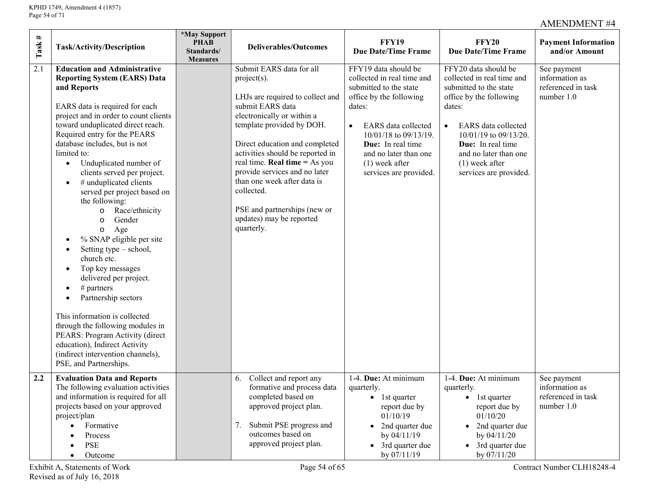| $\rm{Task}$ # | Task/Activity/Description                                                                                                                                                                                                                                                                                                                                                                                                                                                                                                                                                                                                                                                                                                                                                                                                                                                                     | <i><b>*May Support</b></i><br><b>PHAB</b><br>Standards/<br><b>Measures</b> | <b>Deliverables/Outcomes</b>                                                                                                                                                                                                                                                                                                                                                                                                        | <b>FFY19</b><br><b>Due Date/Time Frame</b>                                                                                                                                                                                                                                 | <b>FFY20</b><br><b>Due Date/Time Frame</b>                                                                                                                                                                                                                                        | <b>Payment Information</b><br>and/or Amount                       |
|---------------|-----------------------------------------------------------------------------------------------------------------------------------------------------------------------------------------------------------------------------------------------------------------------------------------------------------------------------------------------------------------------------------------------------------------------------------------------------------------------------------------------------------------------------------------------------------------------------------------------------------------------------------------------------------------------------------------------------------------------------------------------------------------------------------------------------------------------------------------------------------------------------------------------|----------------------------------------------------------------------------|-------------------------------------------------------------------------------------------------------------------------------------------------------------------------------------------------------------------------------------------------------------------------------------------------------------------------------------------------------------------------------------------------------------------------------------|----------------------------------------------------------------------------------------------------------------------------------------------------------------------------------------------------------------------------------------------------------------------------|-----------------------------------------------------------------------------------------------------------------------------------------------------------------------------------------------------------------------------------------------------------------------------------|-------------------------------------------------------------------|
| 2.1           | <b>Education and Administrative</b><br><b>Reporting System (EARS) Data</b><br>and Reports<br>EARS data is required for each<br>project and in order to count clients<br>toward unduplicated direct reach.<br>Required entry for the PEARS<br>database includes, but is not<br>limited to:<br>Unduplicated number of<br>$\bullet$<br>clients served per project.<br># unduplicated clients<br>$\bullet$<br>served per project based on<br>the following:<br>Race/ethnicity<br>$\circ$<br>Gender<br>$\circ$<br>Age<br>$\circ$<br>% SNAP eligible per site<br>Setting type – school,<br>church etc.<br>Top key messages<br>delivered per project.<br>$#$ partners<br>Partnership sectors<br>This information is collected<br>through the following modules in<br>PEARS: Program Activity (direct<br>education), Indirect Activity<br>(indirect intervention channels),<br>PSE, and Partnerships. |                                                                            | Submit EARS data for all<br>$project(s)$ .<br>LHJs are required to collect and<br>submit EARS data<br>electronically or within a<br>template provided by DOH.<br>Direct education and completed<br>activities should be reported in<br>real time. <b>Real time</b> = As you<br>provide services and no later<br>than one week after data is<br>collected.<br>PSE and partnerships (new or<br>updates) may be reported<br>quarterly. | FFY19 data should be<br>collected in real time and<br>submitted to the state<br>office by the following<br>dates:<br>EARS data collected<br>$\bullet$<br>10/01/18 to 09/13/19.<br>Due: In real time<br>and no later than one<br>$(1)$ week after<br>services are provided. | FFY20 data should be<br>collected in real time and<br>submitted to the state<br>office by the following<br>dates:<br><b>EARS</b> data collected<br>$\bullet$<br>10/01/19 to 09/13/20.<br>Due: In real time<br>and no later than one<br>$(1)$ week after<br>services are provided. | See payment<br>information as<br>referenced in task<br>number 1.0 |
| 2.2           | <b>Evaluation Data and Reports</b><br>The following evaluation activities<br>and information is required for all<br>projects based on your approved<br>project/plan<br>Formative<br>$\bullet$<br>Process<br><b>PSE</b><br>Outcome<br>$\bullet$                                                                                                                                                                                                                                                                                                                                                                                                                                                                                                                                                                                                                                                |                                                                            | Collect and report any<br>6.<br>formative and process data<br>completed based on<br>approved project plan.<br>Submit PSE progress and<br>7.<br>outcomes based on<br>approved project plan.                                                                                                                                                                                                                                          | 1-4. Due: At minimum<br>quarterly.<br>$\bullet$ 1st quarter<br>report due by<br>01/10/19<br>• 2nd quarter due<br>by 04/11/19<br>• 3rd quarter due<br>by 07/11/19                                                                                                           | 1-4. Due: At minimum<br>quarterly.<br>$\bullet$ 1st quarter<br>report due by<br>01/10/20<br>• 2nd quarter due<br>by 04/11/20<br>• 3rd quarter due<br>by 07/11/20                                                                                                                  | See payment<br>information as<br>referenced in task<br>number 1.0 |
|               | Page 54 of 65<br>Contract Number CLH18248-4<br>Exhibit A, Statements of Work<br>Revised as of July 16, 2018                                                                                                                                                                                                                                                                                                                                                                                                                                                                                                                                                                                                                                                                                                                                                                                   |                                                                            |                                                                                                                                                                                                                                                                                                                                                                                                                                     |                                                                                                                                                                                                                                                                            |                                                                                                                                                                                                                                                                                   |                                                                   |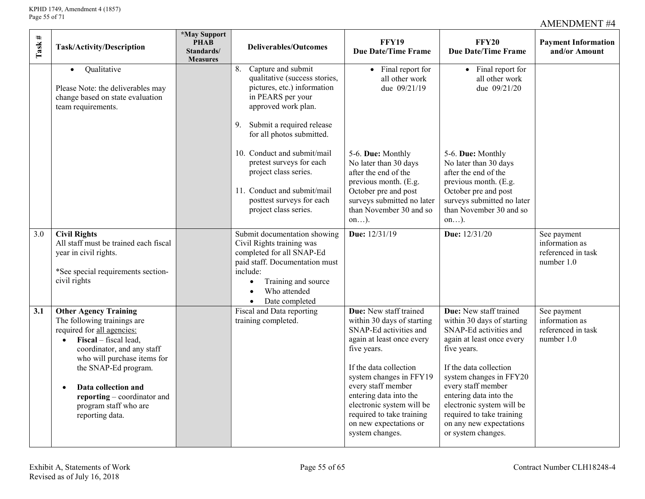| $\rm{Task}$ # | Task/Activity/Description                                                                                                                                                                                                                                                                                 | *May Support<br><b>PHAB</b><br>Standards/<br><b>Measures</b> | <b>Deliverables/Outcomes</b>                                                                                                                                                                                                                                                             | <b>FFY19</b><br><b>Due Date/Time Frame</b>                                                                                                                                                                                                                                                                                             | <b>FFY20</b><br><b>Due Date/Time Frame</b>                                                                                                                                                                                                                                                                                                 | <b>Payment Information</b><br>and/or Amount                       |  |
|---------------|-----------------------------------------------------------------------------------------------------------------------------------------------------------------------------------------------------------------------------------------------------------------------------------------------------------|--------------------------------------------------------------|------------------------------------------------------------------------------------------------------------------------------------------------------------------------------------------------------------------------------------------------------------------------------------------|----------------------------------------------------------------------------------------------------------------------------------------------------------------------------------------------------------------------------------------------------------------------------------------------------------------------------------------|--------------------------------------------------------------------------------------------------------------------------------------------------------------------------------------------------------------------------------------------------------------------------------------------------------------------------------------------|-------------------------------------------------------------------|--|
|               | Qualitative<br>$\bullet$<br>Please Note: the deliverables may<br>change based on state evaluation<br>team requirements.                                                                                                                                                                                   |                                                              | 8.<br>Capture and submit<br>qualitative (success stories,<br>pictures, etc.) information<br>in PEARS per your<br>approved work plan.<br>Submit a required release<br>9.<br>for all photos submitted.<br>10. Conduct and submit/mail<br>pretest surveys for each<br>project class series. | • Final report for<br>all other work<br>due 09/21/19<br>5-6. Due: Monthly<br>No later than 30 days<br>after the end of the                                                                                                                                                                                                             | • Final report for<br>all other work<br>due 09/21/20<br>5-6. Due: Monthly<br>No later than 30 days<br>after the end of the                                                                                                                                                                                                                 |                                                                   |  |
|               |                                                                                                                                                                                                                                                                                                           |                                                              | 11. Conduct and submit/mail<br>posttest surveys for each<br>project class series.                                                                                                                                                                                                        | previous month. (E.g.<br>October pre and post<br>surveys submitted no later<br>than November 30 and so<br>$on$ ).                                                                                                                                                                                                                      | previous month. (E.g.<br>October pre and post<br>surveys submitted no later<br>than November 30 and so<br>$on$ ).                                                                                                                                                                                                                          |                                                                   |  |
| 3.0           | <b>Civil Rights</b><br>All staff must be trained each fiscal<br>year in civil rights.<br>*See special requirements section-<br>civil rights                                                                                                                                                               |                                                              | Submit documentation showing<br>Civil Rights training was<br>completed for all SNAP-Ed<br>paid staff. Documentation must<br>include:<br>Training and source<br>Who attended<br>Date completed                                                                                            | Due: 12/31/19                                                                                                                                                                                                                                                                                                                          | Due: 12/31/20                                                                                                                                                                                                                                                                                                                              | See payment<br>information as<br>referenced in task<br>number 1.0 |  |
| 3.1           | <b>Other Agency Training</b><br>The following trainings are<br>required for all agencies:<br>Fiscal – fiscal lead,<br>coordinator, and any staff<br>who will purchase items for<br>the SNAP-Ed program.<br>Data collection and<br>reporting – coordinator and<br>program staff who are<br>reporting data. |                                                              | Fiscal and Data reporting<br>training completed.                                                                                                                                                                                                                                         | Due: New staff trained<br>within 30 days of starting<br>SNAP-Ed activities and<br>again at least once every<br>five years.<br>If the data collection<br>system changes in FFY19<br>every staff member<br>entering data into the<br>electronic system will be<br>required to take training<br>on new expectations or<br>system changes. | Due: New staff trained<br>within 30 days of starting<br>SNAP-Ed activities and<br>again at least once every<br>five years.<br>If the data collection<br>system changes in FFY20<br>every staff member<br>entering data into the<br>electronic system will be<br>required to take training<br>on any new expectations<br>or system changes. | See payment<br>information as<br>referenced in task<br>number 1.0 |  |
|               | Contract Number CLH18248-4<br>Exhibit A, Statements of Work<br>Page 55 of 65<br>Revised as of July 16, 2018                                                                                                                                                                                               |                                                              |                                                                                                                                                                                                                                                                                          |                                                                                                                                                                                                                                                                                                                                        |                                                                                                                                                                                                                                                                                                                                            |                                                                   |  |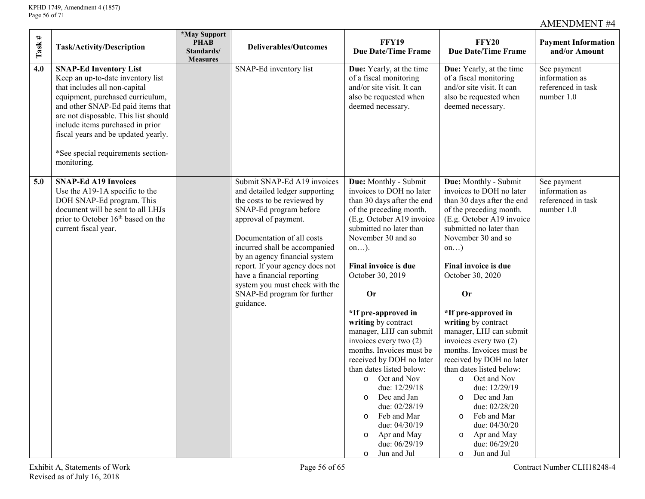| $_{\rm \#}$<br>Task<br>Task/Activity/Description                                                                                                                                                                                                                                                                                                            | <i><b>*May Support</b></i><br><b>PHAB</b><br>Standards/<br><b>Measures</b> | <b>Deliverables/Outcomes</b>                                                                                                                                                                                                                                                                                                                                                                  | <b>FFY19</b><br><b>Due Date/Time Frame</b>                                                                                                                                                                                                                                                                                                                                                                                                                                                                                                                                                                                              | <b>FFY20</b><br><b>Due Date/Time Frame</b>                                                                                                                                                                                                                                                                                                                                                                                                                                                                                                                                                                                         | <b>Payment Information</b><br>and/or Amount                       |
|-------------------------------------------------------------------------------------------------------------------------------------------------------------------------------------------------------------------------------------------------------------------------------------------------------------------------------------------------------------|----------------------------------------------------------------------------|-----------------------------------------------------------------------------------------------------------------------------------------------------------------------------------------------------------------------------------------------------------------------------------------------------------------------------------------------------------------------------------------------|-----------------------------------------------------------------------------------------------------------------------------------------------------------------------------------------------------------------------------------------------------------------------------------------------------------------------------------------------------------------------------------------------------------------------------------------------------------------------------------------------------------------------------------------------------------------------------------------------------------------------------------------|------------------------------------------------------------------------------------------------------------------------------------------------------------------------------------------------------------------------------------------------------------------------------------------------------------------------------------------------------------------------------------------------------------------------------------------------------------------------------------------------------------------------------------------------------------------------------------------------------------------------------------|-------------------------------------------------------------------|
| 4.0<br><b>SNAP-Ed Inventory List</b><br>Keep an up-to-date inventory list<br>that includes all non-capital<br>equipment, purchased curriculum,<br>and other SNAP-Ed paid items that<br>are not disposable. This list should<br>include items purchased in prior<br>fiscal years and be updated yearly.<br>*See special requirements section-<br>monitoring. |                                                                            | SNAP-Ed inventory list                                                                                                                                                                                                                                                                                                                                                                        | Due: Yearly, at the time<br>of a fiscal monitoring<br>and/or site visit. It can<br>also be requested when<br>deemed necessary.                                                                                                                                                                                                                                                                                                                                                                                                                                                                                                          | Due: Yearly, at the time<br>of a fiscal monitoring<br>and/or site visit. It can<br>also be requested when<br>deemed necessary.                                                                                                                                                                                                                                                                                                                                                                                                                                                                                                     | See payment<br>information as<br>referenced in task<br>number 1.0 |
| <b>SNAP-Ed A19 Invoices</b><br>5.0<br>Use the A19-1A specific to the<br>DOH SNAP-Ed program. This<br>document will be sent to all LHJs<br>prior to October 16 <sup>th</sup> based on the<br>current fiscal year.                                                                                                                                            |                                                                            | Submit SNAP-Ed A19 invoices<br>and detailed ledger supporting<br>the costs to be reviewed by<br>SNAP-Ed program before<br>approval of payment.<br>Documentation of all costs<br>incurred shall be accompanied<br>by an agency financial system<br>report. If your agency does not<br>have a financial reporting<br>system you must check with the<br>SNAP-Ed program for further<br>guidance. | Due: Monthly - Submit<br>invoices to DOH no later<br>than 30 days after the end<br>of the preceding month.<br>(E.g. October A19 invoice<br>submitted no later than<br>November 30 and so<br>$on$ ).<br>Final invoice is due<br>October 30, 2019<br><b>Or</b><br>*If pre-approved in<br>writing by contract<br>manager, LHJ can submit<br>invoices every two (2)<br>months. Invoices must be<br>received by DOH no later<br>than dates listed below:<br>o Oct and Nov<br>due: 12/29/18<br>o Dec and Jan<br>due: 02/28/19<br>Feb and Mar<br>$\circ$<br>due: 04/30/19<br>Apr and May<br>$\circ$<br>due: 06/29/19<br>Jun and Jul<br>$\circ$ | Due: Monthly - Submit<br>invoices to DOH no later<br>than 30 days after the end<br>of the preceding month.<br>(E.g. October A19 invoice<br>submitted no later than<br>November 30 and so<br>on<br>Final invoice is due<br>October 30, 2020<br><b>Or</b><br>*If pre-approved in<br>writing by contract<br>manager, LHJ can submit<br>invoices every two (2)<br>months. Invoices must be<br>received by DOH no later<br>than dates listed below:<br>o Oct and Nov<br>due: 12/29/19<br>o Dec and Jan<br>due: 02/28/20<br>Feb and Mar<br>$\circ$<br>due: 04/30/20<br>Apr and May<br>$\circ$<br>due: 06/29/20<br>Jun and Jul<br>$\circ$ | See payment<br>information as<br>referenced in task<br>number 1.0 |
| Exhibit A, Statements of Work<br>Revised as of July 16, 2018                                                                                                                                                                                                                                                                                                |                                                                            | Page 56 of 65                                                                                                                                                                                                                                                                                                                                                                                 |                                                                                                                                                                                                                                                                                                                                                                                                                                                                                                                                                                                                                                         |                                                                                                                                                                                                                                                                                                                                                                                                                                                                                                                                                                                                                                    | Contract Number CLH18248-4                                        |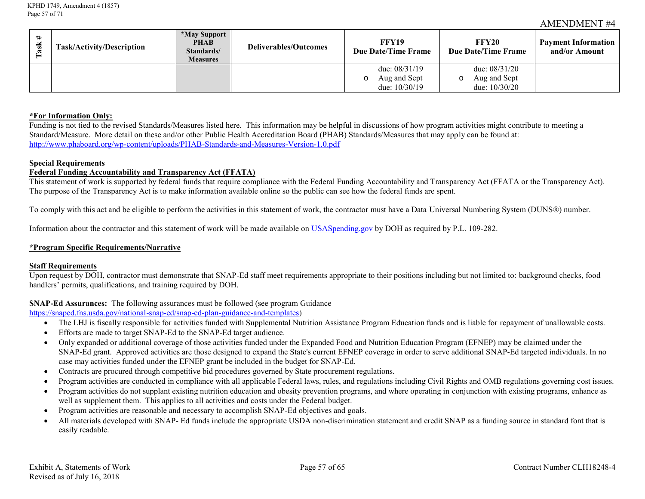| $\rm{Task}$ # | Task/Activity/Description                                                                                                                                                                                                                                                                                                                                                                                                                                                                                                                                                                                                                                                                                                                                                                                                                                                                                                                                                                                                                                                                                                                                                                                                                                                                                                                                                                                                                                                                                                                                                                                                                                                                                                                                                                                                                                                                                                                                                                                                                                                                                                                                                                                                                                                                                                                                                                                                                                                                                                                                                                                                                                                                                                                                                                                                                                                                                                                                                                                                                                                                                                                                                                                                                             | *May Support<br><b>PHAB</b><br>Standards/<br><b>Measures</b> | <b>Deliverables/Outcomes</b> | <b>FFY19</b><br><b>Due Date/Time Frame</b>                | <b>FFY20</b><br><b>Due Date/Time Frame</b>                | <b>Payment Information</b><br>and/or Amount |
|---------------|-------------------------------------------------------------------------------------------------------------------------------------------------------------------------------------------------------------------------------------------------------------------------------------------------------------------------------------------------------------------------------------------------------------------------------------------------------------------------------------------------------------------------------------------------------------------------------------------------------------------------------------------------------------------------------------------------------------------------------------------------------------------------------------------------------------------------------------------------------------------------------------------------------------------------------------------------------------------------------------------------------------------------------------------------------------------------------------------------------------------------------------------------------------------------------------------------------------------------------------------------------------------------------------------------------------------------------------------------------------------------------------------------------------------------------------------------------------------------------------------------------------------------------------------------------------------------------------------------------------------------------------------------------------------------------------------------------------------------------------------------------------------------------------------------------------------------------------------------------------------------------------------------------------------------------------------------------------------------------------------------------------------------------------------------------------------------------------------------------------------------------------------------------------------------------------------------------------------------------------------------------------------------------------------------------------------------------------------------------------------------------------------------------------------------------------------------------------------------------------------------------------------------------------------------------------------------------------------------------------------------------------------------------------------------------------------------------------------------------------------------------------------------------------------------------------------------------------------------------------------------------------------------------------------------------------------------------------------------------------------------------------------------------------------------------------------------------------------------------------------------------------------------------------------------------------------------------------------------------------------------------|--------------------------------------------------------------|------------------------------|-----------------------------------------------------------|-----------------------------------------------------------|---------------------------------------------|
|               |                                                                                                                                                                                                                                                                                                                                                                                                                                                                                                                                                                                                                                                                                                                                                                                                                                                                                                                                                                                                                                                                                                                                                                                                                                                                                                                                                                                                                                                                                                                                                                                                                                                                                                                                                                                                                                                                                                                                                                                                                                                                                                                                                                                                                                                                                                                                                                                                                                                                                                                                                                                                                                                                                                                                                                                                                                                                                                                                                                                                                                                                                                                                                                                                                                                       |                                                              |                              | due: 08/31/19<br>Aug and Sept<br>$\circ$<br>due: 10/30/19 | due: 08/31/20<br>Aug and Sept<br>$\circ$<br>due: 10/30/20 |                                             |
|               | *For Information Only:<br>Funding is not tied to the revised Standards/Measures listed here. This information may be helpful in discussions of how program activities might contribute to meeting a<br>Standard/Measure. More detail on these and/or other Public Health Accreditation Board (PHAB) Standards/Measures that may apply can be found at:<br>http://www.phaboard.org/wp-content/uploads/PHAB-Standards-and-Measures-Version-1.0.pdf<br><b>Special Requirements</b><br><b>Federal Funding Accountability and Transparency Act (FFATA)</b><br>This statement of work is supported by federal funds that require compliance with the Federal Funding Accountability and Transparency Act (FFATA or the Transparency Act).<br>The purpose of the Transparency Act is to make information available online so the public can see how the federal funds are spent.<br>To comply with this act and be eligible to perform the activities in this statement of work, the contractor must have a Data Universal Numbering System (DUNS®) number.<br>Information about the contractor and this statement of work will be made available on USAS pending gov by DOH as required by P.L. 109-282.<br>*Program Specific Requirements/Narrative<br><b>Staff Requirements</b><br>Upon request by DOH, contractor must demonstrate that SNAP-Ed staff meet requirements appropriate to their positions including but not limited to: background checks, food<br>handlers' permits, qualifications, and training required by DOH.<br><b>SNAP-Ed Assurances:</b> The following assurances must be followed (see program Guidance<br>https://snaped.fns.usda.gov/national-snap-ed/snap-ed-plan-guidance-and-templates)<br>The LHJ is fiscally responsible for activities funded with Supplemental Nutrition Assistance Program Education funds and is liable for repayment of unallowable costs.<br>Efforts are made to target SNAP-Ed to the SNAP-Ed target audience.<br>Only expanded or additional coverage of those activities funded under the Expanded Food and Nutrition Education Program (EFNEP) may be claimed under the<br>SNAP-Ed grant. Approved activities are those designed to expand the State's current EFNEP coverage in order to serve additional SNAP-Ed targeted individuals. In no<br>case may activities funded under the EFNEP grant be included in the budget for SNAP-Ed.<br>Contracts are procured through competitive bid procedures governed by State procurement regulations.<br>Program activities are conducted in compliance with all applicable Federal laws, rules, and regulations including Civil Rights and OMB regulations governing cost issues.<br>Program activities do not supplant existing nutrition education and obesity prevention programs, and where operating in conjunction with existing programs, enhance as<br>well as supplement them. This applies to all activities and costs under the Federal budget.<br>Program activities are reasonable and necessary to accomplish SNAP-Ed objectives and goals.<br>All materials developed with SNAP- Ed funds include the appropriate USDA non-discrimination statement and credit SNAP as a funding source in standard font that is<br>easily readable. |                                                              |                              |                                                           |                                                           |                                             |
|               | Exhibit A, Statements of Work<br>Revised as of July 16, 2018                                                                                                                                                                                                                                                                                                                                                                                                                                                                                                                                                                                                                                                                                                                                                                                                                                                                                                                                                                                                                                                                                                                                                                                                                                                                                                                                                                                                                                                                                                                                                                                                                                                                                                                                                                                                                                                                                                                                                                                                                                                                                                                                                                                                                                                                                                                                                                                                                                                                                                                                                                                                                                                                                                                                                                                                                                                                                                                                                                                                                                                                                                                                                                                          |                                                              | Page 57 of 65                |                                                           |                                                           | Contract Number CLH18248-4                  |

#### **\*For Information Only:**

#### **Special Requirements**

#### **Federal Funding Accountability and Transparency Act (FFATA)**

#### **\*Program Specific Requirements/Narrative**

#### **Staff Requirements**

#### **SNAP-Ed Assurances:** The following assurances must be followed (see program Guidance

- The LHJ is fiscally responsible for activities funded with Supplemental Nutrition Assistance Program Education funds and is liable for repayment of unallowable costs.
- Efforts are made to target SNAP-Ed to the SNAP-Ed target audience.
- Only expanded or additional coverage of those activities funded under the Expanded Food and Nutrition Education Program (EFNEP) may be claimed under the SNAP-Ed grant. Approved activities are those designed to expand the State's current EFNEP coverage in order to serve additional SNAP-Ed targeted individuals. In no case may activities funded under the EFNEP grant be included in the budget for SNAP-Ed.
- Contracts are procured through competitive bid procedures governed by State procurement regulations.
- Program activities are conducted in compliance with all applicable Federal laws, rules, and regulations including Civil Rights and OMB regulations governing cost issues.
- Program activities do not supplant existing nutrition education and obesity prevention programs, and where operating in conjunction with existing programs, enhance as well as supplement them. This applies to all activities and costs under the Federal budget.
- Program activities are reasonable and necessary to accomplish SNAP-Ed objectives and goals.
- All materials developed with SNAP- Ed funds include the appropriate USDA non-discrimination statement and credit SNAP as a funding source in standard font that is easily readable.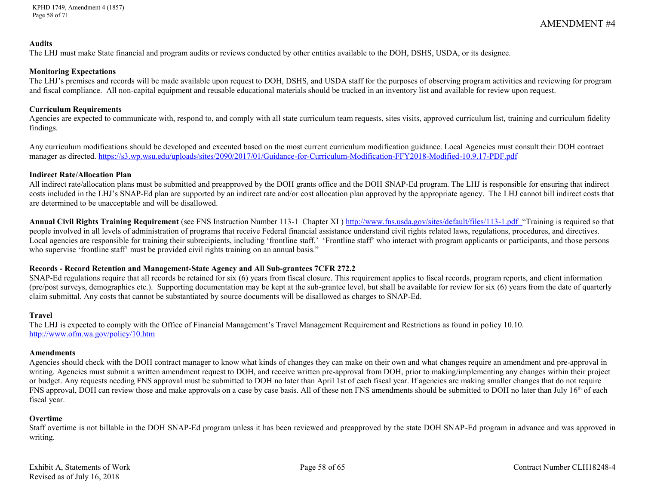#### **Audits**

The LHJ must make State financial and program audits or reviews conducted by other entities available to the DOH, DSHS, USDA, or its designee.

#### **Monitoring Expectations**

The LHJ's premises and records will be made available upon request to DOH, DSHS, and USDA staff for the purposes of observing program activities and reviewing for program and fiscal compliance. All non-capital equipment and reusable educational materials should be tracked in an inventory list and available for review upon request.

#### **Curriculum Requirements**

Agencies are expected to communicate with, respond to, and comply with all state curriculum team requests, sites visits, approved curriculum list, training and curriculum fidelity findings.

Any curriculum modifications should be developed and executed based on the most current curriculum modification guidance. Local Agencies must consult their DOH contract manager as directed.<https://s3.wp.wsu.edu/uploads/sites/2090/2017/01/Guidance-for-Curriculum-Modification-FFY2018-Modified-10.9.17-PDF.pdf>

#### **Indirect Rate/Allocation Plan**

All indirect rate/allocation plans must be submitted and preapproved by the DOH grants office and the DOH SNAP-Ed program. The LHJ is responsible for ensuring that indirect costs included in the LHJ's SNAP-Ed plan are supported by an indirect rate and/or cost allocation plan approved by the appropriate agency. The LHJ cannot bill indirect costs that are determined to be unacceptable and will be disallowed.

**Annual Civil Rights Training Requirement** (see FNS Instruction Number 113-1 Chapter XI )<http://www.fns.usda.gov/sites/default/files/113-1.pdf>"Training is required so that people involved in all levels of administration of programs that receive Federal financial assistance understand civil rights related laws, regulations, procedures, and directives. Local agencies are responsible for training their subrecipients, including 'frontline staff.' 'Frontline staff' who interact with program applicants or participants, and those persons who supervise 'frontline staff' must be provided civil rights training on an annual basis."

## **Records - Record Retention and Management-State Agency and All Sub-grantees 7CFR 272.2**

SNAP-Ed regulations require that all records be retained for six (6) years from fiscal closure. This requirement applies to fiscal records, program reports, and client information (pre/post surveys, demographics etc.). Supporting documentation may be kept at the sub-grantee level, but shall be available for review for six (6) years from the date of quarterly claim submittal. Any costs that cannot be substantiated by source documents will be disallowed as charges to SNAP-Ed.

## **Travel**

The LHJ is expected to comply with the Office of Financial Management's Travel Management Requirement and Restrictions as found in policy 10.10. <http://www.ofm.wa.gov/policy/10.htm>

## **Amendments**

Agencies should check with the DOH contract manager to know what kinds of changes they can make on their own and what changes require an amendment and pre-approval in writing. Agencies must submit a written amendment request to DOH, and receive written pre-approval from DOH, prior to making/implementing any changes within their project or budget. Any requests needing FNS approval must be submitted to DOH no later than April 1st of each fiscal year. If agencies are making smaller changes that do not require FNS approval, DOH can review those and make approvals on a case by case basis. All of these non FNS amendments should be submitted to DOH no later than July 16<sup>th</sup> of each fiscal year.

## **Overtime**

Staff overtime is not billable in the DOH SNAP-Ed program unless it has been reviewed and preapproved by the state DOH SNAP-Ed program in advance and was approved in writing.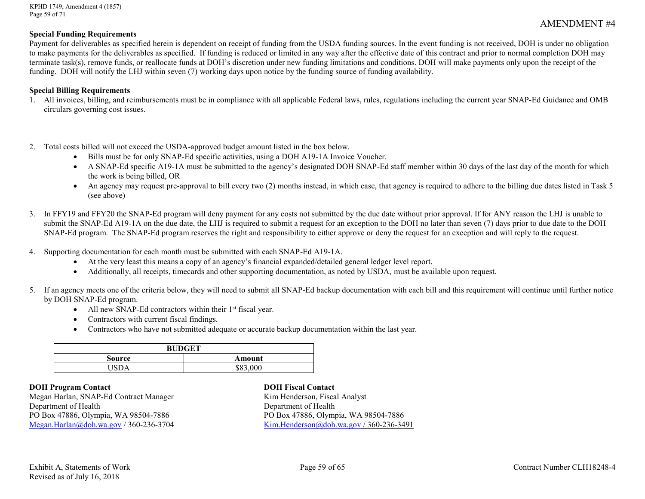KPHD 1749, Amendment 4 (1857) Page 59 of 71

#### **Special Funding Requirements**

Payment for deliverables as specified herein is dependent on receipt of funding from the USDA funding sources. In the event funding is not received, DOH is under no obligation to make payments for the deliverables as specified. If funding is reduced or limited in any way after the effective date of this contract and prior to normal completion DOH may terminate task(s), remove funds, or reallocate funds at DOH's discretion under new funding limitations and conditions. DOH will make payments only upon the receipt of the funding. DOH will notify the LHJ within seven (7) working days upon notice by the funding source of funding availability.

#### **Special Billing Requirements**

- 1. All invoices, billing, and reimbursements must be in compliance with all applicable Federal laws, rules, regulations including the current year SNAP-Ed Guidance and OMB circulars governing cost issues.
- 2. Total costs billed will not exceed the USDA-approved budget amount listed in the box below.
	- Bills must be for only SNAP-Ed specific activities, using a DOH A19-1A Invoice Voucher.
	- A SNAP-Ed specific A19-1A must be submitted to the agency's designated DOH SNAP-Ed staff member within 30 days of the last day of the month for which the work is being billed, OR
	- An agency may request pre-approval to bill every two (2) months instead, in which case, that agency is required to adhere to the billing due dates listed in Task 5 (see above)
- 3. In FFY19 and FFY20 the SNAP-Ed program will deny payment for any costs not submitted by the due date without prior approval. If for ANY reason the LHJ is unable to submit the SNAP-Ed A19-1A on the due date, the LHJ is required to submit a request for an exception to the DOH no later than seven (7) days prior to due date to the DOH SNAP-Ed program. The SNAP-Ed program reserves the right and responsibility to either approve or deny the request for an exception and will reply to the request.
- 4. Supporting documentation for each month must be submitted with each SNAP-Ed A19-1A.
	- At the very least this means a copy of an agency's financial expanded/detailed general ledger level report.
	- Additionally, all receipts, timecards and other supporting documentation, as noted by USDA, must be available upon request.
- 5. If an agency meets one of the criteria below, they will need to submit all SNAP-Ed backup documentation with each bill and this requirement will continue until further notice by DOH SNAP-Ed program.
	- All new SNAP-Ed contractors within their  $1<sup>st</sup>$  fiscal year.
	- Contractors with current fiscal findings.
	- Contractors who have not submitted adequate or accurate backup documentation within the last year.

| <b>BUDGET</b> |                   |  |  |  |
|---------------|-------------------|--|--|--|
| Source        | Amount            |  |  |  |
|               | \$83,000<br>302.' |  |  |  |

**DOH Program Contact DOH Fiscal Contact** Megan Harlan, SNAP-Ed Contract Manager Kim Henderson, Fiscal Analyst Department of Health<br>
PO Box 47886, Olympia, WA 98504-7886<br>
PO Box 47886, Olympia, WA 98504-7886 PO Box 47886, Olympia, WA 98504-7886<br>Megan.Harlan@doh.wa.gov / 360-236-3704

[Kim.Henderson@doh.wa.gov](mailto:Kim.Henderson@doh.wa.gov) / 360-236-3491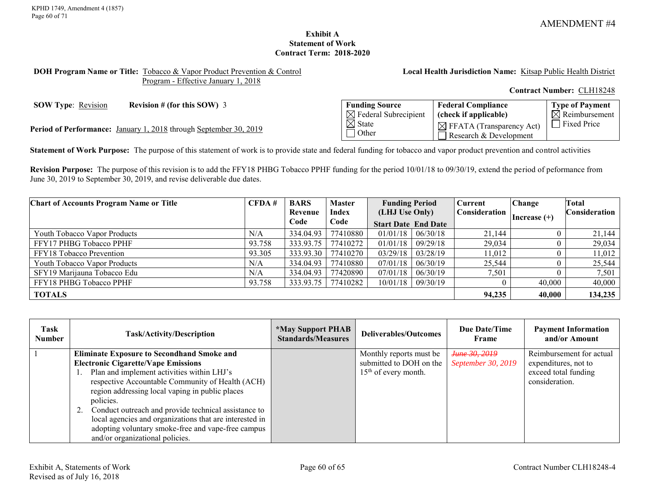### **Exhibit A Statement of Work Contract Term: 2018-2020**

#### <span id="page-59-0"></span>**DOH Program Name or Title:** Tobacco & Vapor Product Prevention & Control Program - Effective January 1, 2018

**Local Health Jurisdiction Name:** Kitsap Public Health District

**Contract Number:** CLH18248

**SOW Type:** <u>Revision</u> **Revision # (for this SOW)** 3

Period of Performance: January 1, 2018 through September 30, 2019

| <b>Funding Source</b>            | <b>Federal Compliance</b>            | Type of Payment           |
|----------------------------------|--------------------------------------|---------------------------|
| $\boxtimes$ Federal Subrecipient | (check if applicable)                | $\boxtimes$ Reimbursement |
| $\boxtimes$ State                | $\boxtimes$ FFATA (Transparency Act) | <b>Fixed Price</b>        |
| 1 Other                          | Research & Development               |                           |

**Statement of Work Purpose:** The purpose of this statement of work is to provide state and federal funding for tobacco and vapor product prevention and control activities

**Revision Purpose:** The purpose of this revision is to add the FFY18 PHBG Tobacco PPHF funding for the period 10/01/18 to 09/30/19, extend the period of peformance from June 30, 2019 to September 30, 2019, and revise deliverable due dates.

| <b>Chart of Accounts Program Name or Title</b> | CFDA#  | <b>BARS</b> | <b>Master</b> | <b>Funding Period</b> |                            | Current       | <b>Change</b>  | Total                |
|------------------------------------------------|--------|-------------|---------------|-----------------------|----------------------------|---------------|----------------|----------------------|
|                                                |        | Revenue     | Index         | (LHJ Use Only)        |                            | Consideration |                | <b>Consideration</b> |
|                                                |        | Code        | Code          |                       | <b>Start Date End Date</b> |               | Increase $(+)$ |                      |
| Youth Tobacco Vapor Products                   | N/A    | 334.04.93   | 77410880      | $01/01/18$   06/30/18 |                            | 21,144        |                | 21,144               |
| FFY17 PHBG Tobacco PPHF                        | 93.758 | 333.93.75   | 77410272      | 01/01/18              | 09/29/18                   | 29,034        |                | 29,034               |
| FFY18 Tobacco Prevention                       | 93.305 | 333.93.30   | 77410270      | 03/29/18              | 03/28/19                   | 11,012        |                | 11,012               |
| Youth Tobacco Vapor Products                   | N/A    | 334.04.93   | 77410880      | 07/01/18              | 06/30/19                   | 25.544        |                | 25,544               |
| SFY19 Marijauna Tobacco Edu                    | N/A    | 334.04.93   | 77420890      | 07/01/18              | 06/30/19                   | 7,501         |                | 7,501                |
| FFY18 PHBG Tobacco PPHF                        | 93.758 | 333.93.75   | 77410282      |                       | $10/01/18$   09/30/19      |               | 40,000         | 40,000               |
| <b>TOTALS</b>                                  |        |             |               |                       |                            | 94,235        | 40,000         | 134,235              |

| Task<br>Number | <b>Task/Activity/Description</b>                           | <i><b>*May Support PHAB</b></i><br><b>Standards/Measures</b> | Deliverables/Outcomes   | <b>Due Date/Time</b><br>Frame | <b>Payment Information</b><br>and/or Amount |
|----------------|------------------------------------------------------------|--------------------------------------------------------------|-------------------------|-------------------------------|---------------------------------------------|
|                | <b>Eliminate Exposure to Secondhand Smoke and</b>          |                                                              | Monthly reports must be | Нипе 30, 2019                 | Reimbursement for actual                    |
|                | <b>Electronic Cigarette/Vape Emissions</b>                 |                                                              | submitted to DOH on the | September 30, 2019            | expenditures, not to                        |
|                | Plan and implement activities within LHJ's                 |                                                              | $15th$ of every month.  |                               | exceed total funding                        |
|                | respective Accountable Community of Health (ACH)           |                                                              |                         |                               | consideration.                              |
|                | region addressing local vaping in public places            |                                                              |                         |                               |                                             |
|                | policies.                                                  |                                                              |                         |                               |                                             |
|                | Conduct outreach and provide technical assistance to<br>2. |                                                              |                         |                               |                                             |
|                | local agencies and organizations that are interested in    |                                                              |                         |                               |                                             |
|                | adopting voluntary smoke-free and vape-free campus         |                                                              |                         |                               |                                             |
|                | and/or organizational policies.                            |                                                              |                         |                               |                                             |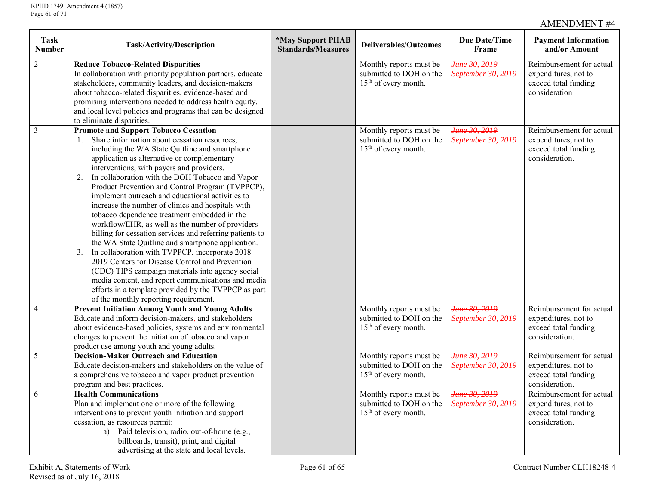| <b>Task</b><br><b>Number</b> | Task/Activity/Description                                                 | *May Support PHAB<br><b>Standards/Measures</b> | <b>Deliverables/Outcomes</b>                                | <b>Due Date/Time</b><br>Frame | <b>Payment Information</b><br>and/or Amount |
|------------------------------|---------------------------------------------------------------------------|------------------------------------------------|-------------------------------------------------------------|-------------------------------|---------------------------------------------|
| $\overline{2}$               | <b>Reduce Tobacco-Related Disparities</b>                                 |                                                | Monthly reports must be                                     | Hune 30, 2019                 | Reimbursement for actual                    |
|                              | In collaboration with priority population partners, educate               |                                                | submitted to DOH on the<br>15 <sup>th</sup> of every month. | September 30, 2019            | expenditures, not to                        |
|                              | stakeholders, community leaders, and decision-makers                      |                                                |                                                             |                               | exceed total funding<br>consideration       |
|                              | about tobacco-related disparities, evidence-based and                     |                                                |                                                             |                               |                                             |
|                              | promising interventions needed to address health equity,                  |                                                |                                                             |                               |                                             |
|                              | and local level policies and programs that can be designed                |                                                |                                                             |                               |                                             |
| $\mathfrak{Z}$               | to eliminate disparities.<br><b>Promote and Support Tobacco Cessation</b> |                                                |                                                             | June 30, 2019                 | Reimbursement for actual                    |
|                              | Share information about cessation resources,                              |                                                | Monthly reports must be<br>submitted to DOH on the          | September 30, 2019            | expenditures, not to                        |
|                              | including the WA State Quitline and smartphone                            |                                                | 15 <sup>th</sup> of every month.                            |                               | exceed total funding                        |
|                              | application as alternative or complementary                               |                                                |                                                             |                               | consideration.                              |
|                              | interventions, with payers and providers.                                 |                                                |                                                             |                               |                                             |
|                              | In collaboration with the DOH Tobacco and Vapor<br>2.                     |                                                |                                                             |                               |                                             |
|                              | Product Prevention and Control Program (TVPPCP),                          |                                                |                                                             |                               |                                             |
|                              | implement outreach and educational activities to                          |                                                |                                                             |                               |                                             |
|                              | increase the number of clinics and hospitals with                         |                                                |                                                             |                               |                                             |
|                              | tobacco dependence treatment embedded in the                              |                                                |                                                             |                               |                                             |
|                              | workflow/EHR, as well as the number of providers                          |                                                |                                                             |                               |                                             |
|                              | billing for cessation services and referring patients to                  |                                                |                                                             |                               |                                             |
|                              | the WA State Quitline and smartphone application.                         |                                                |                                                             |                               |                                             |
|                              | In collaboration with TVPPCP, incorporate 2018-<br>3 <sub>1</sub>         |                                                |                                                             |                               |                                             |
|                              | 2019 Centers for Disease Control and Prevention                           |                                                |                                                             |                               |                                             |
|                              | (CDC) TIPS campaign materials into agency social                          |                                                |                                                             |                               |                                             |
|                              | media content, and report communications and media                        |                                                |                                                             |                               |                                             |
|                              | efforts in a template provided by the TVPPCP as part                      |                                                |                                                             |                               |                                             |
|                              | of the monthly reporting requirement.                                     |                                                |                                                             |                               |                                             |
| $\overline{4}$               | <b>Prevent Initiation Among Youth and Young Adults</b>                    |                                                | Monthly reports must be                                     | June 30, 2019                 | Reimbursement for actual                    |
|                              | Educate and inform decision-makers, and stakeholders                      |                                                | submitted to DOH on the                                     | September 30, 2019            | expenditures, not to                        |
|                              | about evidence-based policies, systems and environmental                  |                                                | 15 <sup>th</sup> of every month.                            |                               | exceed total funding                        |
|                              | changes to prevent the initiation of tobacco and vapor                    |                                                |                                                             |                               | consideration.                              |
|                              | product use among youth and young adults.                                 |                                                |                                                             |                               |                                             |
| 5                            | <b>Decision-Maker Outreach and Education</b>                              |                                                | Monthly reports must be                                     | Нипе 30, 2019                 | Reimbursement for actual                    |
|                              | Educate decision-makers and stakeholders on the value of                  |                                                | submitted to DOH on the                                     | September 30, 2019            | expenditures, not to                        |
|                              | a comprehensive tobacco and vapor product prevention                      |                                                | 15 <sup>th</sup> of every month.                            |                               | exceed total funding                        |
|                              | program and best practices.                                               |                                                |                                                             |                               | consideration.                              |
| 6                            | <b>Health Communications</b>                                              |                                                | Monthly reports must be                                     | June 30, 2019                 | Reimbursement for actual                    |
|                              | Plan and implement one or more of the following                           |                                                | submitted to DOH on the                                     | September 30, 2019            | expenditures, not to                        |
|                              | interventions to prevent youth initiation and support                     |                                                | 15 <sup>th</sup> of every month.                            |                               | exceed total funding                        |
|                              | cessation, as resources permit:                                           |                                                |                                                             |                               | consideration.                              |
|                              | a) Paid television, radio, out-of-home (e.g.,                             |                                                |                                                             |                               |                                             |
|                              | billboards, transit), print, and digital                                  |                                                |                                                             |                               |                                             |
|                              | advertising at the state and local levels.                                |                                                |                                                             |                               |                                             |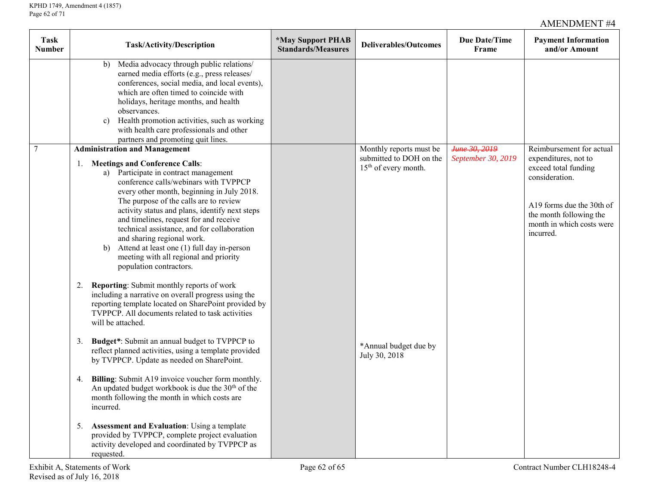| <b>Task</b><br><b>Number</b> | Task/Activity/Description                                                                                                                                                                                                                                                                                                                                                                                                                                                                                                                                       | <i><b>*May Support PHAB</b></i><br><b>Standards/Measures</b> | <b>Deliverables/Outcomes</b>                                                           | Due Date/Time<br>Frame              | <b>Payment Information</b><br>and/or Amount                                                                                                                                                  |
|------------------------------|-----------------------------------------------------------------------------------------------------------------------------------------------------------------------------------------------------------------------------------------------------------------------------------------------------------------------------------------------------------------------------------------------------------------------------------------------------------------------------------------------------------------------------------------------------------------|--------------------------------------------------------------|----------------------------------------------------------------------------------------|-------------------------------------|----------------------------------------------------------------------------------------------------------------------------------------------------------------------------------------------|
|                              | Media advocacy through public relations/<br>b)<br>earned media efforts (e.g., press releases/<br>conferences, social media, and local events),<br>which are often timed to coincide with<br>holidays, heritage months, and health<br>observances.<br>c) Health promotion activities, such as working<br>with health care professionals and other<br>partners and promoting quit lines.                                                                                                                                                                          |                                                              |                                                                                        |                                     |                                                                                                                                                                                              |
| $\tau$                       | <b>Administration and Management</b><br><b>Meetings and Conference Calls:</b><br>1.<br>a) Participate in contract management<br>conference calls/webinars with TVPPCP<br>every other month, beginning in July 2018.<br>The purpose of the calls are to review<br>activity status and plans, identify next steps<br>and timelines, request for and receive<br>technical assistance, and for collaboration<br>and sharing regional work.<br>Attend at least one (1) full day in-person<br>b)<br>meeting with all regional and priority<br>population contractors. |                                                              | Monthly reports must be<br>submitted to DOH on the<br>15 <sup>th</sup> of every month. | June 30, 2019<br>September 30, 2019 | Reimbursement for actual<br>expenditures, not to<br>exceed total funding<br>consideration.<br>A19 forms due the 30th of<br>the month following the<br>month in which costs were<br>incurred. |
|                              | 2. Reporting: Submit monthly reports of work<br>including a narrative on overall progress using the<br>reporting template located on SharePoint provided by<br>TVPPCP. All documents related to task activities<br>will be attached.                                                                                                                                                                                                                                                                                                                            |                                                              |                                                                                        |                                     |                                                                                                                                                                                              |
|                              | Budget*: Submit an annual budget to TVPPCP to<br>3.<br>reflect planned activities, using a template provided<br>by TVPPCP. Update as needed on SharePoint.                                                                                                                                                                                                                                                                                                                                                                                                      |                                                              | *Annual budget due by<br>July 30, 2018                                                 |                                     |                                                                                                                                                                                              |
|                              | Billing: Submit A19 invoice voucher form monthly.<br>4.<br>An updated budget workbook is due the 30 <sup>th</sup> of the<br>month following the month in which costs are<br>incurred.                                                                                                                                                                                                                                                                                                                                                                           |                                                              |                                                                                        |                                     |                                                                                                                                                                                              |
|                              | <b>Assessment and Evaluation:</b> Using a template<br>5.<br>provided by TVPPCP, complete project evaluation<br>activity developed and coordinated by TVPPCP as<br>requested.                                                                                                                                                                                                                                                                                                                                                                                    |                                                              |                                                                                        |                                     |                                                                                                                                                                                              |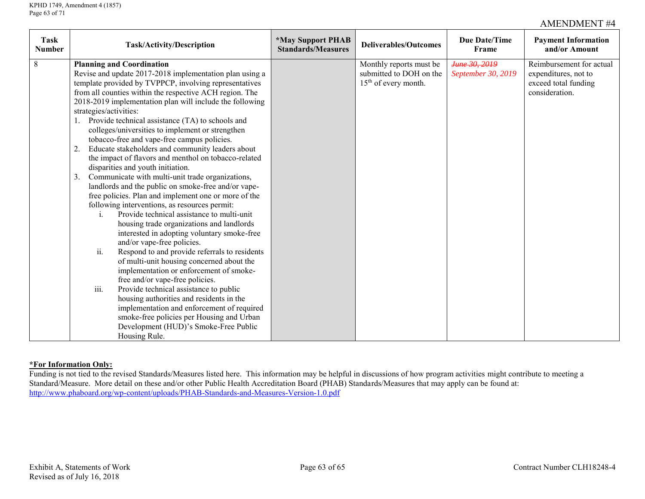| <b>Task</b><br><b>Number</b> | Task/Activity/Description                                  | <i><b>*May Support PHAB</b></i><br><b>Standards/Measures</b> | <b>Deliverables/Outcomes</b> | <b>Due Date/Time</b><br>Frame | <b>Payment Information</b><br>and/or Amount |
|------------------------------|------------------------------------------------------------|--------------------------------------------------------------|------------------------------|-------------------------------|---------------------------------------------|
| 8                            | <b>Planning and Coordination</b>                           |                                                              | Monthly reports must be      | June 30, 2019                 | Reimbursement for actual                    |
|                              | Revise and update 2017-2018 implementation plan using a    |                                                              | submitted to DOH on the      | September 30, 2019            | expenditures, not to                        |
|                              | template provided by TVPPCP, involving representatives     |                                                              | $15th$ of every month.       |                               | exceed total funding                        |
|                              | from all counties within the respective ACH region. The    |                                                              |                              |                               | consideration.                              |
|                              | 2018-2019 implementation plan will include the following   |                                                              |                              |                               |                                             |
|                              | strategies/activities:                                     |                                                              |                              |                               |                                             |
|                              | Provide technical assistance (TA) to schools and           |                                                              |                              |                               |                                             |
|                              | colleges/universities to implement or strengthen           |                                                              |                              |                               |                                             |
|                              | tobacco-free and vape-free campus policies.                |                                                              |                              |                               |                                             |
|                              | Educate stakeholders and community leaders about<br>2.     |                                                              |                              |                               |                                             |
|                              | the impact of flavors and menthol on tobacco-related       |                                                              |                              |                               |                                             |
|                              | disparities and youth initiation.                          |                                                              |                              |                               |                                             |
|                              | 3.<br>Communicate with multi-unit trade organizations,     |                                                              |                              |                               |                                             |
|                              | landlords and the public on smoke-free and/or vape-        |                                                              |                              |                               |                                             |
|                              | free policies. Plan and implement one or more of the       |                                                              |                              |                               |                                             |
|                              | following interventions, as resources permit:              |                                                              |                              |                               |                                             |
|                              | Provide technical assistance to multi-unit<br>$\mathbf{1}$ |                                                              |                              |                               |                                             |
|                              | housing trade organizations and landlords                  |                                                              |                              |                               |                                             |
|                              | interested in adopting voluntary smoke-free                |                                                              |                              |                               |                                             |
|                              | and/or vape-free policies.                                 |                                                              |                              |                               |                                             |
|                              | ii.<br>Respond to and provide referrals to residents       |                                                              |                              |                               |                                             |
|                              | of multi-unit housing concerned about the                  |                                                              |                              |                               |                                             |
|                              | implementation or enforcement of smoke-                    |                                                              |                              |                               |                                             |
|                              | free and/or vape-free policies.                            |                                                              |                              |                               |                                             |
|                              | iii.<br>Provide technical assistance to public             |                                                              |                              |                               |                                             |
|                              | housing authorities and residents in the                   |                                                              |                              |                               |                                             |
|                              | implementation and enforcement of required                 |                                                              |                              |                               |                                             |
|                              | smoke-free policies per Housing and Urban                  |                                                              |                              |                               |                                             |
|                              | Development (HUD)'s Smoke-Free Public                      |                                                              |                              |                               |                                             |
|                              | Housing Rule.                                              |                                                              |                              |                               |                                             |

## **\*For Information Only:**

Funding is not tied to the revised Standards/Measures listed here. This information may be helpful in discussions of how program activities might contribute to meeting a Standard/Measure. More detail on these and/or other Public Health Accreditation Board (PHAB) Standards/Measures that may apply can be found at: <http://www.phaboard.org/wp-content/uploads/PHAB-Standards-and-Measures-Version-1.0.pdf>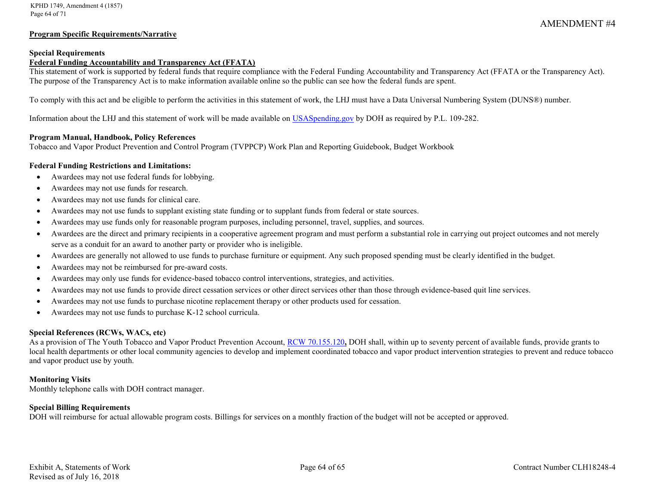#### **Program Specific Requirements/Narrative**

#### **Special Requirements**

#### **Federal Funding Accountability and Transparency Act (FFATA)**

This statement of work is supported by federal funds that require compliance with the Federal Funding Accountability and Transparency Act (FFATA or the Transparency Act). The purpose of the Transparency Act is to make information available online so the public can see how the federal funds are spent.

To comply with this act and be eligible to perform the activities in this statement of work, the LHJ must have a Data Universal Numbering System (DUNS®) number.

Information about the LHJ and this statement of work will be made available on [USASpending.gov](https://www.usaspending.gov/#/) by DOH as required by P.L. 109-282.

#### **Program Manual, Handbook, Policy References**

Tobacco and Vapor Product Prevention and Control Program (TVPPCP) Work Plan and Reporting Guidebook, Budget Workbook

#### **Federal Funding Restrictions and Limitations:**

- Awardees may not use federal funds for lobbying.
- Awardees may not use funds for research.
- Awardees may not use funds for clinical care.
- Awardees may not use funds to supplant existing state funding or to supplant funds from federal or state sources.
- Awardees may use funds only for reasonable program purposes, including personnel, travel, supplies, and sources.
- Awardees are the direct and primary recipients in a cooperative agreement program and must perform a substantial role in carrying out project outcomes and not merely serve as a conduit for an award to another party or provider who is ineligible.
- Awardees are generally not allowed to use funds to purchase furniture or equipment. Any such proposed spending must be clearly identified in the budget.
- Awardees may not be reimbursed for pre-award costs.
- Awardees may only use funds for evidence-based tobacco control interventions, strategies, and activities.
- Awardees may not use funds to provide direct cessation services or other direct services other than those through evidence-based quit line services.
- Awardees may not use funds to purchase nicotine replacement therapy or other products used for cessation.
- Awardees may not use funds to purchase K-12 school curricula.

#### **Special References (RCWs, WACs, etc)**

As a provision of The Youth Tobacco and Vapor Product Prevention Account, [RCW 70.155.120](http://apps.leg.wa.gov/RCW/default.aspx?cite=70.155.120)**,** DOH shall, within up to seventy percent of available funds, provide grants to local health departments or other local community agencies to develop and implement coordinated tobacco and vapor product intervention strategies to prevent and reduce tobacco and vapor product use by youth.

#### **Monitoring Visits**

Monthly telephone calls with DOH contract manager.

#### **Special Billing Requirements**

DOH will reimburse for actual allowable program costs. Billings for services on a monthly fraction of the budget will not be accepted or approved.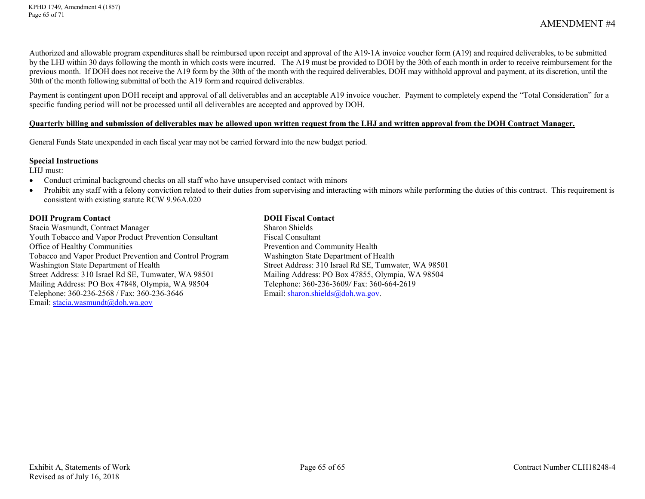Authorized and allowable program expenditures shall be reimbursed upon receipt and approval of the A19-1A invoice voucher form (A19) and required deliverables, to be submitted by the LHJ within 30 days following the month in which costs were incurred. The A19 must be provided to DOH by the 30th of each month in order to receive reimbursement for the previous month. If DOH does not receive the A19 form by the 30th of the month with the required deliverables, DOH may withhold approval and payment, at its discretion, until the 30th of the month following submittal of both the A19 form and required deliverables.

Payment is contingent upon DOH receipt and approval of all deliverables and an acceptable A19 invoice voucher. Payment to completely expend the "Total Consideration" for a specific funding period will not be processed until all deliverables are accepted and approved by DOH.

#### **Quarterly billing and submission of deliverables may be allowed upon written request from the LHJ and written approval from the DOH Contract Manager.**

General Funds State unexpended in each fiscal year may not be carried forward into the new budget period.

#### **Special Instructions**

LHJ must:

- Conduct criminal background checks on all staff who have unsupervised contact with minors
- Prohibit any staff with a felony conviction related to their duties from supervising and interacting with minors while performing the duties of this contract. This requirement is consistent with existing statute RCW 9.96A.020

#### **DOH Program Contact DOH Fiscal Contact**

Stacia Wasmundt, Contract Manager Sharon Shields Youth Tobacco and Vapor Product Prevention Consultant Fiscal Consultant Office of Healthy Communities **Prevention and Community Health** Tobacco and Vapor Product Prevention and Control Program Washington State Department of Health Street Address: 310 Israel Rd SE, Tumwater, WA 98501 Mailing Address: PO Box 47855, Olympia, WA 98504 Mailing Address: PO Box 47848, Olympia, WA 98504 Telephone: 360-236-3609/ Fax: 360-664-2619<br>Telephone: 360-236-2568 / Fax: 360-236-3646 Email: sharon.shields@doh.wa.gov. Telephone: 360-236-2568 / Fax: 360-236-3646 Email: stacia.wasmundt@doh.wa.gov

Street Address: 310 Israel Rd SE, Tumwater, WA 98501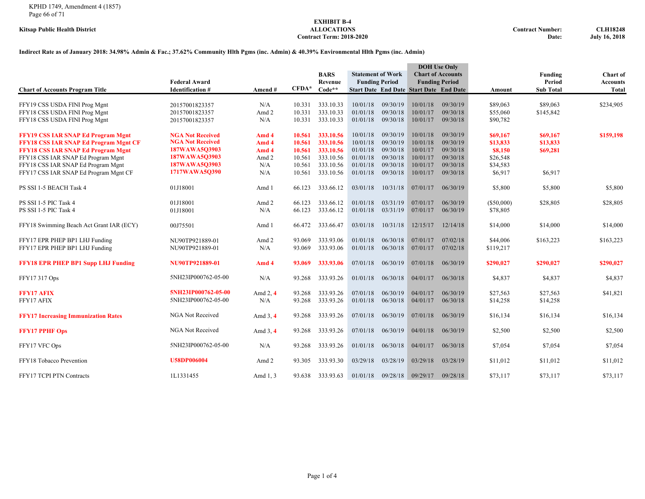# **EXHIBIT B-4**  $Contract Term: 2018-2020$

**Kitsap Public Health District ALLOCATIONS Contract Number: CLH18248**

#### **Indirect Rate as of January 2018: 34.98% Admin & Fac.; 37.62% Community Hlth Pgms (inc. Admin) & 40.39% Environmental Hlth Pgms (inc. Admin)**

|                                              |                         |            |         |             |          |                          | <b>DOH</b> Use Only                            |                       |            |                  |                 |
|----------------------------------------------|-------------------------|------------|---------|-------------|----------|--------------------------|------------------------------------------------|-----------------------|------------|------------------|-----------------|
|                                              |                         |            |         | <b>BARS</b> |          | <b>Statement of Work</b> | <b>Chart of Accounts</b>                       |                       |            | Funding          | <b>Chart</b> of |
|                                              | <b>Federal Award</b>    |            |         | Revenue     |          | <b>Funding Period</b>    |                                                | <b>Funding Period</b> |            | Period           | <b>Accounts</b> |
| <b>Chart of Accounts Program Title</b>       | <b>Identification #</b> | Amend#     | $CFDA*$ | Code**      |          |                          | <b>Start Date End Date Start Date End Date</b> |                       | Amount     | <b>Sub Total</b> | <b>Total</b>    |
|                                              |                         |            |         |             |          |                          |                                                |                       |            |                  |                 |
| FFY19 CSS USDA FINI Prog Mgnt                | 20157001823357          | N/A        | 10.331  | 333.10.33   | 10/01/18 | 09/30/19                 | 10/01/18                                       | 09/30/19              | \$89,063   | \$89,063         | \$234,905       |
| FFY18 CSS USDA FINI Prog Mgnt                | 20157001823357          | Amd 2      | 10.331  | 333.10.33   | 01/01/18 | 09/30/18                 | 10/01/17                                       | 09/30/18              | \$55,060   | \$145,842        |                 |
| FFY18 CSS USDA FINI Prog Mgnt                | 20157001823357          | N/A        | 10.331  | 333.10.33   | 01/01/18 | 09/30/18                 | 10/01/17                                       | 09/30/18              | \$90,782   |                  |                 |
| <b>FFY19 CSS IAR SNAP Ed Program Mgnt</b>    | <b>NGA Not Received</b> | Amd 4      | 10.561  | 333.10.56   | 10/01/18 | 09/30/19                 | 10/01/18                                       | 09/30/19              | \$69,167   | \$69,167         | \$159,198       |
| <b>FFY18 CSS IAR SNAP Ed Program Mgnt CF</b> | <b>NGA Not Received</b> | Amd 4      | 10.561  | 333.10.56   | 10/01/18 | 09/30/19                 | 10/01/18                                       | 09/30/19              | \$13,833   | \$13,833         |                 |
| <b>FFY18 CSS IAR SNAP Ed Program Mgnt</b>    | 187WAWA503903           | Amd 4      | 10.561  | 333.10.56   | 01/01/18 | 09/30/18                 | 10/01/17                                       | 09/30/18              | \$8,150    | \$69,281         |                 |
| FFY18 CSS IAR SNAP Ed Program Mgnt           | 187WAWA5Q3903           | Amd 2      | 10.561  | 333.10.56   | 01/01/18 | 09/30/18                 | 10/01/17                                       | 09/30/18              | \$26,548   |                  |                 |
| FFY18 CSS IAR SNAP Ed Program Mgnt           | 187WAWA5Q3903           | N/A        | 10.561  | 333.10.56   | 01/01/18 | 09/30/18                 | 10/01/17                                       | 09/30/18              | \$34,583   |                  |                 |
| FFY17 CSS IAR SNAP Ed Program Mgnt CF        | 1717WAWA50390           | N/A        | 10.561  | 333.10.56   | 01/01/18 | 09/30/18                 | 10/01/17                                       | 09/30/18              | \$6,917    | \$6,917          |                 |
|                                              |                         |            |         |             |          |                          |                                                |                       |            |                  |                 |
| PS SSI 1-5 BEACH Task 4                      | 01J18001                | Amd 1      | 66.123  | 333.66.12   | 03/01/18 | 10/31/18                 | 07/01/17                                       | 06/30/19              | \$5,800    | \$5,800          | \$5,800         |
| PS SSI 1-5 PIC Task 4                        | 01J18001                | Amd 2      | 66.123  | 333.66.12   | 01/01/18 | 03/31/19                 | 07/01/17                                       | 06/30/19              | (\$50,000) | \$28,805         | \$28,805        |
| PS SSI 1-5 PIC Task 4                        | 01J18001                | N/A        | 66.123  | 333.66.12   | 01/01/18 | 03/31/19                 | 07/01/17                                       | 06/30/19              | \$78,805   |                  |                 |
|                                              |                         |            |         |             |          |                          |                                                |                       |            |                  |                 |
| FFY18 Swimming Beach Act Grant IAR (ECY)     | 00J75501                | Amd 1      | 66.472  | 333.66.47   | 03/01/18 | 10/31/18                 | 12/15/17                                       | 12/14/18              | \$14,000   | \$14,000         | \$14,000        |
| FFY17 EPR PHEP BP1 LHJ Funding               | NU90TP921889-01         | Amd 2      | 93.069  | 333.93.06   | 01/01/18 | 06/30/18                 | 07/01/17                                       | 07/02/18              | \$44,006   | \$163,223        | \$163,223       |
| FFY17 EPR PHEP BP1 LHJ Funding               |                         | N/A        | 93.069  | 333.93.06   | 01/01/18 | 06/30/18                 | 07/01/17                                       | 07/02/18              | \$119,217  |                  |                 |
|                                              | NU90TP921889-01         |            |         |             |          |                          |                                                |                       |            |                  |                 |
| <b>FFY18 EPR PHEP BP1 Supp LHJ Funding</b>   | NU90TP921889-01         | Amd 4      | 93.069  | 333.93.06   | 07/01/18 | 06/30/19                 | 07/01/18                                       | 06/30/19              | \$290,027  | \$290,027        | \$290,027       |
| FFY17 317 Ops                                | 5NH23IP000762-05-00     | N/A        | 93.268  | 333.93.26   | 01/01/18 | 06/30/18                 | 04/01/17                                       | 06/30/18              | \$4,837    | \$4,837          | \$4,837         |
|                                              |                         |            |         |             |          |                          |                                                |                       |            |                  |                 |
| <b>FFY17 AFIX</b>                            | 5NH23IP000762-05-00     | Amd $2, 4$ | 93.268  | 333.93.26   | 07/01/18 | 06/30/19                 | 04/01/17                                       | 06/30/19              | \$27,563   | \$27,563         | \$41,821        |
| FFY17 AFIX                                   | 5NH23IP000762-05-00     | N/A        | 93.268  | 333.93.26   | 01/01/18 | 06/30/18                 | 04/01/17                                       | 06/30/18              | \$14,258   | \$14,258         |                 |
|                                              |                         |            |         |             |          |                          |                                                |                       |            |                  |                 |
| <b>FFY17 Increasing Immunization Rates</b>   | NGA Not Received        | Amd $3, 4$ | 93.268  | 333.93.26   | 07/01/18 | 06/30/19                 | 07/01/18                                       | 06/30/19              | \$16,134   | \$16,134         | \$16,134        |
|                                              |                         |            |         |             |          |                          |                                                |                       |            |                  |                 |
| <b>FFY17 PPHF Ops</b>                        | NGA Not Received        | Amd $3, 4$ | 93.268  | 333.93.26   | 07/01/18 | 06/30/19                 | 04/01/18                                       | 06/30/19              | \$2,500    | \$2,500          | \$2,500         |
| FFY17 VFC Ops                                | 5NH23IP000762-05-00     | N/A        | 93.268  | 333.93.26   | 01/01/18 | 06/30/18                 | 04/01/17                                       | 06/30/18              | \$7,054    | \$7,054          | \$7,054         |
|                                              |                         |            |         |             |          |                          |                                                |                       |            |                  |                 |
| FFY18 Tobacco Prevention                     | <b>U58DP006004</b>      | Amd 2      | 93.305  | 333.93.30   | 03/29/18 | 03/28/19                 | 03/29/18                                       | 03/28/19              | \$11,012   | \$11,012         | \$11,012        |
| FFY17 TCPI PTN Contracts                     | 1L1331455               | Amd 1, 3   | 93.638  | 333.93.63   | 01/01/18 | 09/28/18                 | 09/29/17                                       | 09/28/18              | \$73,117   | \$73,117         | \$73,117        |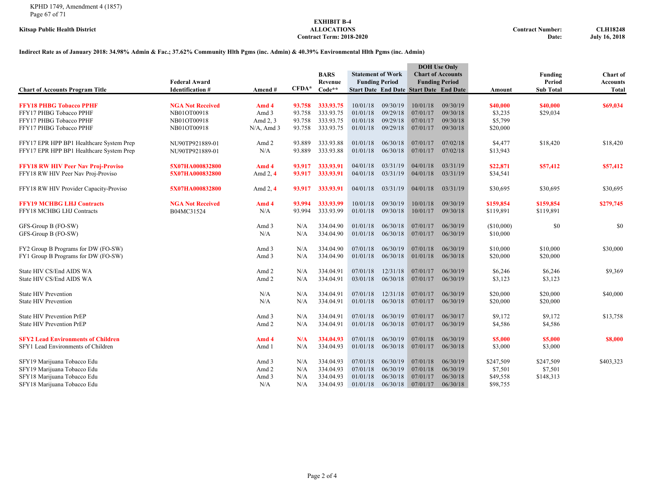# **EXHIBIT B-4**  $Contract Term: 2018-2020$

**Kitsap Public Health District ALLOCATIONS Contract Number: CLH18248**

#### **Indirect Rate as of January 2018: 34.98% Admin & Fac.; 37.62% Community Hlth Pgms (inc. Admin) & 40.39% Environmental Hlth Pgms (inc. Admin)**

|                                                                                                                          | <b>Federal Award</b>                   |                                | <b>BARS</b><br><b>Statement of Work</b><br><b>Funding Period</b><br>Revenue |                                                  |                                              | <b>DOH</b> Use Only<br><b>Chart of Accounts</b><br><b>Funding Period</b> |                                                | Funding<br>Period                            | Chart of<br><b>Accounts</b>                  |                                   |              |
|--------------------------------------------------------------------------------------------------------------------------|----------------------------------------|--------------------------------|-----------------------------------------------------------------------------|--------------------------------------------------|----------------------------------------------|--------------------------------------------------------------------------|------------------------------------------------|----------------------------------------------|----------------------------------------------|-----------------------------------|--------------|
| <b>Chart of Accounts Program Title</b>                                                                                   | <b>Identification #</b>                | Amend#                         | $CFDA*$                                                                     | $Code**$                                         |                                              |                                                                          | <b>Start Date End Date Start Date End Date</b> |                                              | Amount                                       | <b>Sub Total</b>                  | <b>Total</b> |
| <b>FFY18 PHBG Tobacco PPHF</b><br>FFY17 PHBG Tobacco PPHF                                                                | <b>NGA Not Received</b><br>NB01OT00918 | Amd 4<br>Amd 3                 | 93.758<br>93.758                                                            | 333.93.75<br>333.93.75                           | 10/01/18<br>01/01/18                         | 09/30/19<br>09/29/18                                                     | 10/01/18<br>07/01/17                           | 09/30/19<br>09/30/18                         | \$40,000<br>\$3,235                          | \$40,000<br>\$29,034              | \$69,034     |
| FFY17 PHBG Tobacco PPHF<br>FFY17 PHBG Tobacco PPHF                                                                       | NB01OT00918<br>NB01OT00918             | Amd 2, 3<br>$N/A$ , Amd 3      | 93.758<br>93.758                                                            | 333.93.75<br>333.93.75                           | 01/01/18<br>01/01/18                         | 09/29/18<br>09/29/18                                                     | 07/01/17<br>07/01/17                           | 09/30/18<br>09/30/18                         | \$5,799<br>\$20,000                          |                                   |              |
| FFY17 EPR HPP BP1 Healthcare System Prep<br>FFY17 EPR HPP BP1 Healthcare System Prep                                     | NU90TP921889-01<br>NU90TP921889-01     | Amd 2<br>N/A                   | 93.889<br>93.889                                                            | 333.93.88<br>333.93.88                           | 01/01/18<br>01/01/18                         | 06/30/18<br>06/30/18                                                     | 07/01/17<br>07/01/17                           | 07/02/18<br>07/02/18                         | \$4,477<br>\$13,943                          | \$18,420                          | \$18,420     |
| <b>FFY18 RW HIV Peer Nav Proj-Proviso</b><br>FFY18 RW HIV Peer Nav Proj-Proviso                                          | 5X07HA000832800<br>5X07HA000832800     | Amd 4<br>Amd $2, 4$            | 93.917<br>93.917                                                            | 333.93.91<br>333.93.91                           | 04/01/18<br>04/01/18                         | 03/31/19<br>03/31/19                                                     | 04/01/18<br>04/01/18                           | 03/31/19<br>03/31/19                         | \$22,871<br>\$34,541                         | \$57,412                          | \$57,412     |
| FFY18 RW HIV Provider Capacity-Proviso                                                                                   | 5X07HA000832800                        | Amd $2, 4$                     | 93.917                                                                      | 333.93.91                                        | 04/01/18                                     | 03/31/19                                                                 | 04/01/18                                       | 03/31/19                                     | \$30,695                                     | \$30,695                          | \$30,695     |
| <b>FFY19 MCHBG LHJ Contracts</b><br>FFY18 MCHBG LHJ Contracts                                                            | <b>NGA Not Received</b><br>B04MC31524  | Amd 4<br>N/A                   | 93.994<br>93.994                                                            | 333.93.99<br>333.93.99                           | 10/01/18<br>01/01/18                         | 09/30/19<br>09/30/18                                                     | 10/01/18<br>10/01/17                           | 09/30/19<br>09/30/18                         | \$159,854<br>\$119,891                       | \$159,854<br>\$119,891            | \$279,745    |
| GFS-Group B (FO-SW)<br>GFS-Group B (FO-SW)                                                                               |                                        | Amd 3<br>N/A                   | N/A<br>N/A                                                                  | 334.04.90<br>334.04.90                           | 01/01/18<br>01/01/18                         | 06/30/18<br>06/30/18                                                     | 07/01/17<br>07/01/17                           | 06/30/19<br>06/30/19                         | (\$10,000)<br>\$10,000                       | \$0                               | \$0          |
| FY2 Group B Programs for DW (FO-SW)<br>FY1 Group B Programs for DW (FO-SW)                                               |                                        | Amd 3<br>Amd 3                 | N/A<br>N/A                                                                  | 334.04.90<br>334.04.90                           | 07/01/18<br>01/01/18                         | 06/30/19<br>06/30/18                                                     | 07/01/18<br>01/01/18                           | 06/30/19<br>06/30/18                         | \$10,000<br>\$20,000                         | \$10,000<br>\$20,000              | \$30,000     |
| State HIV CS/End AIDS WA<br>State HIV CS/End AIDS WA                                                                     |                                        | Amd 2<br>Amd 2                 | N/A<br>N/A                                                                  | 334.04.91<br>334.04.91                           | 07/01/18<br>03/01/18                         | 12/31/18<br>06/30/18                                                     | 07/01/17<br>07/01/17                           | 06/30/19<br>06/30/19                         | \$6,246<br>\$3,123                           | \$6,246<br>\$3,123                | \$9,369      |
| <b>State HIV Prevention</b><br><b>State HIV Prevention</b>                                                               |                                        | N/A<br>N/A                     | N/A<br>N/A                                                                  | 334.04.91<br>334.04.91                           | 07/01/18<br>01/01/18                         | 12/31/18<br>06/30/18                                                     | 07/01/17<br>07/01/17                           | 06/30/19<br>06/30/19                         | \$20,000<br>\$20,000                         | \$20,000<br>\$20,000              | \$40,000     |
| <b>State HIV Prevention PrEP</b><br><b>State HIV Prevention PrEP</b>                                                     |                                        | Amd 3<br>Amd 2                 | N/A<br>N/A                                                                  | 334.04.91<br>334.04.91                           | 07/01/18<br>01/01/18                         | 06/30/19<br>06/30/18                                                     | 07/01/17<br>07/01/17                           | 06/30/17<br>06/30/19                         | \$9,172<br>\$4,586                           | \$9,172<br>\$4,586                | \$13,758     |
| <b>SFY2 Lead Environments of Children</b><br>SFY1 Lead Environments of Children                                          |                                        | Amd 4<br>Amd 1                 | N/A<br>N/A                                                                  | 334.04.93<br>334.04.93                           | 07/01/18<br>01/01/18                         | 06/30/19<br>06/30/18                                                     | 07/01/18<br>07/01/17                           | 06/30/19<br>06/30/18                         | \$5,000<br>\$3,000                           | \$5,000<br>\$3,000                | \$8,000      |
| SFY19 Marijuana Tobacco Edu<br>SFY19 Marijuana Tobacco Edu<br>SFY18 Marijuana Tobacco Edu<br>SFY18 Marijuana Tobacco Edu |                                        | Amd 3<br>Amd 2<br>Amd 3<br>N/A | N/A<br>N/A<br>N/A<br>N/A                                                    | 334,04.93<br>334,04.93<br>334.04.93<br>334.04.93 | 07/01/18<br>07/01/18<br>01/01/18<br>01/01/18 | 06/30/19<br>06/30/19<br>06/30/18<br>06/30/18                             | 07/01/18<br>07/01/18<br>07/01/17<br>07/01/17   | 06/30/19<br>06/30/19<br>06/30/18<br>06/30/18 | \$247,509<br>\$7,501<br>\$49,558<br>\$98,755 | \$247,509<br>\$7,501<br>\$148,313 | \$403,323    |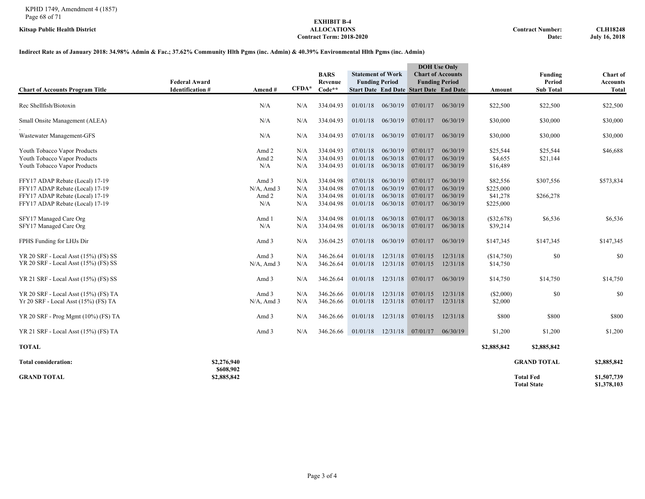#### KPHD 1749, Amendment 4 (1857) Page 68 of 71

# **EXHIBIT B-4**  $Contract Term: 2018-2020$

#### **Indirect Rate as of January 2018: 34.98% Admin & Fac.; 37.62% Community Hlth Pgms (inc. Admin) & 40.39% Environmental Hlth Pgms (inc. Admin)**

| <b>Chart of Accounts Program Title</b>                                                                                                   | <b>Federal Award</b><br><b>Identification #</b> | Amend#                                 | $CFDA*$                  | <b>BARS</b><br>Revenue<br>$Code**$               | <b>Statement of Work</b><br><b>Funding Period</b> |                                              | <b>DOH</b> Use Only<br><b>Chart of Accounts</b><br><b>Start Date End Date Start Date End Date</b> | <b>Funding Period</b>                        | Amount                                         | Funding<br>Period<br><b>Sub Total</b>  | Chart of<br><b>Accounts</b><br><b>Total</b> |
|------------------------------------------------------------------------------------------------------------------------------------------|-------------------------------------------------|----------------------------------------|--------------------------|--------------------------------------------------|---------------------------------------------------|----------------------------------------------|---------------------------------------------------------------------------------------------------|----------------------------------------------|------------------------------------------------|----------------------------------------|---------------------------------------------|
| Rec Shellfish/Biotoxin                                                                                                                   |                                                 | N/A                                    | N/A                      | 334.04.93                                        | 01/01/18                                          | 06/30/19                                     | 07/01/17                                                                                          | 06/30/19                                     | \$22,500                                       | \$22,500                               | \$22,500                                    |
| Small Onsite Management (ALEA)                                                                                                           |                                                 | N/A                                    | N/A                      | 334,04.93                                        | 01/01/18                                          | 06/30/19                                     | 07/01/17                                                                                          | 06/30/19                                     | \$30,000                                       | \$30,000                               | \$30,000                                    |
| Wastewater Management-GFS                                                                                                                |                                                 | N/A                                    | N/A                      | 334.04.93                                        | 07/01/18                                          | 06/30/19                                     | 07/01/17                                                                                          | 06/30/19                                     | \$30,000                                       | \$30,000                               | \$30,000                                    |
| Youth Tobacco Vapor Products<br>Youth Tobacco Vapor Products<br>Youth Tobacco Vapor Products                                             |                                                 | Amd 2<br>Amd 2<br>N/A                  | N/A<br>N/A<br>N/A        | 334.04.93<br>334.04.93<br>334.04.93              | 07/01/18<br>01/01/18<br>01/01/18                  | 06/30/19<br>06/30/18<br>06/30/18             | 07/01/17<br>07/01/17<br>07/01/17                                                                  | 06/30/19<br>06/30/19<br>06/30/19             | \$25,544<br>\$4,655<br>\$16,489                | \$25,544<br>\$21,144                   | \$46,688                                    |
| FFY17 ADAP Rebate (Local) 17-19<br>FFY17 ADAP Rebate (Local) 17-19<br>FFY17 ADAP Rebate (Local) 17-19<br>FFY17 ADAP Rebate (Local) 17-19 |                                                 | Amd 3<br>$N/A$ , Amd 3<br>Amd 2<br>N/A | N/A<br>N/A<br>N/A<br>N/A | 334.04.98<br>334.04.98<br>334.04.98<br>334.04.98 | 07/01/18<br>07/01/18<br>01/01/18<br>01/01/18      | 06/30/19<br>06/30/19<br>06/30/18<br>06/30/18 | 07/01/17<br>07/01/17<br>07/01/17<br>07/01/17                                                      | 06/30/19<br>06/30/19<br>06/30/19<br>06/30/19 | \$82,556<br>\$225,000<br>\$41,278<br>\$225,000 | \$307,556<br>\$266,278                 | \$573,834                                   |
| SFY17 Managed Care Org<br>SFY17 Managed Care Org                                                                                         |                                                 | Amd 1<br>N/A                           | N/A<br>N/A               | 334.04.98<br>334.04.98                           | 01/01/18<br>01/01/18                              | 06/30/18<br>06/30/18                         | 07/01/17<br>07/01/17                                                                              | 06/30/18<br>06/30/18                         | (\$32,678)<br>\$39,214                         | \$6,536                                | \$6,536                                     |
| FPHS Funding for LHJs Dir                                                                                                                |                                                 | Amd 3                                  | N/A                      | 336.04.25                                        | 07/01/18                                          | 06/30/19                                     | 07/01/17                                                                                          | 06/30/19                                     | \$147,345                                      | \$147,345                              | \$147,345                                   |
| YR 20 SRF - Local Asst (15%) (FS) SS<br>YR 20 SRF - Local Asst (15%) (FS) SS                                                             |                                                 | Amd 3<br>$N/A$ , Amd 3                 | N/A<br>N/A               | 346.26.64<br>346.26.64                           | 01/01/18<br>01/01/18                              | 12/31/18<br>12/31/18                         | 07/01/15<br>07/01/15                                                                              | 12/31/18<br>12/31/18                         | (\$14,750)<br>\$14,750                         | \$0                                    | \$0                                         |
| YR 21 SRF - Local Asst (15%) (FS) SS                                                                                                     |                                                 | Amd 3                                  | N/A                      | 346.26.64                                        | 01/01/18                                          | 12/31/18                                     | 07/01/17                                                                                          | 06/30/19                                     | \$14,750                                       | \$14,750                               | \$14,750                                    |
| YR 20 SRF - Local Asst (15%) (FS) TA<br>Yr 20 SRF - Local Asst (15%) (FS) TA                                                             |                                                 | Amd 3<br>$N/A$ , Amd 3                 | N/A<br>N/A               | 346.26.66<br>346.26.66                           | 01/01/18<br>01/01/18                              | 12/31/18<br>12/31/18                         | 07/01/15<br>07/01/17                                                                              | 12/31/18<br>12/31/18                         | (\$2,000)<br>\$2,000                           | \$0                                    | \$0                                         |
| YR 20 SRF - Prog Mgmt (10%) (FS) TA                                                                                                      |                                                 | Amd 3                                  | N/A                      | 346.26.66                                        | 01/01/18                                          | 12/31/18                                     | 07/01/15                                                                                          | 12/31/18                                     | \$800                                          | \$800                                  | \$800                                       |
| YR 21 SRF - Local Asst (15%) (FS) TA                                                                                                     |                                                 | Amd 3                                  | N/A                      | 346.26.66                                        | 01/01/18                                          | 12/31/18                                     | 07/01/17                                                                                          | 06/30/19                                     | \$1,200                                        | \$1,200                                | \$1,200                                     |
| <b>TOTAL</b>                                                                                                                             |                                                 |                                        |                          |                                                  |                                                   |                                              |                                                                                                   |                                              | \$2,885,842                                    | \$2,885,842                            |                                             |
| <b>Total consideration:</b>                                                                                                              | \$2,276,940                                     |                                        |                          |                                                  |                                                   |                                              |                                                                                                   |                                              |                                                | <b>GRAND TOTAL</b>                     | \$2,885,842                                 |
| <b>GRAND TOTAL</b>                                                                                                                       | \$608,902<br>\$2,885,842                        |                                        |                          |                                                  |                                                   |                                              |                                                                                                   |                                              |                                                | <b>Total Fed</b><br><b>Total State</b> | \$1,507,739<br>\$1,378,103                  |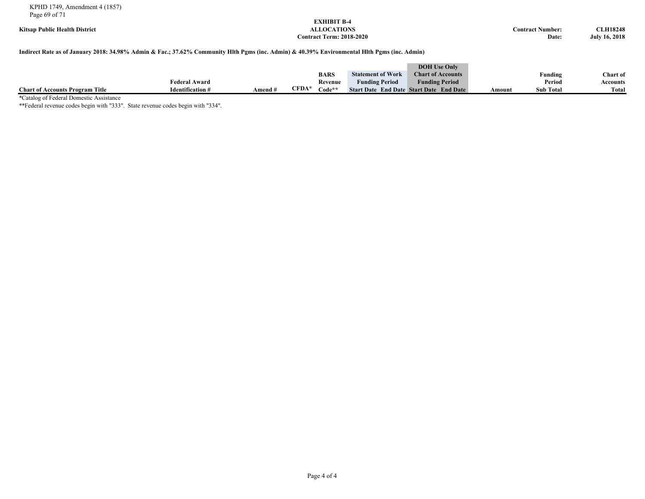KPHD 1749, Amendment 4 (1857) Page 69 of 71

# **EXHIBIT B-4**  $Contract Term: 2018-2020$

**Kitsap Public Health District ALLOCATIONS Contract Number: CLH18248**

#### **Indirect Rate as of January 2018: 34.98% Admin & Fac.; 37.62% Community Hlth Pgms (inc. Admin) & 40.39% Environmental Hlth Pgms (inc. Admin)**

|                                        |                         |           |       |             |                          | <b>DOH</b> Use Only                            |        |                  |                 |
|----------------------------------------|-------------------------|-----------|-------|-------------|--------------------------|------------------------------------------------|--------|------------------|-----------------|
|                                        |                         |           |       | <b>BARS</b> | <b>Statement of Work</b> | <b>Chart of Accounts</b>                       |        | Funding          | <b>Chart of</b> |
|                                        | Federal Award           |           |       | Revenue     | <b>Funding Period</b>    | <b>Funding Period</b>                          |        | Period           | Accounts        |
| <b>Chart of Accounts Program Title</b> | <b>Identification #</b> | Amend $#$ | CFDA* | $Code**$    |                          | <b>Start Date End Date Start Date End Date</b> | Amount | <b>Sub Total</b> | Total           |

\*Catalog of Federal Domestic Assistance

\*\*Federal revenue codes begin with "333". State revenue codes begin with "334".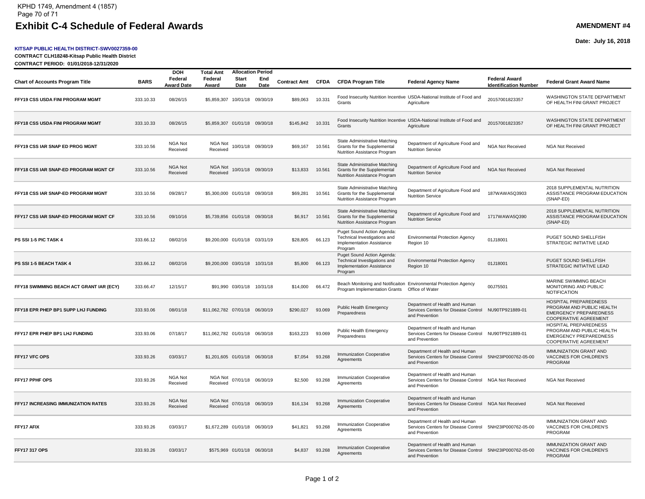#### **KITSAP PUBLIC HEALTH DISTRICT-SWV0027359-00**

**CONTRACT CLH18248-Kitsap Public Health District**

**CONTRACT PERIOD: 01/01/2018-12/31/2020**

a.

**Date: July 16, 2018**

| Page 1 of 2 |  |
|-------------|--|
|-------------|--|

|                                          |             | <b>DOH</b>                   | Total Amt                      |                             | <b>Allocation Period</b> |                   |                |                                                                                                    |                                                                                                              |                                                      |                                                                                                                     |
|------------------------------------------|-------------|------------------------------|--------------------------------|-----------------------------|--------------------------|-------------------|----------------|----------------------------------------------------------------------------------------------------|--------------------------------------------------------------------------------------------------------------|------------------------------------------------------|---------------------------------------------------------------------------------------------------------------------|
| <b>Chart of Accounts Program Title</b>   | <b>BARS</b> | Federal<br><b>Award Date</b> | Federal<br><b>Award</b>        | <b>Start</b><br>Date        | End<br>Date              | Contract Amt CFDA |                | <b>CFDA Program Title</b>                                                                          | <b>Federal Agency Name</b>                                                                                   | <b>Federal Award</b><br><b>Identification Number</b> | <b>Federal Grant Award Name</b>                                                                                     |
| FFY19 CSS USDA FINI PROGRAM MGMT         | 333.10.33   | 08/26/15                     | \$5,859,307 10/01/18 09/30/19  |                             |                          | \$89,063          | 10.331         | Grants                                                                                             | Food Insecurity Nutrition Incentive USDA-National Institute of Food and<br>Agriculture                       | 20157001823357                                       | <b>WASHINGTON STATE DEPARTMENT</b><br>OF HEALTH FINI GRANT PROJECT                                                  |
| FFY18 CSS USDA FINI PROGRAM MGMT         | 333.10.33   | 08/26/15                     | \$5,859,307 01/01/18 09/30/18  |                             |                          | \$145,842 10.331  |                | Grants                                                                                             | Food Insecurity Nutrition Incentive USDA-National Institute of Food and<br>Agriculture                       | 20157001823357                                       | WASHINGTON STATE DEPARTMENT<br>OF HEALTH FINI GRANT PROJECT                                                         |
| FFY19 CSS IAR SNAP ED PROG MGNT          | 333.10.56   | NGA Not<br>Received          | NGA Not<br>Received            |                             | 10/01/18 09/30/19        | \$69,167          | 10.561         | State Administrative Matching<br>Grants for the Supplemental<br>Nutrition Assistance Program       | Department of Agriculture Food and<br><b>Nutrition Service</b>                                               | <b>NGA Not Received</b>                              | NGA Not Received                                                                                                    |
| FFY18 CSS IAR SNAP-ED PROGRAM MGNT CF    | 333.10.56   | NGA Not<br>Received          | NGA Not<br>Received            |                             | 10/01/18 09/30/19        | \$13,833          | 10.561         | State Administrative Matching<br>Grants for the Supplemental<br>Nutrition Assistance Program       | Department of Agriculture Food and<br><b>Nutrition Service</b>                                               | <b>NGA Not Received</b>                              | <b>NGA Not Received</b>                                                                                             |
| FFY18 CSS IAR SNAP-ED PROGRAM MGNT       | 333.10.56   | 09/28/17                     | \$5,300,000 01/01/18 09/30/18  |                             |                          | \$69,281          | 10.561         | State Administrative Matching<br>Grants for the Supplemental<br>Nutrition Assistance Program       | Department of Agriculture Food and<br><b>Nutrition Service</b>                                               | 187WAWA5Q3903                                        | 2018 SUPPLEMENTAL NUTRITION<br>ASSISTANCE PROGRAM EDUCATION<br>(SNAP-ED)                                            |
| FFY17 CSS IAR SNAP-ED PROGRAM MGNT CF    | 333.10.56   | 09/10/16                     | \$5,739,856 01/01/18 09/30/18  |                             |                          | \$6,917           | 10.561         | State Administrative Matching<br>Grants for the Supplemental<br>Nutrition Assistance Program       | Department of Agriculture Food and<br><b>Nutrition Service</b>                                               | 1717WAWA5Q390                                        | 2018 SUPPLEMENTAL NUTRITION<br>ASSISTANCE PROGRAM EDUCATION<br>(SNAP-ED)                                            |
| PS SSI 1-5 PIC TASK 4                    | 333.66.12   | 08/02/16                     | \$9,200,000 01/01/18 03/31/19  |                             |                          | \$28,805          | 66.123         | Puget Sound Action Agenda:<br>Technical Investigations and<br>Implementation Assistance<br>Program | <b>Environmental Protection Agency</b><br>Region 10                                                          | 01J18001                                             | PUGET SOUND SHELLFISH<br>STRATEGIC INITIATIVE LEAD                                                                  |
| PS SSI 1-5 BEACH TASK 4                  | 333.66.12   | 08/02/16                     | \$9,200,000 03/01/18 10/31/18  |                             |                          | \$5,800           | 66.123         | Puget Sound Action Agenda:<br>Technical Investigations and<br>Implementation Assistance<br>Program | <b>Environmental Protection Agency</b><br>Region 10                                                          | 01J18001                                             | PUGET SOUND SHELLFISH<br>STRATEGIC INITIATIVE LEAD                                                                  |
| FFY18 SWIMMING BEACH ACT GRANT IAR (ECY) | 333.66.47   | 12/15/17                     |                                | \$91,990 03/01/18 10/31/18  |                          | \$14,000          | 66.472         | Program Implementation Grants  Office of Water                                                     | Beach Monitoring and Notificaiton Environmental Protection Agency                                            | 00J75501                                             | MARINE SWIMMING BEACH<br>MONITORING AND PUBLIC<br><b>NOTIFICATION</b>                                               |
| FFY18 EPR PHEP BP1 SUPP LHJ FUNDING      | 333.93.06   | 08/01/18                     | \$11,062,782 07/01/18 06/30/19 |                             |                          | \$290,027         | 93.069         | Public Health Emergency<br>Preparedness                                                            | Department of Health and Human<br>Services Centers for Disease Control NU90TP921889-01<br>and Prevention     |                                                      | HOSPITAL PREPAREDNESS<br>PROGRAM AND PUBLIC HEALTH<br><b>EMERGENCY PREPAREDNESS</b><br><b>COOPERATIVE AGREEMENT</b> |
| FFY17 EPR PHEP BP1 LHJ FUNDING           | 333.93.06   | 07/18/17                     | \$11,062,782 01/01/18 06/30/18 |                             |                          | \$163,223         | 93.069         | Public Health Emergency<br>Preparedness                                                            | Department of Health and Human<br>Services Centers for Disease Control NU90TP921889-01<br>and Prevention     |                                                      | HOSPITAL PREPAREDNESS<br>PROGRAM AND PUBLIC HEALTH<br><b>EMERGENCY PREPAREDNESS</b><br>COOPERATIVE AGREEMENT        |
| FFY17 VFC OPS                            | 333.93.26   | 03/03/17                     | \$1,201,605 01/01/18 06/30/18  |                             |                          | \$7,054           | 93.268         | <b>Immunization Cooperative</b><br>Agreements                                                      | Department of Health and Human<br>Services Centers for Disease Control 5NH23IP000762-05-00<br>and Prevention |                                                      | <b>IMMUNIZATION GRANT AND</b><br><b>VACCINES FOR CHILDREN'S</b><br>PROGRAM                                          |
| FFY17 PPHF OPS                           | 333.93.26   | NGA Not<br>Received          | NGA Not<br>Received            |                             | 07/01/18 06/30/19        | \$2,500           | 93.268         | Immunization Cooperative<br>Agreements                                                             | Department of Health and Human<br>Services Centers for Disease Control NGA Not Received<br>and Prevention    |                                                      | <b>NGA Not Received</b>                                                                                             |
| FFY17 INCREASING IMMUNIZATION RATES      | 333.93.26   | NGA Not<br>Received          | NGA Not<br>Received            |                             | 07/01/18 06/30/19        | \$16,134          | 93.268         | <b>Immunization Cooperative</b><br>Agreements                                                      | Department of Health and Human<br>Services Centers for Disease Control NGA Not Received<br>and Prevention    |                                                      | <b>NGA Not Received</b>                                                                                             |
| FFY17 AFIX                               | 333.93.26   | 03/03/17                     | \$1,672,289 01/01/18 06/30/19  |                             |                          | \$41,821          | 93.268         | Immunization Cooperative<br>Agreements                                                             | Department of Health and Human<br>Services Centers for Disease Control 5NH23IP000762-05-00<br>and Prevention |                                                      | <b>IMMUNIZATION GRANT AND</b><br>VACCINES FOR CHILDREN'S<br>PROGRAM                                                 |
| <b>FFY17 317 OPS</b>                     | 333.93.26   | 03/03/17                     |                                | \$575,969 01/01/18 06/30/18 |                          |                   | \$4,837 93.268 | <b>Immunization Cooperative</b><br>Agreements                                                      | Department of Health and Human<br>Services Centers for Disease Control 5NH23IP000762-05-00<br>and Prevention |                                                      | <b>IMMUNIZATION GRANT AND</b><br><b>VACCINES FOR CHILDREN'S</b><br>PROGRAM                                          |
|                                          |             |                              |                                |                             |                          |                   |                |                                                                                                    |                                                                                                              |                                                      |                                                                                                                     |